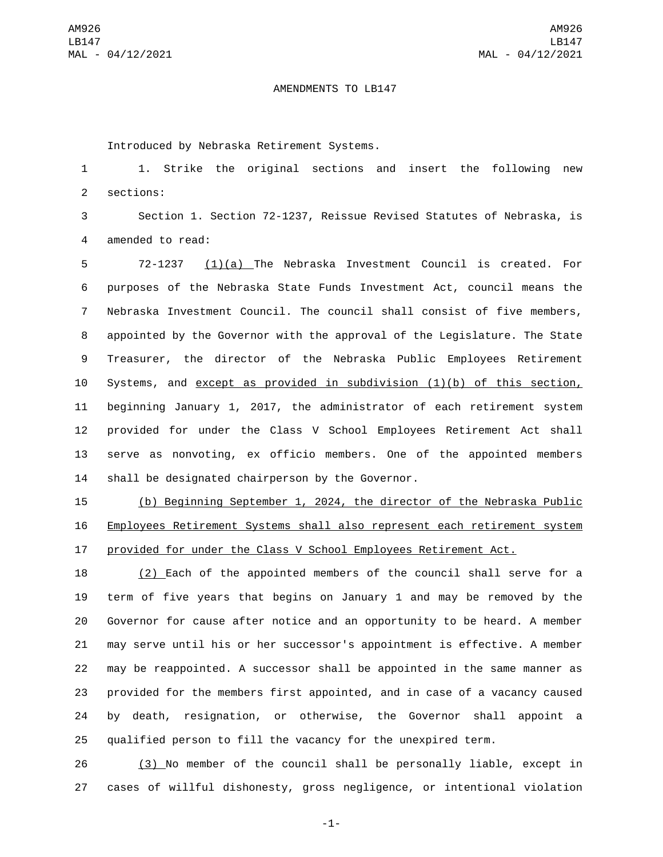## AMENDMENTS TO LB147

Introduced by Nebraska Retirement Systems.

 1. Strike the original sections and insert the following new 2 sections:

 Section 1. Section 72-1237, Reissue Revised Statutes of Nebraska, is 4 amended to read:

 72-1237 (1)(a) The Nebraska Investment Council is created. For purposes of the Nebraska State Funds Investment Act, council means the Nebraska Investment Council. The council shall consist of five members, appointed by the Governor with the approval of the Legislature. The State Treasurer, the director of the Nebraska Public Employees Retirement Systems, and except as provided in subdivision (1)(b) of this section, beginning January 1, 2017, the administrator of each retirement system provided for under the Class V School Employees Retirement Act shall serve as nonvoting, ex officio members. One of the appointed members 14 shall be designated chairperson by the Governor.

 (b) Beginning September 1, 2024, the director of the Nebraska Public Employees Retirement Systems shall also represent each retirement system provided for under the Class V School Employees Retirement Act.

 (2) Each of the appointed members of the council shall serve for a term of five years that begins on January 1 and may be removed by the Governor for cause after notice and an opportunity to be heard. A member may serve until his or her successor's appointment is effective. A member may be reappointed. A successor shall be appointed in the same manner as provided for the members first appointed, and in case of a vacancy caused by death, resignation, or otherwise, the Governor shall appoint a qualified person to fill the vacancy for the unexpired term.

 (3) No member of the council shall be personally liable, except in cases of willful dishonesty, gross negligence, or intentional violation

-1-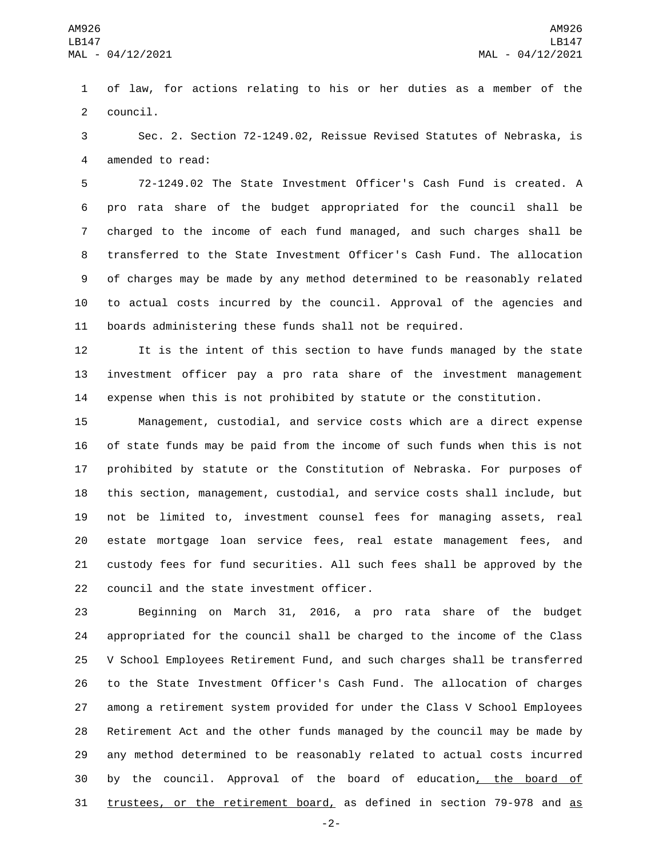of law, for actions relating to his or her duties as a member of the 2 council.

 Sec. 2. Section 72-1249.02, Reissue Revised Statutes of Nebraska, is 4 amended to read:

 72-1249.02 The State Investment Officer's Cash Fund is created. A pro rata share of the budget appropriated for the council shall be charged to the income of each fund managed, and such charges shall be transferred to the State Investment Officer's Cash Fund. The allocation of charges may be made by any method determined to be reasonably related to actual costs incurred by the council. Approval of the agencies and boards administering these funds shall not be required.

 It is the intent of this section to have funds managed by the state investment officer pay a pro rata share of the investment management expense when this is not prohibited by statute or the constitution.

 Management, custodial, and service costs which are a direct expense of state funds may be paid from the income of such funds when this is not prohibited by statute or the Constitution of Nebraska. For purposes of this section, management, custodial, and service costs shall include, but not be limited to, investment counsel fees for managing assets, real estate mortgage loan service fees, real estate management fees, and custody fees for fund securities. All such fees shall be approved by the 22 council and the state investment officer.

 Beginning on March 31, 2016, a pro rata share of the budget appropriated for the council shall be charged to the income of the Class V School Employees Retirement Fund, and such charges shall be transferred to the State Investment Officer's Cash Fund. The allocation of charges among a retirement system provided for under the Class V School Employees Retirement Act and the other funds managed by the council may be made by any method determined to be reasonably related to actual costs incurred by the council. Approval of the board of education, the board of trustees, or the retirement board, as defined in section 79-978 and as

-2-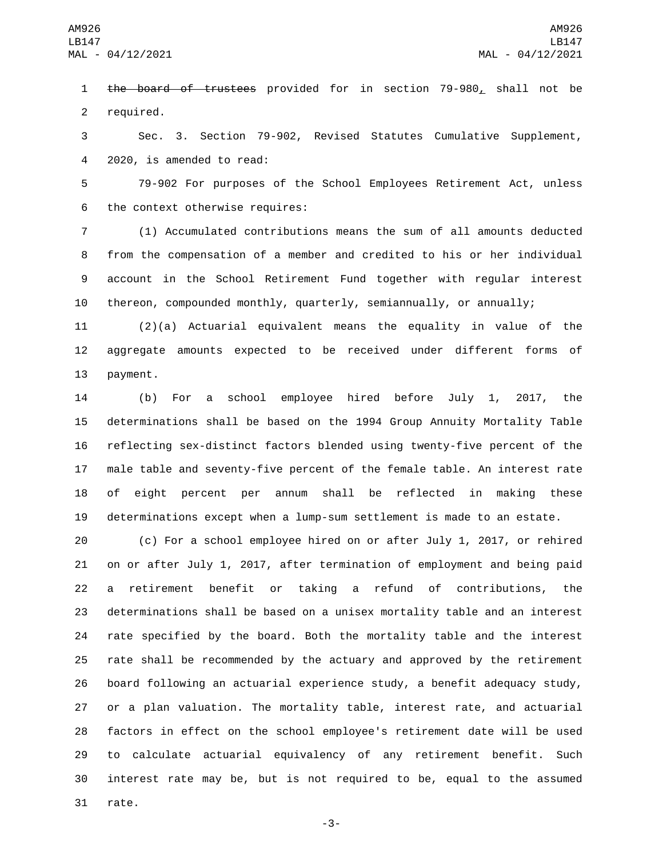1 the board of trustees provided for in section 79-980, shall not be 2 required.

 Sec. 3. Section 79-902, Revised Statutes Cumulative Supplement, 4 2020, is amended to read:

 79-902 For purposes of the School Employees Retirement Act, unless 6 the context otherwise requires:

 (1) Accumulated contributions means the sum of all amounts deducted from the compensation of a member and credited to his or her individual account in the School Retirement Fund together with regular interest thereon, compounded monthly, quarterly, semiannually, or annually;

 (2)(a) Actuarial equivalent means the equality in value of the aggregate amounts expected to be received under different forms of 13 payment.

 (b) For a school employee hired before July 1, 2017, the determinations shall be based on the 1994 Group Annuity Mortality Table reflecting sex-distinct factors blended using twenty-five percent of the male table and seventy-five percent of the female table. An interest rate of eight percent per annum shall be reflected in making these determinations except when a lump-sum settlement is made to an estate.

 (c) For a school employee hired on or after July 1, 2017, or rehired on or after July 1, 2017, after termination of employment and being paid a retirement benefit or taking a refund of contributions, the determinations shall be based on a unisex mortality table and an interest rate specified by the board. Both the mortality table and the interest rate shall be recommended by the actuary and approved by the retirement board following an actuarial experience study, a benefit adequacy study, or a plan valuation. The mortality table, interest rate, and actuarial factors in effect on the school employee's retirement date will be used to calculate actuarial equivalency of any retirement benefit. Such interest rate may be, but is not required to be, equal to the assumed 31 rate.

-3-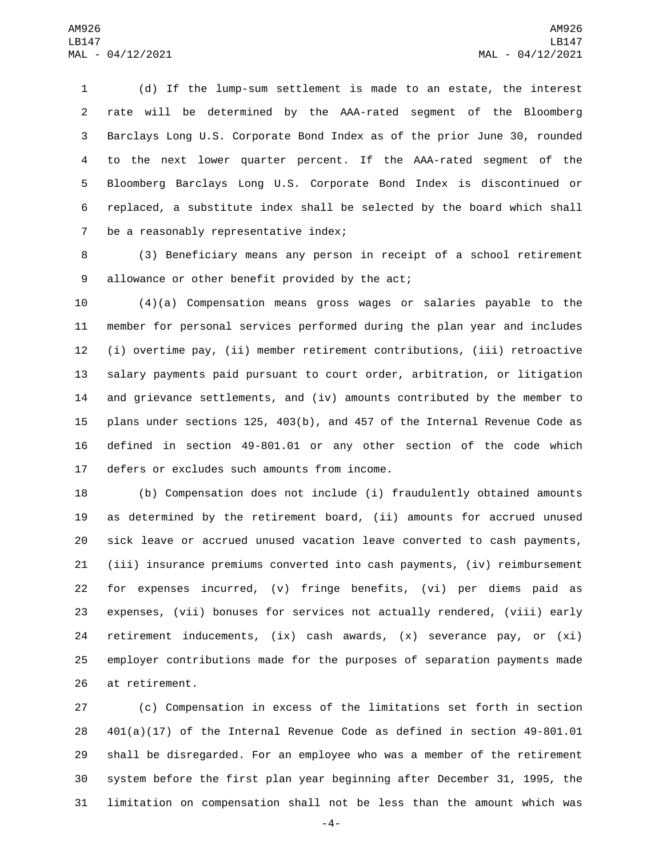(d) If the lump-sum settlement is made to an estate, the interest rate will be determined by the AAA-rated segment of the Bloomberg Barclays Long U.S. Corporate Bond Index as of the prior June 30, rounded to the next lower quarter percent. If the AAA-rated segment of the Bloomberg Barclays Long U.S. Corporate Bond Index is discontinued or replaced, a substitute index shall be selected by the board which shall 7 be a reasonably representative index;

 (3) Beneficiary means any person in receipt of a school retirement 9 allowance or other benefit provided by the act;

 (4)(a) Compensation means gross wages or salaries payable to the member for personal services performed during the plan year and includes (i) overtime pay, (ii) member retirement contributions, (iii) retroactive salary payments paid pursuant to court order, arbitration, or litigation and grievance settlements, and (iv) amounts contributed by the member to plans under sections 125, 403(b), and 457 of the Internal Revenue Code as defined in section 49-801.01 or any other section of the code which 17 defers or excludes such amounts from income.

 (b) Compensation does not include (i) fraudulently obtained amounts as determined by the retirement board, (ii) amounts for accrued unused sick leave or accrued unused vacation leave converted to cash payments, (iii) insurance premiums converted into cash payments, (iv) reimbursement for expenses incurred, (v) fringe benefits, (vi) per diems paid as expenses, (vii) bonuses for services not actually rendered, (viii) early retirement inducements, (ix) cash awards, (x) severance pay, or (xi) employer contributions made for the purposes of separation payments made 26 at retirement.

 (c) Compensation in excess of the limitations set forth in section 401(a)(17) of the Internal Revenue Code as defined in section 49-801.01 shall be disregarded. For an employee who was a member of the retirement system before the first plan year beginning after December 31, 1995, the limitation on compensation shall not be less than the amount which was

-4-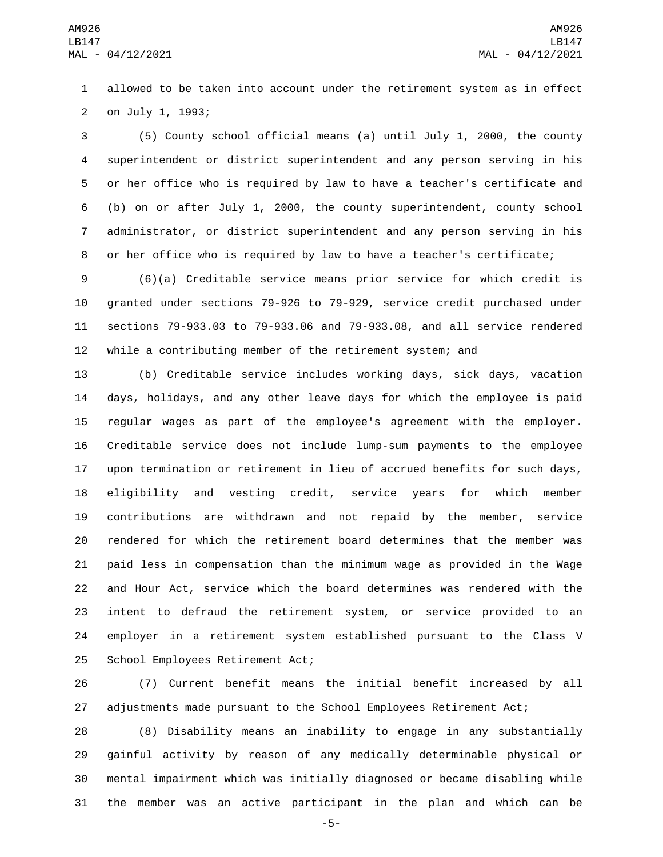allowed to be taken into account under the retirement system as in effect 2 on July 1, 1993;

 (5) County school official means (a) until July 1, 2000, the county superintendent or district superintendent and any person serving in his or her office who is required by law to have a teacher's certificate and (b) on or after July 1, 2000, the county superintendent, county school administrator, or district superintendent and any person serving in his or her office who is required by law to have a teacher's certificate;

 (6)(a) Creditable service means prior service for which credit is granted under sections 79-926 to 79-929, service credit purchased under sections 79-933.03 to 79-933.06 and 79-933.08, and all service rendered while a contributing member of the retirement system; and

 (b) Creditable service includes working days, sick days, vacation days, holidays, and any other leave days for which the employee is paid regular wages as part of the employee's agreement with the employer. Creditable service does not include lump-sum payments to the employee upon termination or retirement in lieu of accrued benefits for such days, eligibility and vesting credit, service years for which member contributions are withdrawn and not repaid by the member, service rendered for which the retirement board determines that the member was paid less in compensation than the minimum wage as provided in the Wage and Hour Act, service which the board determines was rendered with the intent to defraud the retirement system, or service provided to an employer in a retirement system established pursuant to the Class V 25 School Employees Retirement Act;

 (7) Current benefit means the initial benefit increased by all adjustments made pursuant to the School Employees Retirement Act;

 (8) Disability means an inability to engage in any substantially gainful activity by reason of any medically determinable physical or mental impairment which was initially diagnosed or became disabling while the member was an active participant in the plan and which can be

-5-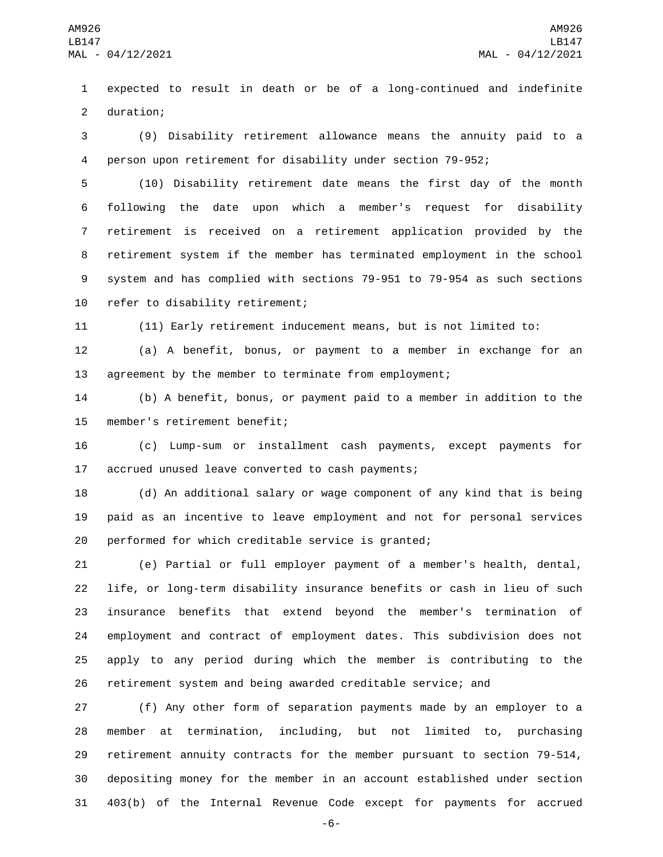expected to result in death or be of a long-continued and indefinite 2 duration;

 (9) Disability retirement allowance means the annuity paid to a person upon retirement for disability under section 79-952;

 (10) Disability retirement date means the first day of the month following the date upon which a member's request for disability retirement is received on a retirement application provided by the retirement system if the member has terminated employment in the school system and has complied with sections 79-951 to 79-954 as such sections 10 refer to disability retirement;

(11) Early retirement inducement means, but is not limited to:

 (a) A benefit, bonus, or payment to a member in exchange for an agreement by the member to terminate from employment;

 (b) A benefit, bonus, or payment paid to a member in addition to the 15 member's retirement benefit;

 (c) Lump-sum or installment cash payments, except payments for 17 accrued unused leave converted to cash payments;

 (d) An additional salary or wage component of any kind that is being paid as an incentive to leave employment and not for personal services performed for which creditable service is granted;

 (e) Partial or full employer payment of a member's health, dental, life, or long-term disability insurance benefits or cash in lieu of such insurance benefits that extend beyond the member's termination of employment and contract of employment dates. This subdivision does not apply to any period during which the member is contributing to the retirement system and being awarded creditable service; and

 (f) Any other form of separation payments made by an employer to a member at termination, including, but not limited to, purchasing retirement annuity contracts for the member pursuant to section 79-514, depositing money for the member in an account established under section 403(b) of the Internal Revenue Code except for payments for accrued

-6-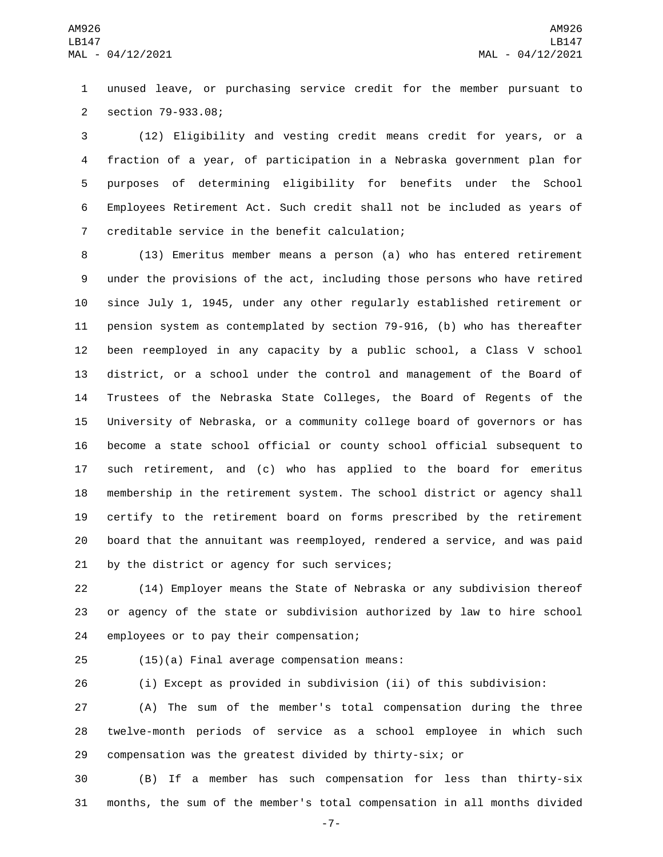unused leave, or purchasing service credit for the member pursuant to section 79-933.08;2

 (12) Eligibility and vesting credit means credit for years, or a fraction of a year, of participation in a Nebraska government plan for purposes of determining eligibility for benefits under the School Employees Retirement Act. Such credit shall not be included as years of 7 creditable service in the benefit calculation;

 (13) Emeritus member means a person (a) who has entered retirement under the provisions of the act, including those persons who have retired since July 1, 1945, under any other regularly established retirement or pension system as contemplated by section 79-916, (b) who has thereafter been reemployed in any capacity by a public school, a Class V school district, or a school under the control and management of the Board of Trustees of the Nebraska State Colleges, the Board of Regents of the University of Nebraska, or a community college board of governors or has become a state school official or county school official subsequent to such retirement, and (c) who has applied to the board for emeritus membership in the retirement system. The school district or agency shall certify to the retirement board on forms prescribed by the retirement board that the annuitant was reemployed, rendered a service, and was paid 21 by the district or agency for such services;

 (14) Employer means the State of Nebraska or any subdivision thereof or agency of the state or subdivision authorized by law to hire school 24 employees or to pay their compensation;

(15)(a) Final average compensation means:25

(i) Except as provided in subdivision (ii) of this subdivision:

 (A) The sum of the member's total compensation during the three twelve-month periods of service as a school employee in which such compensation was the greatest divided by thirty-six; or

 (B) If a member has such compensation for less than thirty-six months, the sum of the member's total compensation in all months divided

-7-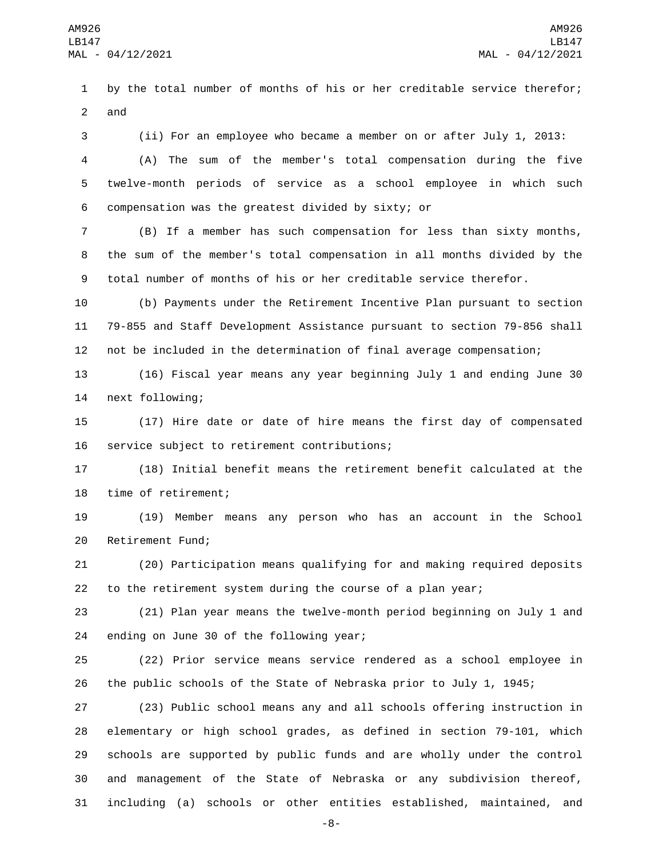by the total number of months of his or her creditable service therefor; and

 (ii) For an employee who became a member on or after July 1, 2013: (A) The sum of the member's total compensation during the five twelve-month periods of service as a school employee in which such compensation was the greatest divided by sixty; or6

 (B) If a member has such compensation for less than sixty months, the sum of the member's total compensation in all months divided by the total number of months of his or her creditable service therefor.

 (b) Payments under the Retirement Incentive Plan pursuant to section 79-855 and Staff Development Assistance pursuant to section 79-856 shall not be included in the determination of final average compensation;

 (16) Fiscal year means any year beginning July 1 and ending June 30 14 next following;

 (17) Hire date or date of hire means the first day of compensated 16 service subject to retirement contributions;

 (18) Initial benefit means the retirement benefit calculated at the 18 time of retirement;

 (19) Member means any person who has an account in the School 20 Retirement Fund;

 (20) Participation means qualifying for and making required deposits to the retirement system during the course of a plan year;

 (21) Plan year means the twelve-month period beginning on July 1 and 24 ending on June 30 of the following year;

 (22) Prior service means service rendered as a school employee in the public schools of the State of Nebraska prior to July 1, 1945;

 (23) Public school means any and all schools offering instruction in elementary or high school grades, as defined in section 79-101, which schools are supported by public funds and are wholly under the control and management of the State of Nebraska or any subdivision thereof, including (a) schools or other entities established, maintained, and

-8-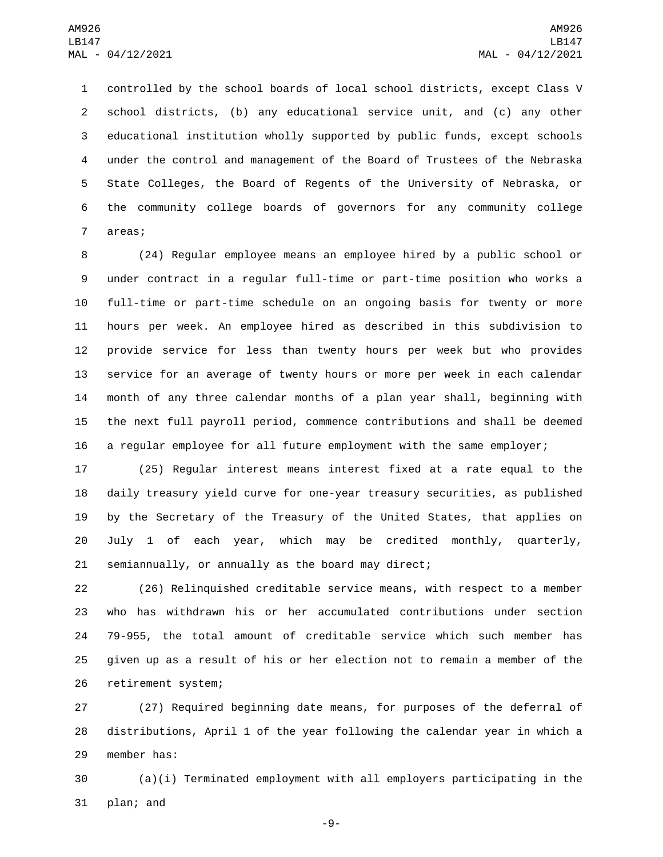controlled by the school boards of local school districts, except Class V school districts, (b) any educational service unit, and (c) any other educational institution wholly supported by public funds, except schools under the control and management of the Board of Trustees of the Nebraska State Colleges, the Board of Regents of the University of Nebraska, or the community college boards of governors for any community college 7 areas;

 (24) Regular employee means an employee hired by a public school or under contract in a regular full-time or part-time position who works a full-time or part-time schedule on an ongoing basis for twenty or more hours per week. An employee hired as described in this subdivision to provide service for less than twenty hours per week but who provides service for an average of twenty hours or more per week in each calendar month of any three calendar months of a plan year shall, beginning with the next full payroll period, commence contributions and shall be deemed a regular employee for all future employment with the same employer;

 (25) Regular interest means interest fixed at a rate equal to the daily treasury yield curve for one-year treasury securities, as published by the Secretary of the Treasury of the United States, that applies on July 1 of each year, which may be credited monthly, quarterly, semiannually, or annually as the board may direct;

 (26) Relinquished creditable service means, with respect to a member who has withdrawn his or her accumulated contributions under section 79-955, the total amount of creditable service which such member has given up as a result of his or her election not to remain a member of the 26 retirement system;

 (27) Required beginning date means, for purposes of the deferral of distributions, April 1 of the year following the calendar year in which a 29 member has:

 (a)(i) Terminated employment with all employers participating in the 31 plan; and

-9-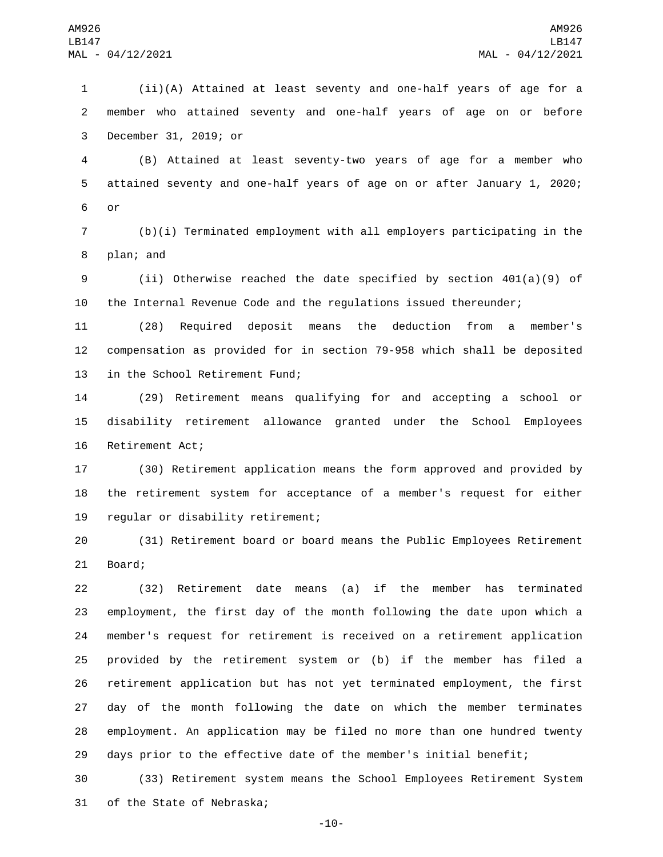(ii)(A) Attained at least seventy and one-half years of age for a member who attained seventy and one-half years of age on or before 3 December 31, 2019; or

 (B) Attained at least seventy-two years of age for a member who attained seventy and one-half years of age on or after January 1, 2020; 6 or

 (b)(i) Terminated employment with all employers participating in the 8 plan; and

 (ii) Otherwise reached the date specified by section 401(a)(9) of the Internal Revenue Code and the regulations issued thereunder;

 (28) Required deposit means the deduction from a member's compensation as provided for in section 79-958 which shall be deposited 13 in the School Retirement Fund;

 (29) Retirement means qualifying for and accepting a school or disability retirement allowance granted under the School Employees 16 Retirement Act;

 (30) Retirement application means the form approved and provided by the retirement system for acceptance of a member's request for either 19 regular or disability retirement;

 (31) Retirement board or board means the Public Employees Retirement 21 Board;

 (32) Retirement date means (a) if the member has terminated employment, the first day of the month following the date upon which a member's request for retirement is received on a retirement application provided by the retirement system or (b) if the member has filed a retirement application but has not yet terminated employment, the first day of the month following the date on which the member terminates employment. An application may be filed no more than one hundred twenty days prior to the effective date of the member's initial benefit;

 (33) Retirement system means the School Employees Retirement System 31 of the State of Nebraska;

-10-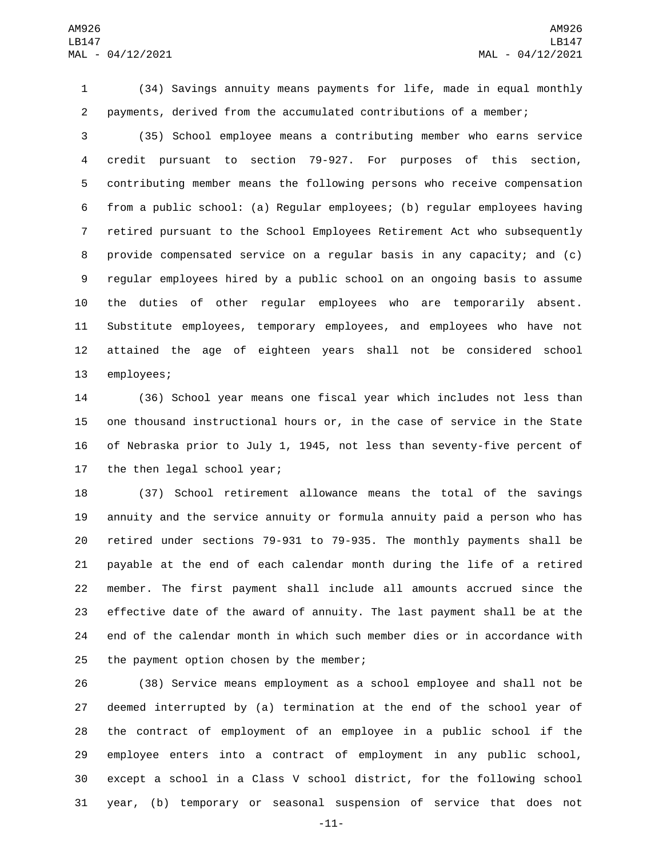(34) Savings annuity means payments for life, made in equal monthly payments, derived from the accumulated contributions of a member;

 (35) School employee means a contributing member who earns service credit pursuant to section 79-927. For purposes of this section, contributing member means the following persons who receive compensation from a public school: (a) Regular employees; (b) regular employees having retired pursuant to the School Employees Retirement Act who subsequently provide compensated service on a regular basis in any capacity; and (c) regular employees hired by a public school on an ongoing basis to assume the duties of other regular employees who are temporarily absent. Substitute employees, temporary employees, and employees who have not attained the age of eighteen years shall not be considered school 13 employees;

 (36) School year means one fiscal year which includes not less than one thousand instructional hours or, in the case of service in the State of Nebraska prior to July 1, 1945, not less than seventy-five percent of 17 the then legal school year;

 (37) School retirement allowance means the total of the savings annuity and the service annuity or formula annuity paid a person who has retired under sections 79-931 to 79-935. The monthly payments shall be payable at the end of each calendar month during the life of a retired member. The first payment shall include all amounts accrued since the effective date of the award of annuity. The last payment shall be at the end of the calendar month in which such member dies or in accordance with 25 the payment option chosen by the member;

 (38) Service means employment as a school employee and shall not be deemed interrupted by (a) termination at the end of the school year of the contract of employment of an employee in a public school if the employee enters into a contract of employment in any public school, except a school in a Class V school district, for the following school year, (b) temporary or seasonal suspension of service that does not

-11-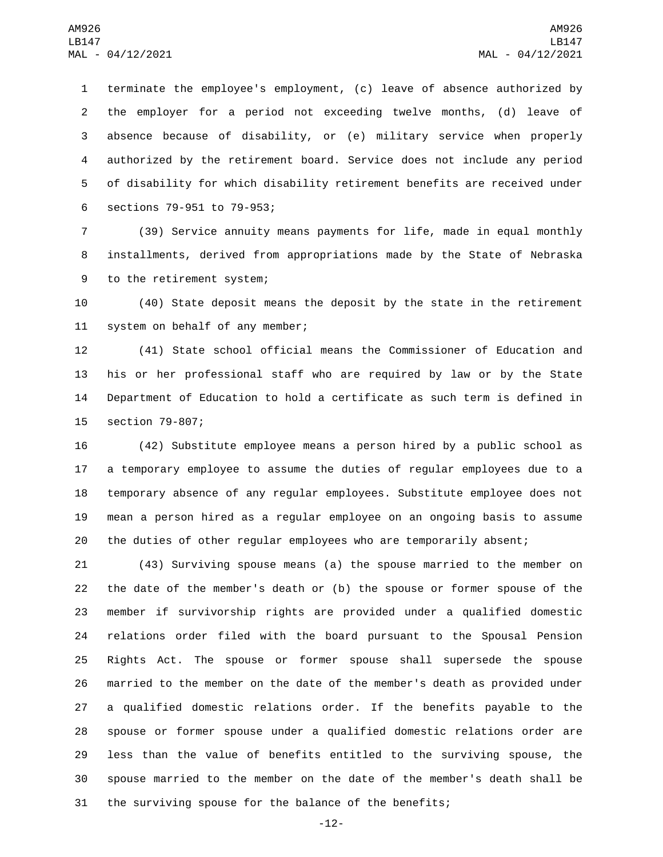terminate the employee's employment, (c) leave of absence authorized by the employer for a period not exceeding twelve months, (d) leave of absence because of disability, or (e) military service when properly authorized by the retirement board. Service does not include any period of disability for which disability retirement benefits are received under 6 sections 79-951 to 79-953;

 (39) Service annuity means payments for life, made in equal monthly installments, derived from appropriations made by the State of Nebraska 9 to the retirement system;

 (40) State deposit means the deposit by the state in the retirement 11 system on behalf of any member;

 (41) State school official means the Commissioner of Education and his or her professional staff who are required by law or by the State Department of Education to hold a certificate as such term is defined in 15 section 79-807;

 (42) Substitute employee means a person hired by a public school as a temporary employee to assume the duties of regular employees due to a temporary absence of any regular employees. Substitute employee does not mean a person hired as a regular employee on an ongoing basis to assume the duties of other regular employees who are temporarily absent;

 (43) Surviving spouse means (a) the spouse married to the member on the date of the member's death or (b) the spouse or former spouse of the member if survivorship rights are provided under a qualified domestic relations order filed with the board pursuant to the Spousal Pension Rights Act. The spouse or former spouse shall supersede the spouse married to the member on the date of the member's death as provided under a qualified domestic relations order. If the benefits payable to the spouse or former spouse under a qualified domestic relations order are less than the value of benefits entitled to the surviving spouse, the spouse married to the member on the date of the member's death shall be the surviving spouse for the balance of the benefits;

-12-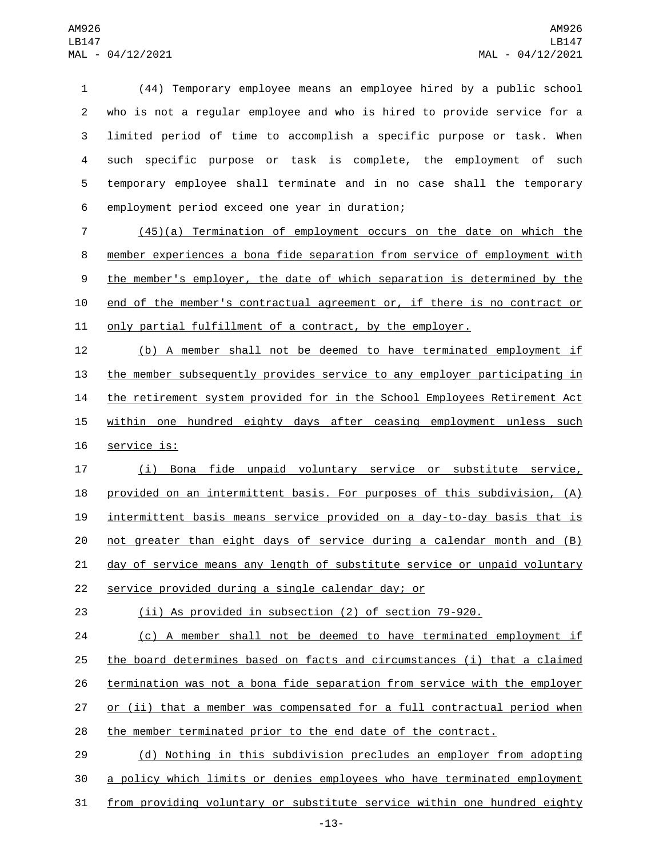(44) Temporary employee means an employee hired by a public school who is not a regular employee and who is hired to provide service for a limited period of time to accomplish a specific purpose or task. When such specific purpose or task is complete, the employment of such temporary employee shall terminate and in no case shall the temporary 6 employment period exceed one year in duration;

7 (45)(a) Termination of employment occurs on the date on which the 8 member experiences a bona fide separation from service of employment with 9 the member's employer, the date of which separation is determined by the 10 end of the member's contractual agreement or, if there is no contract or 11 only partial fulfillment of a contract, by the employer.

12 (b) A member shall not be deemed to have terminated employment if 13 the member subsequently provides service to any employer participating in 14 the retirement system provided for in the School Employees Retirement Act 15 within one hundred eighty days after ceasing employment unless such 16 service is:

 (i) Bona fide unpaid voluntary service or substitute service, provided on an intermittent basis. For purposes of this subdivision, (A) intermittent basis means service provided on a day-to-day basis that is not greater than eight days of service during a calendar month and (B) day of service means any length of substitute service or unpaid voluntary 22 service provided during a single calendar day; or

23 (ii) As provided in subsection (2) of section 79-920.

24 (c) A member shall not be deemed to have terminated employment if 25 the board determines based on facts and circumstances (i) that a claimed 26 termination was not a bona fide separation from service with the employer 27 or (ii) that a member was compensated for a full contractual period when 28 the member terminated prior to the end date of the contract.

29 (d) Nothing in this subdivision precludes an employer from adopting 30 a policy which limits or denies employees who have terminated employment 31 from providing voluntary or substitute service within one hundred eighty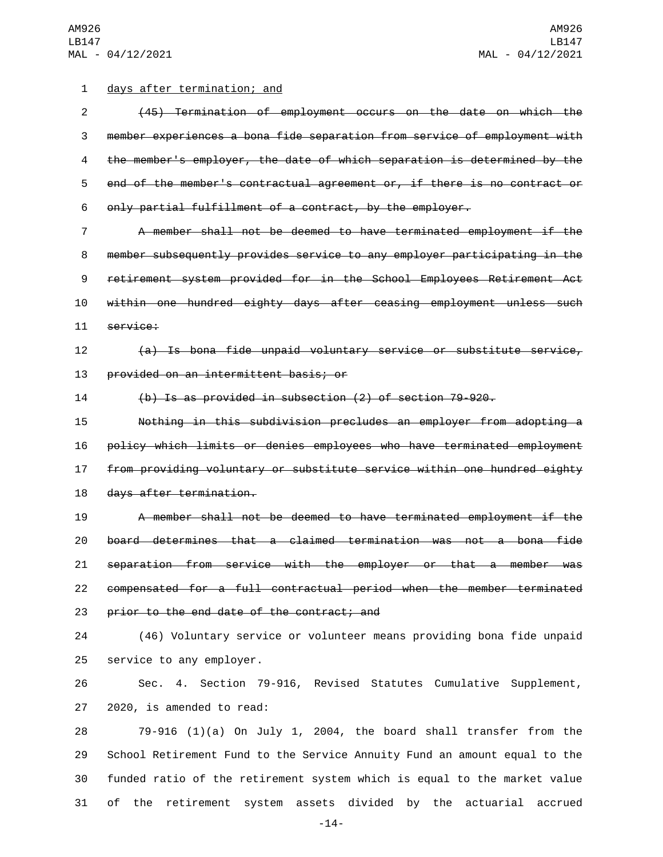## 1 days after termination; and

 (45) Termination of employment occurs on the date on which the member experiences a bona fide separation from service of employment with the member's employer, the date of which separation is determined by the end of the member's contractual agreement or, if there is no contract or only partial fulfillment of a contract, by the employer.

 A member shall not be deemed to have terminated employment if the member subsequently provides service to any employer participating in the retirement system provided for in the School Employees Retirement Act within one hundred eighty days after ceasing employment unless such 11 service:

(a) Is bona fide unpaid voluntary service or substitute service,

13 provided on an intermittent basis; or

(b) Is as provided in subsection (2) of section 79-920.

 Nothing in this subdivision precludes an employer from adopting a policy which limits or denies employees who have terminated employment from providing voluntary or substitute service within one hundred eighty 18 days after termination.

 A member shall not be deemed to have terminated employment if the board determines that a claimed termination was not a bona fide separation from service with the employer or that a member was compensated for a full contractual period when the member terminated 23 prior to the end date of the contract; and

 (46) Voluntary service or volunteer means providing bona fide unpaid 25 service to any employer.

 Sec. 4. Section 79-916, Revised Statutes Cumulative Supplement, 27 2020, is amended to read:

 79-916 (1)(a) On July 1, 2004, the board shall transfer from the School Retirement Fund to the Service Annuity Fund an amount equal to the funded ratio of the retirement system which is equal to the market value of the retirement system assets divided by the actuarial accrued

-14-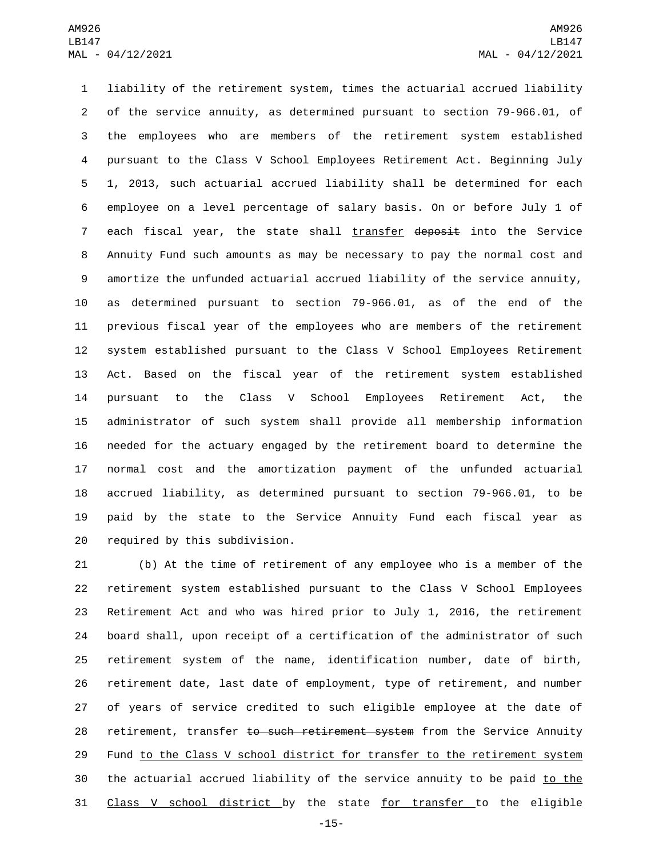liability of the retirement system, times the actuarial accrued liability of the service annuity, as determined pursuant to section 79-966.01, of the employees who are members of the retirement system established pursuant to the Class V School Employees Retirement Act. Beginning July 1, 2013, such actuarial accrued liability shall be determined for each employee on a level percentage of salary basis. On or before July 1 of 7 each fiscal year, the state shall transfer deposit into the Service Annuity Fund such amounts as may be necessary to pay the normal cost and amortize the unfunded actuarial accrued liability of the service annuity, as determined pursuant to section 79-966.01, as of the end of the previous fiscal year of the employees who are members of the retirement system established pursuant to the Class V School Employees Retirement Act. Based on the fiscal year of the retirement system established pursuant to the Class V School Employees Retirement Act, the administrator of such system shall provide all membership information needed for the actuary engaged by the retirement board to determine the normal cost and the amortization payment of the unfunded actuarial accrued liability, as determined pursuant to section 79-966.01, to be paid by the state to the Service Annuity Fund each fiscal year as 20 required by this subdivision.

 (b) At the time of retirement of any employee who is a member of the retirement system established pursuant to the Class V School Employees Retirement Act and who was hired prior to July 1, 2016, the retirement board shall, upon receipt of a certification of the administrator of such retirement system of the name, identification number, date of birth, retirement date, last date of employment, type of retirement, and number of years of service credited to such eligible employee at the date of 28 retirement, transfer to such retirement system from the Service Annuity Fund to the Class V school district for transfer to the retirement system 30 the actuarial accrued liability of the service annuity to be paid to the Class V school district by the state for transfer to the eligible

-15-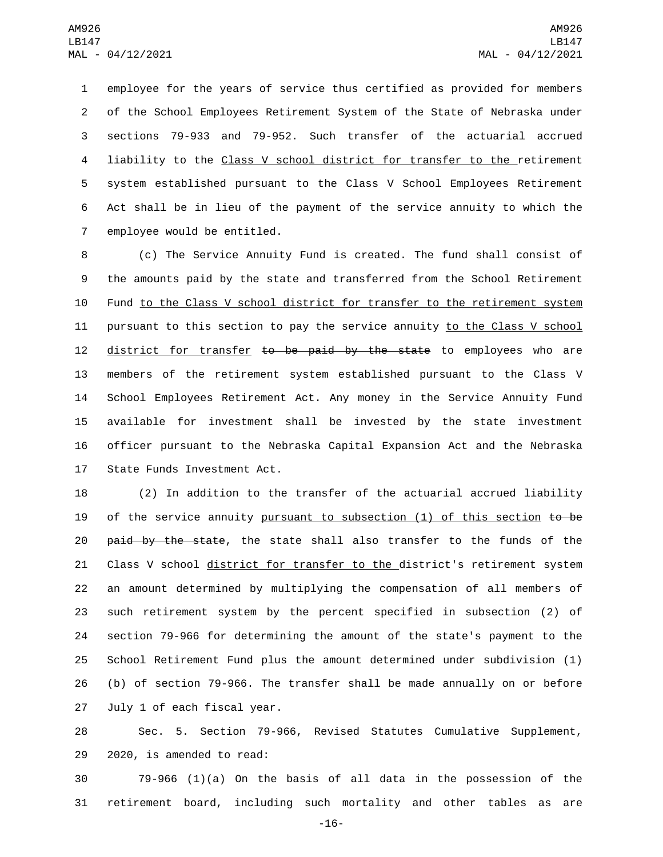employee for the years of service thus certified as provided for members of the School Employees Retirement System of the State of Nebraska under sections 79-933 and 79-952. Such transfer of the actuarial accrued liability to the Class V school district for transfer to the retirement system established pursuant to the Class V School Employees Retirement Act shall be in lieu of the payment of the service annuity to which the 7 employee would be entitled.

 (c) The Service Annuity Fund is created. The fund shall consist of the amounts paid by the state and transferred from the School Retirement Fund to the Class V school district for transfer to the retirement system pursuant to this section to pay the service annuity to the Class V school 12 district for transfer to be paid by the state to employees who are members of the retirement system established pursuant to the Class V School Employees Retirement Act. Any money in the Service Annuity Fund available for investment shall be invested by the state investment officer pursuant to the Nebraska Capital Expansion Act and the Nebraska 17 State Funds Investment Act.

 (2) In addition to the transfer of the actuarial accrued liability 19 of the service annuity pursuant to subsection  $(1)$  of this section  $t\mathbf{o}$  be 20 <del>paid by the state</del>, the state shall also transfer to the funds of the 21 Class V school district for transfer to the district's retirement system an amount determined by multiplying the compensation of all members of such retirement system by the percent specified in subsection (2) of section 79-966 for determining the amount of the state's payment to the School Retirement Fund plus the amount determined under subdivision (1) (b) of section 79-966. The transfer shall be made annually on or before 27 July 1 of each fiscal year.

 Sec. 5. Section 79-966, Revised Statutes Cumulative Supplement, 29 2020, is amended to read:

 79-966 (1)(a) On the basis of all data in the possession of the retirement board, including such mortality and other tables as are

-16-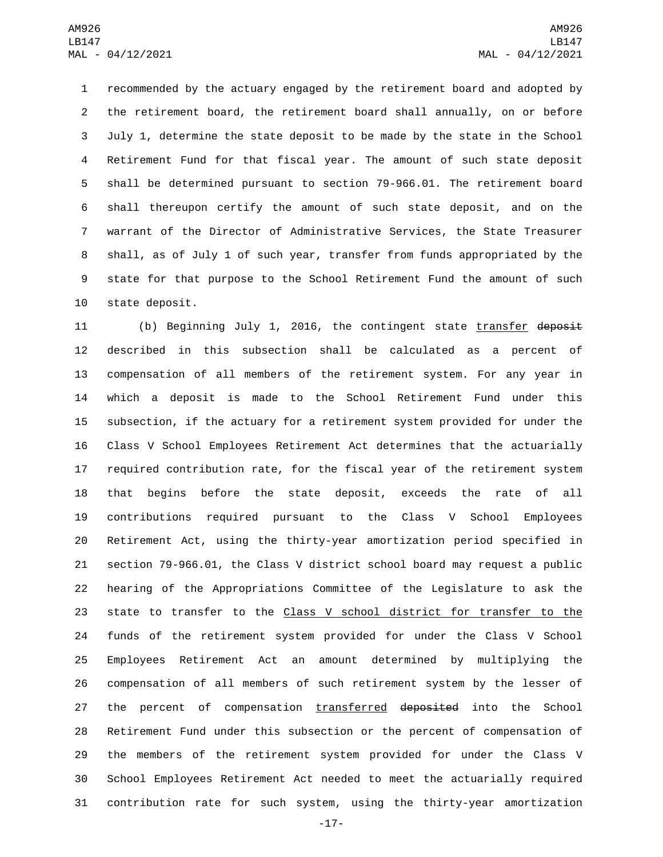recommended by the actuary engaged by the retirement board and adopted by the retirement board, the retirement board shall annually, on or before July 1, determine the state deposit to be made by the state in the School Retirement Fund for that fiscal year. The amount of such state deposit shall be determined pursuant to section 79-966.01. The retirement board shall thereupon certify the amount of such state deposit, and on the warrant of the Director of Administrative Services, the State Treasurer shall, as of July 1 of such year, transfer from funds appropriated by the state for that purpose to the School Retirement Fund the amount of such 10 state deposit.

11 (b) Beginning July 1, 2016, the contingent state transfer deposit described in this subsection shall be calculated as a percent of compensation of all members of the retirement system. For any year in which a deposit is made to the School Retirement Fund under this subsection, if the actuary for a retirement system provided for under the Class V School Employees Retirement Act determines that the actuarially required contribution rate, for the fiscal year of the retirement system that begins before the state deposit, exceeds the rate of all contributions required pursuant to the Class V School Employees Retirement Act, using the thirty-year amortization period specified in section 79-966.01, the Class V district school board may request a public hearing of the Appropriations Committee of the Legislature to ask the state to transfer to the Class V school district for transfer to the funds of the retirement system provided for under the Class V School Employees Retirement Act an amount determined by multiplying the compensation of all members of such retirement system by the lesser of 27 the percent of compensation transferred deposited into the School Retirement Fund under this subsection or the percent of compensation of the members of the retirement system provided for under the Class V School Employees Retirement Act needed to meet the actuarially required contribution rate for such system, using the thirty-year amortization

-17-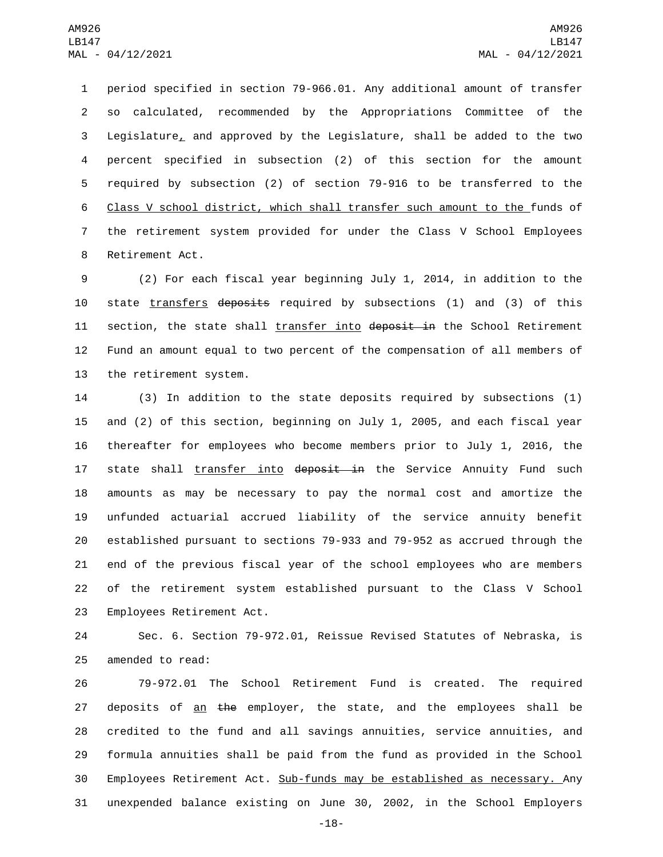period specified in section 79-966.01. Any additional amount of transfer so calculated, recommended by the Appropriations Committee of the Legislature, and approved by the Legislature, shall be added to the two percent specified in subsection (2) of this section for the amount required by subsection (2) of section 79-916 to be transferred to the Class V school district, which shall transfer such amount to the funds of the retirement system provided for under the Class V School Employees 8 Retirement Act.

9 (2) For each fiscal year beginning July 1, 2014, in addition to the 10 state transfers deposits required by subsections (1) and (3) of this 11 section, the state shall transfer into deposit in the School Retirement 12 Fund an amount equal to two percent of the compensation of all members of 13 the retirement system.

 (3) In addition to the state deposits required by subsections (1) and (2) of this section, beginning on July 1, 2005, and each fiscal year thereafter for employees who become members prior to July 1, 2016, the 17 state shall transfer into deposit in the Service Annuity Fund such amounts as may be necessary to pay the normal cost and amortize the unfunded actuarial accrued liability of the service annuity benefit established pursuant to sections 79-933 and 79-952 as accrued through the end of the previous fiscal year of the school employees who are members of the retirement system established pursuant to the Class V School 23 Employees Retirement Act.

24 Sec. 6. Section 79-972.01, Reissue Revised Statutes of Nebraska, is 25 amended to read:

 79-972.01 The School Retirement Fund is created. The required 27 deposits of an the employer, the state, and the employees shall be credited to the fund and all savings annuities, service annuities, and formula annuities shall be paid from the fund as provided in the School 30 Employees Retirement Act. Sub-funds may be established as necessary. Any unexpended balance existing on June 30, 2002, in the School Employers

-18-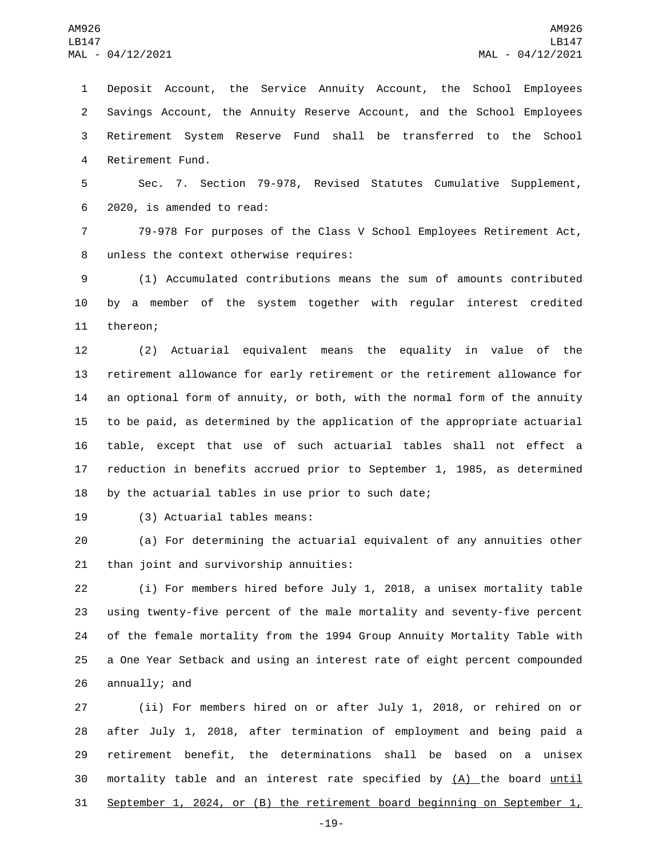Deposit Account, the Service Annuity Account, the School Employees Savings Account, the Annuity Reserve Account, and the School Employees Retirement System Reserve Fund shall be transferred to the School 4 Retirement Fund.

 Sec. 7. Section 79-978, Revised Statutes Cumulative Supplement, 6 2020, is amended to read:

 79-978 For purposes of the Class V School Employees Retirement Act, 8 unless the context otherwise requires:

 (1) Accumulated contributions means the sum of amounts contributed by a member of the system together with regular interest credited 11 thereon;

 (2) Actuarial equivalent means the equality in value of the retirement allowance for early retirement or the retirement allowance for an optional form of annuity, or both, with the normal form of the annuity to be paid, as determined by the application of the appropriate actuarial table, except that use of such actuarial tables shall not effect a reduction in benefits accrued prior to September 1, 1985, as determined by the actuarial tables in use prior to such date;

19 (3) Actuarial tables means:

 (a) For determining the actuarial equivalent of any annuities other 21 than joint and survivorship annuities:

 (i) For members hired before July 1, 2018, a unisex mortality table using twenty-five percent of the male mortality and seventy-five percent of the female mortality from the 1994 Group Annuity Mortality Table with a One Year Setback and using an interest rate of eight percent compounded 26 annually; and

 (ii) For members hired on or after July 1, 2018, or rehired on or after July 1, 2018, after termination of employment and being paid a retirement benefit, the determinations shall be based on a unisex 30 mortality table and an interest rate specified by (A) the board until September 1, 2024, or (B) the retirement board beginning on September 1,

-19-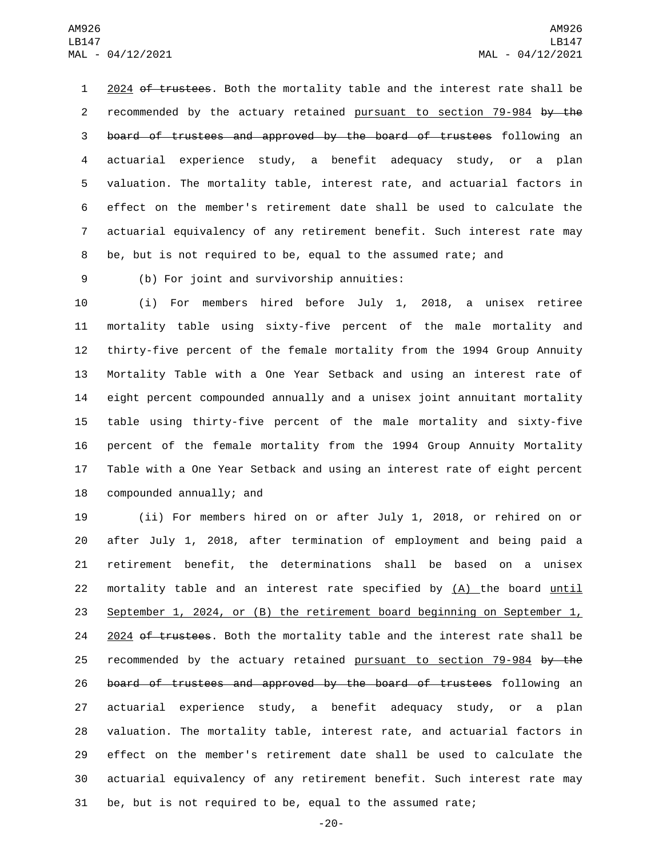1 2024 of trustees. Both the mortality table and the interest rate shall be 2 recommended by the actuary retained pursuant to section 79-984 by the board of trustees and approved by the board of trustees following an actuarial experience study, a benefit adequacy study, or a plan valuation. The mortality table, interest rate, and actuarial factors in effect on the member's retirement date shall be used to calculate the actuarial equivalency of any retirement benefit. Such interest rate may be, but is not required to be, equal to the assumed rate; and

(b) For joint and survivorship annuities:9

 (i) For members hired before July 1, 2018, a unisex retiree mortality table using sixty-five percent of the male mortality and thirty-five percent of the female mortality from the 1994 Group Annuity Mortality Table with a One Year Setback and using an interest rate of eight percent compounded annually and a unisex joint annuitant mortality table using thirty-five percent of the male mortality and sixty-five percent of the female mortality from the 1994 Group Annuity Mortality Table with a One Year Setback and using an interest rate of eight percent 18 compounded annually; and

 (ii) For members hired on or after July 1, 2018, or rehired on or after July 1, 2018, after termination of employment and being paid a retirement benefit, the determinations shall be based on a unisex mortality table and an interest rate specified by (A) the board until September 1, 2024, or (B) the retirement board beginning on September 1, 24 2024 of trustees. Both the mortality table and the interest rate shall be 25 recommended by the actuary retained pursuant to section 79-984 by the 26 board of trustees and approved by the board of trustees following an actuarial experience study, a benefit adequacy study, or a plan valuation. The mortality table, interest rate, and actuarial factors in effect on the member's retirement date shall be used to calculate the actuarial equivalency of any retirement benefit. Such interest rate may be, but is not required to be, equal to the assumed rate;

-20-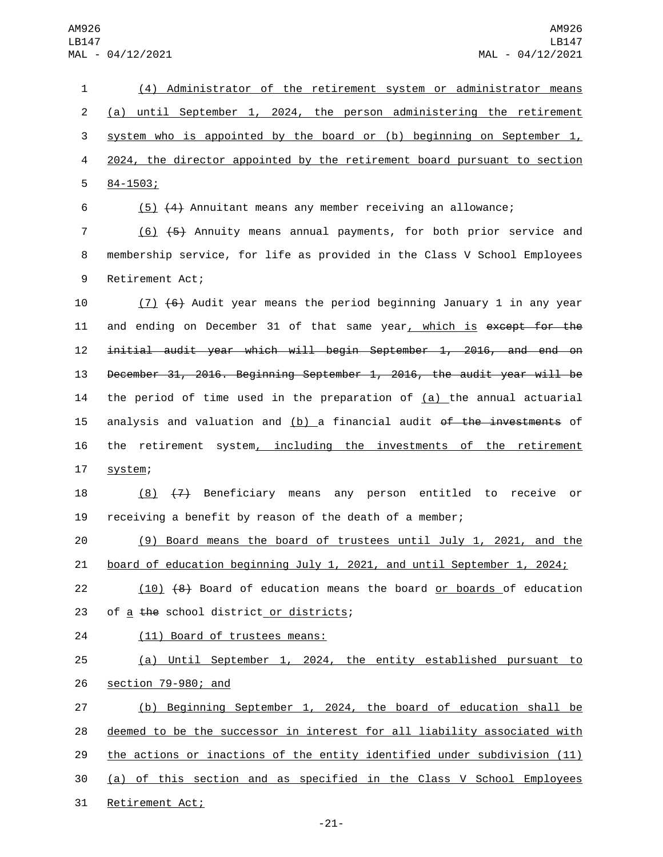(4) Administrator of the retirement system or administrator means (a) until September 1, 2024, the person administering the retirement system who is appointed by the board or (b) beginning on September 1, 2024, the director appointed by the retirement board pursuant to section  $584 - 1503;$ 

6 (5) (4) Annuitant means any member receiving an allowance;

7 (6) (5) Annuity means annual payments, for both prior service and 8 membership service, for life as provided in the Class V School Employees 9 Retirement Act;

10 (7) (6) Audit year means the period beginning January 1 in any year 11 and ending on December 31 of that same year, which is except for the 12 initial audit year which will begin September 1, 2016, and end on 13 December 31, 2016. Beginning September 1, 2016, the audit year will be 14 the period of time used in the preparation of  $(a)$  the annual actuarial 15 analysis and valuation and  $(b)$  a financial audit of the investments of 16 the retirement system, including the investments of the retirement 17 system;

18 (8) (7) Beneficiary means any person entitled to receive or 19 receiving a benefit by reason of the death of a member;

20 (9) Board means the board of trustees until July 1, 2021, and the 21 board of education beginning July 1, 2021, and until September 1, 2024;

22 (10) (8) Board of education means the board or boards of education 23 of a the school district or districts;

24 (11) Board of trustees means:

25 (a) Until September 1, 2024, the entity established pursuant to 26 section 79-980; and

 (b) Beginning September 1, 2024, the board of education shall be deemed to be the successor in interest for all liability associated with the actions or inactions of the entity identified under subdivision (11) (a) of this section and as specified in the Class V School Employees 31 Retirement Act;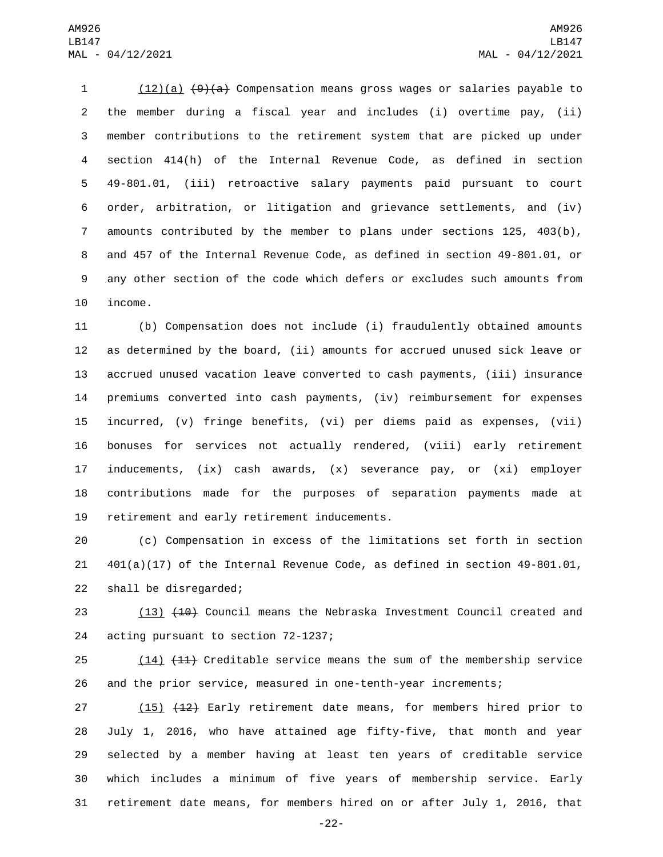(12)(a) (9)(a) Compensation means gross wages or salaries payable to the member during a fiscal year and includes (i) overtime pay, (ii) member contributions to the retirement system that are picked up under section 414(h) of the Internal Revenue Code, as defined in section 49-801.01, (iii) retroactive salary payments paid pursuant to court order, arbitration, or litigation and grievance settlements, and (iv) amounts contributed by the member to plans under sections 125, 403(b), and 457 of the Internal Revenue Code, as defined in section 49-801.01, or any other section of the code which defers or excludes such amounts from 10 income.

 (b) Compensation does not include (i) fraudulently obtained amounts as determined by the board, (ii) amounts for accrued unused sick leave or accrued unused vacation leave converted to cash payments, (iii) insurance premiums converted into cash payments, (iv) reimbursement for expenses incurred, (v) fringe benefits, (vi) per diems paid as expenses, (vii) bonuses for services not actually rendered, (viii) early retirement inducements, (ix) cash awards, (x) severance pay, or (xi) employer contributions made for the purposes of separation payments made at 19 retirement and early retirement inducements.

 (c) Compensation in excess of the limitations set forth in section 401(a)(17) of the Internal Revenue Code, as defined in section 49-801.01, 22 shall be disregarded;

23 (13) (10) Council means the Nebraska Investment Council created and 24 acting pursuant to section 72-1237;

25 (14) (11) Creditable service means the sum of the membership service and the prior service, measured in one-tenth-year increments;

27 (15) (12) Early retirement date means, for members hired prior to July 1, 2016, who have attained age fifty-five, that month and year selected by a member having at least ten years of creditable service which includes a minimum of five years of membership service. Early retirement date means, for members hired on or after July 1, 2016, that

-22-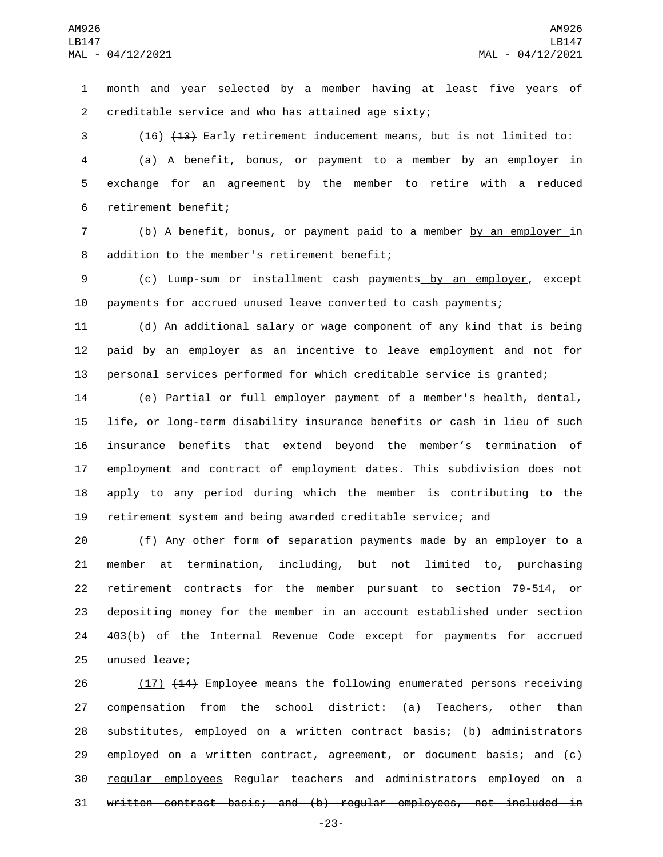month and year selected by a member having at least five years of creditable service and who has attained age sixty;2

 (16) (13) Early retirement inducement means, but is not limited to: (a) A benefit, bonus, or payment to a member by an employer in exchange for an agreement by the member to retire with a reduced 6 retirement benefit;

 (b) A benefit, bonus, or payment paid to a member by an employer in 8 addition to the member's retirement benefit;

 (c) Lump-sum or installment cash payments by an employer, except payments for accrued unused leave converted to cash payments;

 (d) An additional salary or wage component of any kind that is being 12 paid by an employer as an incentive to leave employment and not for personal services performed for which creditable service is granted;

 (e) Partial or full employer payment of a member's health, dental, life, or long-term disability insurance benefits or cash in lieu of such insurance benefits that extend beyond the member's termination of employment and contract of employment dates. This subdivision does not apply to any period during which the member is contributing to the retirement system and being awarded creditable service; and

 (f) Any other form of separation payments made by an employer to a member at termination, including, but not limited to, purchasing retirement contracts for the member pursuant to section 79-514, or depositing money for the member in an account established under section 403(b) of the Internal Revenue Code except for payments for accrued 25 unused leave;

26 (17) (14) Employee means the following enumerated persons receiving 27 compensation from the school district: (a) Teachers, other than substitutes, employed on a written contract basis; (b) administrators 29 employed on a written contract, agreement, or document basis; and (c) regular employees Regular teachers and administrators employed on a written contract basis; and (b) regular employees, not included in

-23-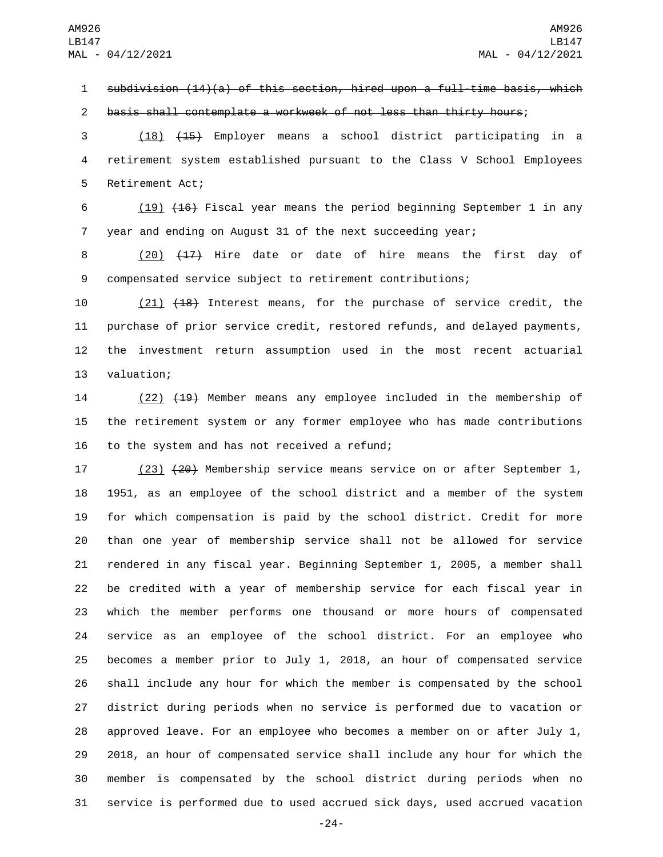subdivision (14)(a) of this section, hired upon a full-time basis, which

basis shall contemplate a workweek of not less than thirty hours;

 (18) (15) Employer means a school district participating in a retirement system established pursuant to the Class V School Employees 5 Retirement Act;

 (19) (16) Fiscal year means the period beginning September 1 in any year and ending on August 31 of the next succeeding year;

8 (20) (17) Hire date or date of hire means the first day of compensated service subject to retirement contributions;

 (21) (18) Interest means, for the purchase of service credit, the purchase of prior service credit, restored refunds, and delayed payments, the investment return assumption used in the most recent actuarial 13 valuation;

 (22) (19) Member means any employee included in the membership of the retirement system or any former employee who has made contributions 16 to the system and has not received a refund;

17 (23) (20) Membership service means service on or after September 1, 1951, as an employee of the school district and a member of the system for which compensation is paid by the school district. Credit for more than one year of membership service shall not be allowed for service rendered in any fiscal year. Beginning September 1, 2005, a member shall be credited with a year of membership service for each fiscal year in which the member performs one thousand or more hours of compensated service as an employee of the school district. For an employee who becomes a member prior to July 1, 2018, an hour of compensated service shall include any hour for which the member is compensated by the school district during periods when no service is performed due to vacation or approved leave. For an employee who becomes a member on or after July 1, 2018, an hour of compensated service shall include any hour for which the member is compensated by the school district during periods when no service is performed due to used accrued sick days, used accrued vacation

-24-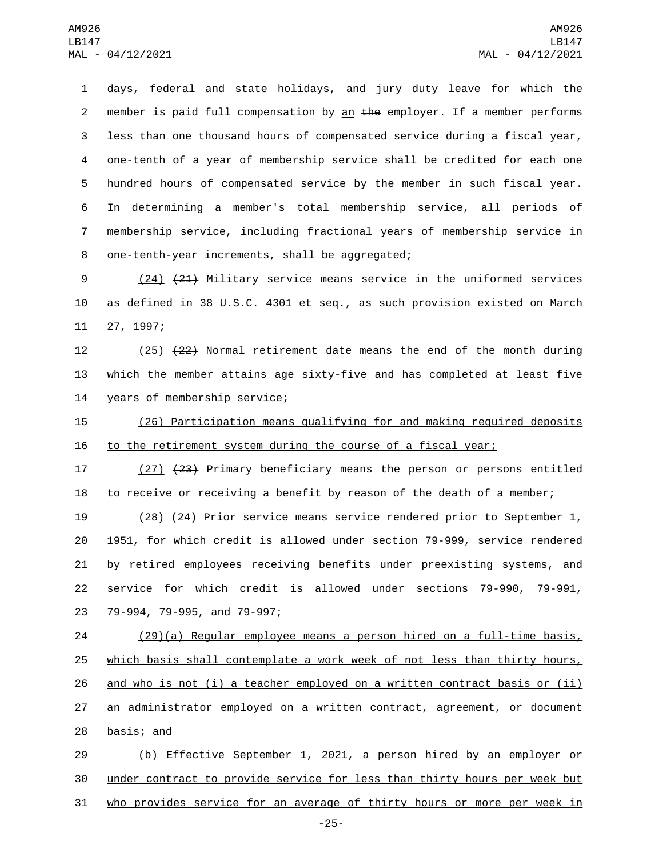days, federal and state holidays, and jury duty leave for which the 2 member is paid full compensation by an  $the$  employer. If a member performs less than one thousand hours of compensated service during a fiscal year, one-tenth of a year of membership service shall be credited for each one hundred hours of compensated service by the member in such fiscal year. In determining a member's total membership service, all periods of membership service, including fractional years of membership service in 8 one-tenth-year increments, shall be aggregated;

9 (24) (21) Military service means service in the uniformed services 10 as defined in 38 U.S.C. 4301 et seq., as such provision existed on March 11 27, 1997;

12 (25) (22) Normal retirement date means the end of the month during 13 which the member attains age sixty-five and has completed at least five 14 years of membership service;

15 (26) Participation means qualifying for and making required deposits 16 to the retirement system during the course of a fiscal year;

17 (27) (23) Primary beneficiary means the person or persons entitled 18 to receive or receiving a benefit by reason of the death of a member;

 (28) (24) Prior service means service rendered prior to September 1, 1951, for which credit is allowed under section 79-999, service rendered by retired employees receiving benefits under preexisting systems, and service for which credit is allowed under sections 79-990, 79-991, 23 79-994, 79-995, and 79-997;

24 (29)(a) Regular employee means a person hired on a full-time basis, 25 which basis shall contemplate a work week of not less than thirty hours, 26 and who is not (i) a teacher employed on a written contract basis or (ii) 27 an administrator employed on a written contract, agreement, or document 28 basis; and

29 (b) Effective September 1, 2021, a person hired by an employer or 30 under contract to provide service for less than thirty hours per week but 31 who provides service for an average of thirty hours or more per week in

-25-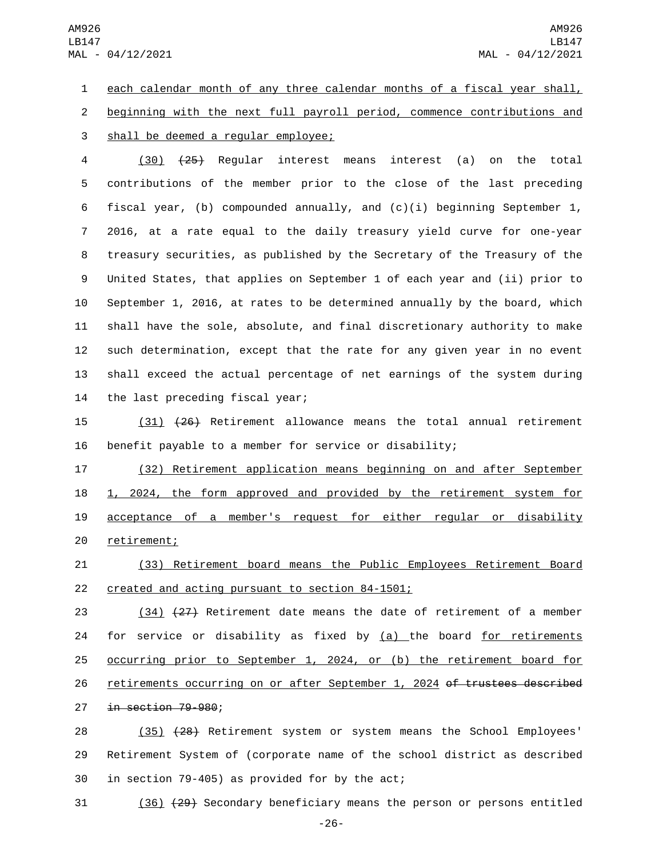AM926 LB147 MAL - 04/12/2021

1 each calendar month of any three calendar months of a fiscal year shall, 2 beginning with the next full payroll period, commence contributions and 3 shall be deemed a regular employee;

 (30) (25) Regular interest means interest (a) on the total contributions of the member prior to the close of the last preceding fiscal year, (b) compounded annually, and (c)(i) beginning September 1, 2016, at a rate equal to the daily treasury yield curve for one-year treasury securities, as published by the Secretary of the Treasury of the United States, that applies on September 1 of each year and (ii) prior to September 1, 2016, at rates to be determined annually by the board, which shall have the sole, absolute, and final discretionary authority to make such determination, except that the rate for any given year in no event shall exceed the actual percentage of net earnings of the system during 14 the last preceding fiscal year;

15 (31) (26) Retirement allowance means the total annual retirement 16 benefit payable to a member for service or disability;

 (32) Retirement application means beginning on and after September 1, 2024, the form approved and provided by the retirement system for acceptance of a member's request for either regular or disability 20 retirement;

21 (33) Retirement board means the Public Employees Retirement Board 22 created and acting pursuant to section 84-1501;

23 (34) (27) Retirement date means the date of retirement of a member 24 for service or disability as fixed by  $(a)$  the board for retirements 25 occurring prior to September 1, 2024, or (b) the retirement board for 26 retirements occurring on or after September 1, 2024 of trustees described 27 in section 79-980;

28 (35) (28) Retirement system or system means the School Employees' 29 Retirement System of (corporate name of the school district as described 30 in section 79-405) as provided for by the act;

31 (36) (29) Secondary beneficiary means the person or persons entitled

-26-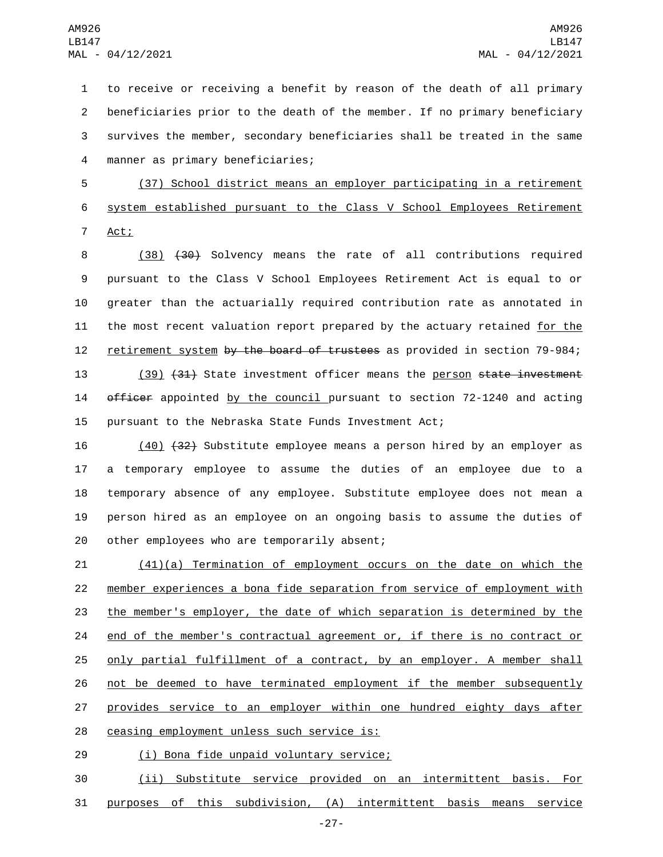to receive or receiving a benefit by reason of the death of all primary beneficiaries prior to the death of the member. If no primary beneficiary survives the member, secondary beneficiaries shall be treated in the same manner as primary beneficiaries;4

5 (37) School district means an employer participating in a retirement 6 system established pursuant to the Class V School Employees Retirement 7 Act;

8 (38) (30) Solvency means the rate of all contributions required 9 pursuant to the Class V School Employees Retirement Act is equal to or 10 greater than the actuarially required contribution rate as annotated in 11 the most recent valuation report prepared by the actuary retained for the 12 retirement system by the board of trustees as provided in section 79-984;

13 (39) (31) State investment officer means the person state investment 14 officer appointed by the council pursuant to section 72-1240 and acting 15 pursuant to the Nebraska State Funds Investment Act;

 (40) (32) Substitute employee means a person hired by an employer as a temporary employee to assume the duties of an employee due to a temporary absence of any employee. Substitute employee does not mean a person hired as an employee on an ongoing basis to assume the duties of 20 other employees who are temporarily absent;

 (41)(a) Termination of employment occurs on the date on which the member experiences a bona fide separation from service of employment with the member's employer, the date of which separation is determined by the end of the member's contractual agreement or, if there is no contract or only partial fulfillment of a contract, by an employer. A member shall not be deemed to have terminated employment if the member subsequently 27 provides service to an employer within one hundred eighty days after 28 ceasing employment unless such service is:

(i) Bona fide unpaid voluntary service;29

30 (ii) Substitute service provided on an intermittent basis. For 31 purposes of this subdivision, (A) intermittent basis means service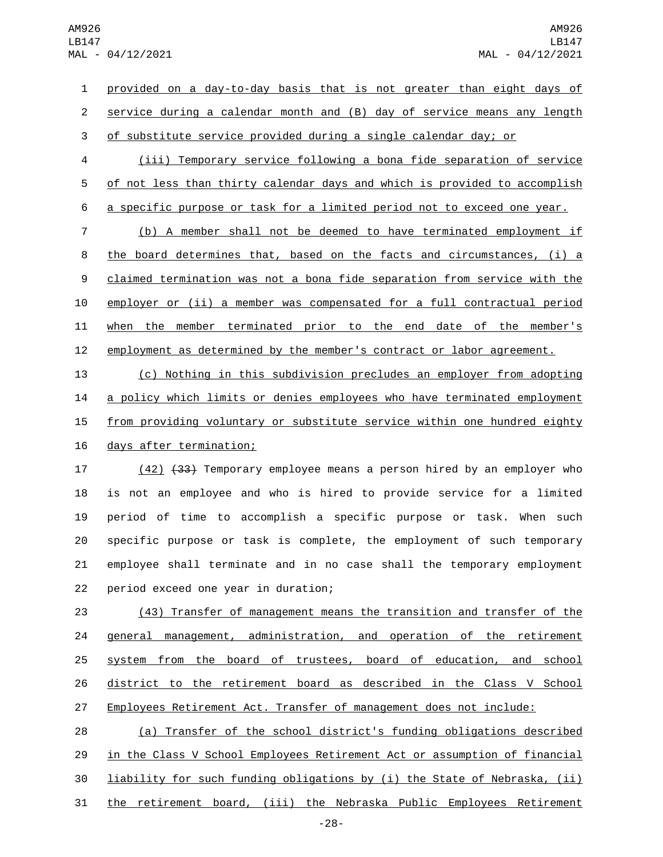provided on a day-to-day basis that is not greater than eight days of service during a calendar month and (B) day of service means any length of substitute service provided during a single calendar day; or

 (iii) Temporary service following a bona fide separation of service of not less than thirty calendar days and which is provided to accomplish a specific purpose or task for a limited period not to exceed one year.

 (b) A member shall not be deemed to have terminated employment if the board determines that, based on the facts and circumstances, (i) a claimed termination was not a bona fide separation from service with the employer or (ii) a member was compensated for a full contractual period when the member terminated prior to the end date of the member's employment as determined by the member's contract or labor agreement.

 (c) Nothing in this subdivision precludes an employer from adopting a policy which limits or denies employees who have terminated employment 15 from providing voluntary or substitute service within one hundred eighty 16 days after termination;

17 (42) <del>(33)</del> Temporary employee means a person hired by an employer who is not an employee and who is hired to provide service for a limited period of time to accomplish a specific purpose or task. When such specific purpose or task is complete, the employment of such temporary employee shall terminate and in no case shall the temporary employment 22 period exceed one year in duration;

 (43) Transfer of management means the transition and transfer of the general management, administration, and operation of the retirement system from the board of trustees, board of education, and school district to the retirement board as described in the Class V School Employees Retirement Act. Transfer of management does not include:

 (a) Transfer of the school district's funding obligations described in the Class V School Employees Retirement Act or assumption of financial liability for such funding obligations by (i) the State of Nebraska, (ii) the retirement board, (iii) the Nebraska Public Employees Retirement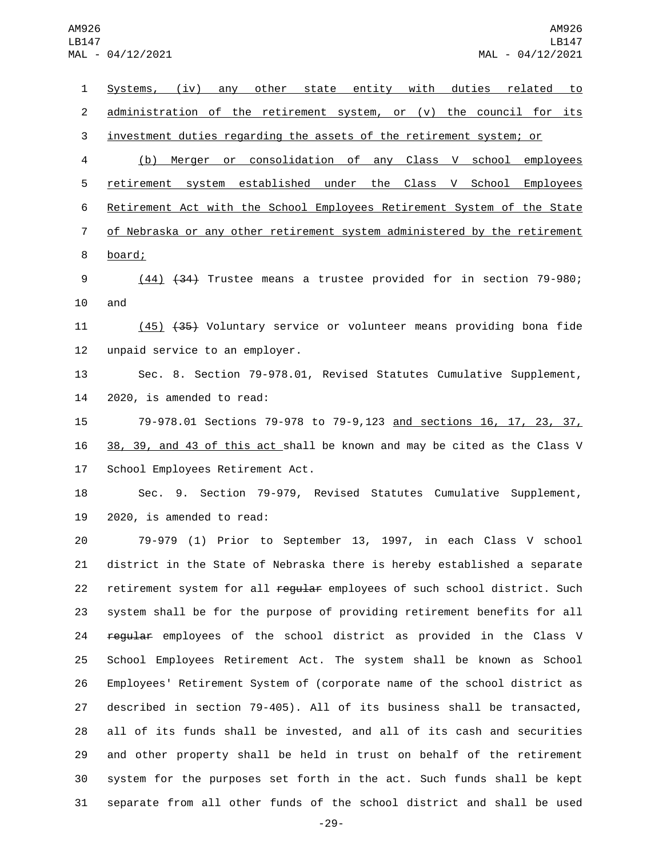Systems, (iv) any other state entity with duties related to 2 administration of the retirement system, or (v) the council for its investment duties regarding the assets of the retirement system; or (b) Merger or consolidation of any Class V school employees retirement system established under the Class V School Employees Retirement Act with the School Employees Retirement System of the State of Nebraska or any other retirement system administered by the retirement 8 board; (44) (34) Trustee means a trustee provided for in section 79-980; and (45) (35) Voluntary service or volunteer means providing bona fide 12 unpaid service to an employer. Sec. 8. Section 79-978.01, Revised Statutes Cumulative Supplement, 14 2020, is amended to read: 79-978.01 Sections 79-978 to 79-9,123 and sections 16, 17, 23, 37, 38, 39, and 43 of this act shall be known and may be cited as the Class V 17 School Employees Retirement Act. Sec. 9. Section 79-979, Revised Statutes Cumulative Supplement,  $2020$ , is amended to read: 79-979 (1) Prior to September 13, 1997, in each Class V school district in the State of Nebraska there is hereby established a separate 22 retirement system for all regular employees of such school district. Such system shall be for the purpose of providing retirement benefits for all 24 regular employees of the school district as provided in the Class V School Employees Retirement Act. The system shall be known as School Employees' Retirement System of (corporate name of the school district as described in section 79-405). All of its business shall be transacted, all of its funds shall be invested, and all of its cash and securities and other property shall be held in trust on behalf of the retirement system for the purposes set forth in the act. Such funds shall be kept separate from all other funds of the school district and shall be used

-29-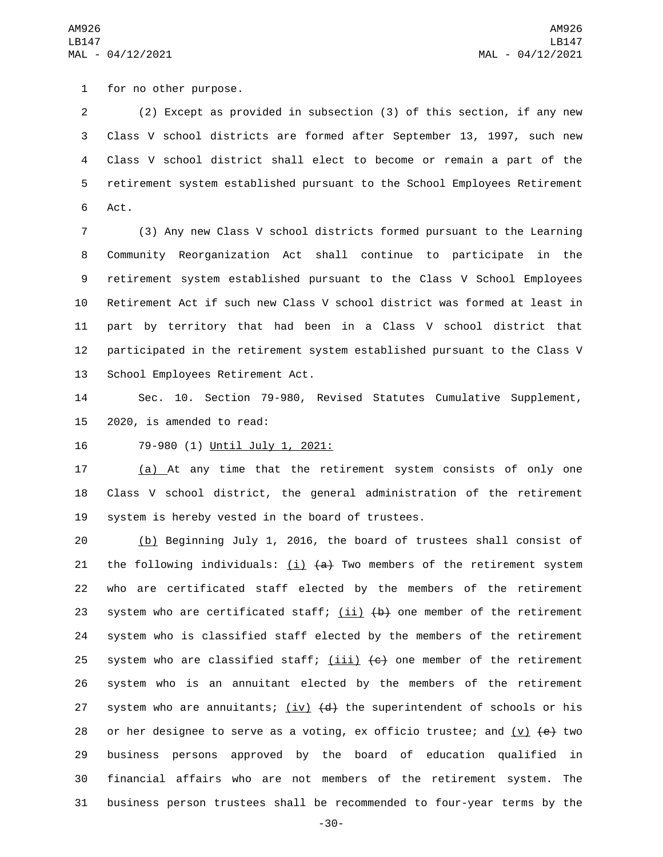1 for no other purpose.

 (2) Except as provided in subsection (3) of this section, if any new Class V school districts are formed after September 13, 1997, such new Class V school district shall elect to become or remain a part of the retirement system established pursuant to the School Employees Retirement 6 Act.

 (3) Any new Class V school districts formed pursuant to the Learning Community Reorganization Act shall continue to participate in the retirement system established pursuant to the Class V School Employees Retirement Act if such new Class V school district was formed at least in part by territory that had been in a Class V school district that participated in the retirement system established pursuant to the Class V 13 School Employees Retirement Act.

14 Sec. 10. Section 79-980, Revised Statutes Cumulative Supplement, 15 2020, is amended to read:

16 79-980 (1) Until July 1, 2021:

17 (a) At any time that the retirement system consists of only one 18 Class V school district, the general administration of the retirement 19 system is hereby vested in the board of trustees.

20 (b) Beginning July 1, 2016, the board of trustees shall consist of 21 the following individuals:  $(i)$   $(a)$  Two members of the retirement system 22 who are certificated staff elected by the members of the retirement 23 system who are certificated staff;  $(i)$   $(i)$   $(b)$  one member of the retirement 24 system who is classified staff elected by the members of the retirement 25 system who are classified staff;  $(iii)$   $(e)$  one member of the retirement 26 system who is an annuitant elected by the members of the retirement 27 system who are annuitants;  $(iv)$   $(d)$  the superintendent of schools or his 28 or her designee to serve as a voting, ex officio trustee; and  $(v)$   $(e)$  two 29 business persons approved by the board of education qualified in 30 financial affairs who are not members of the retirement system. The 31 business person trustees shall be recommended to four-year terms by the

-30-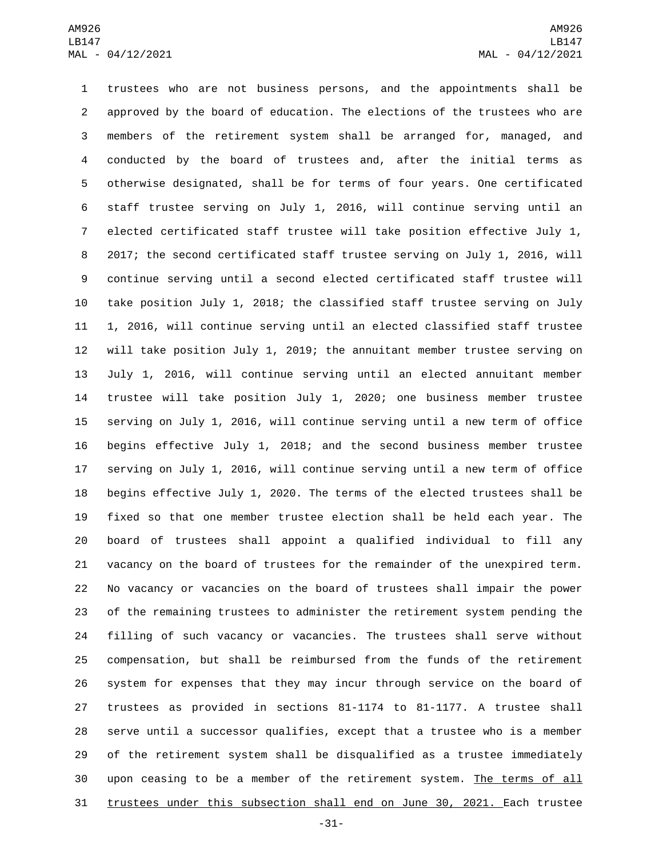trustees who are not business persons, and the appointments shall be approved by the board of education. The elections of the trustees who are members of the retirement system shall be arranged for, managed, and conducted by the board of trustees and, after the initial terms as otherwise designated, shall be for terms of four years. One certificated staff trustee serving on July 1, 2016, will continue serving until an elected certificated staff trustee will take position effective July 1, 2017; the second certificated staff trustee serving on July 1, 2016, will continue serving until a second elected certificated staff trustee will take position July 1, 2018; the classified staff trustee serving on July 1, 2016, will continue serving until an elected classified staff trustee will take position July 1, 2019; the annuitant member trustee serving on July 1, 2016, will continue serving until an elected annuitant member trustee will take position July 1, 2020; one business member trustee serving on July 1, 2016, will continue serving until a new term of office begins effective July 1, 2018; and the second business member trustee serving on July 1, 2016, will continue serving until a new term of office begins effective July 1, 2020. The terms of the elected trustees shall be fixed so that one member trustee election shall be held each year. The board of trustees shall appoint a qualified individual to fill any vacancy on the board of trustees for the remainder of the unexpired term. No vacancy or vacancies on the board of trustees shall impair the power of the remaining trustees to administer the retirement system pending the filling of such vacancy or vacancies. The trustees shall serve without compensation, but shall be reimbursed from the funds of the retirement system for expenses that they may incur through service on the board of trustees as provided in sections 81-1174 to 81-1177. A trustee shall serve until a successor qualifies, except that a trustee who is a member of the retirement system shall be disqualified as a trustee immediately 30 upon ceasing to be a member of the retirement system. The terms of all trustees under this subsection shall end on June 30, 2021. Each trustee

-31-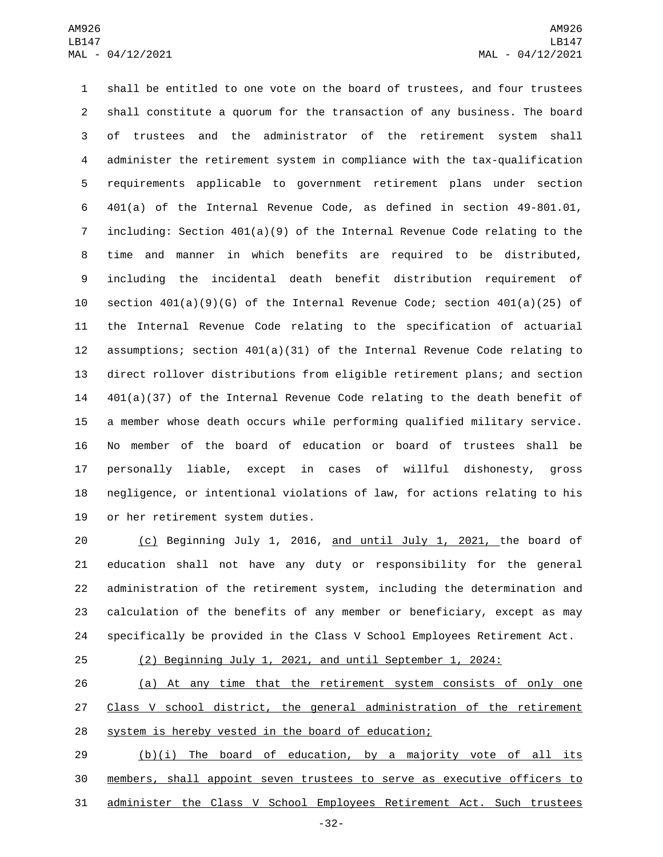shall be entitled to one vote on the board of trustees, and four trustees shall constitute a quorum for the transaction of any business. The board of trustees and the administrator of the retirement system shall administer the retirement system in compliance with the tax-qualification requirements applicable to government retirement plans under section 401(a) of the Internal Revenue Code, as defined in section 49-801.01, including: Section 401(a)(9) of the Internal Revenue Code relating to the time and manner in which benefits are required to be distributed, including the incidental death benefit distribution requirement of 10 section  $401(a)(9)(G)$  of the Internal Revenue Code; section  $401(a)(25)$  of the Internal Revenue Code relating to the specification of actuarial assumptions; section 401(a)(31) of the Internal Revenue Code relating to direct rollover distributions from eligible retirement plans; and section 401(a)(37) of the Internal Revenue Code relating to the death benefit of a member whose death occurs while performing qualified military service. No member of the board of education or board of trustees shall be personally liable, except in cases of willful dishonesty, gross negligence, or intentional violations of law, for actions relating to his 19 or her retirement system duties.

 (c) Beginning July 1, 2016, and until July 1, 2021, the board of education shall not have any duty or responsibility for the general administration of the retirement system, including the determination and calculation of the benefits of any member or beneficiary, except as may specifically be provided in the Class V School Employees Retirement Act.

## (2) Beginning July 1, 2021, and until September 1, 2024:

 (a) At any time that the retirement system consists of only one 27 Class V school district, the general administration of the retirement system is hereby vested in the board of education;

29 (b)(i) The board of education, by a majority vote of all its members, shall appoint seven trustees to serve as executive officers to administer the Class V School Employees Retirement Act. Such trustees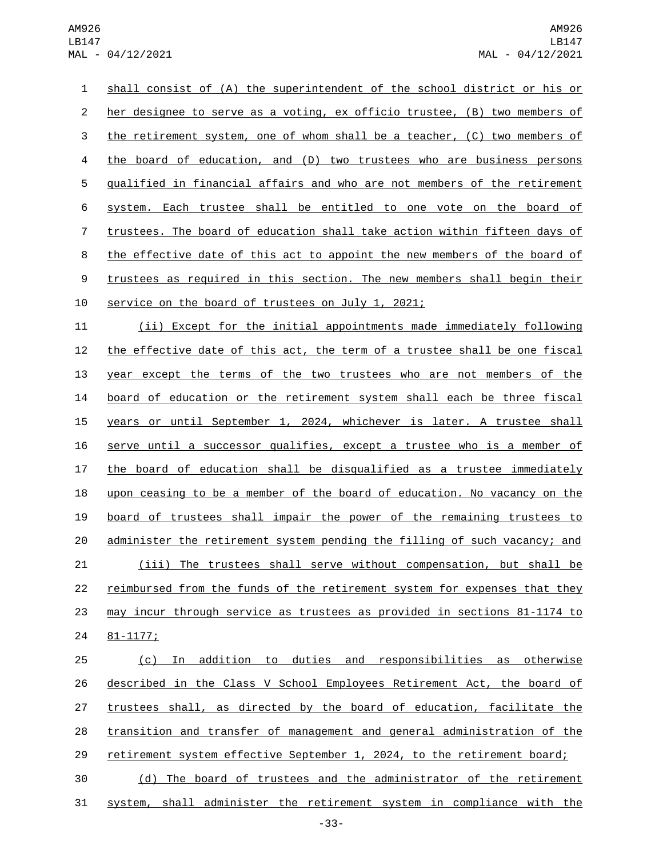shall consist of (A) the superintendent of the school district or his or her designee to serve as a voting, ex officio trustee, (B) two members of 3 the retirement system, one of whom shall be a teacher, (C) two members of the board of education, and (D) two trustees who are business persons qualified in financial affairs and who are not members of the retirement system. Each trustee shall be entitled to one vote on the board of trustees. The board of education shall take action within fifteen days of the effective date of this act to appoint the new members of the board of 9 trustees as required in this section. The new members shall begin their 10 service on the board of trustees on July 1, 2021;

 (ii) Except for the initial appointments made immediately following 12 the effective date of this act, the term of a trustee shall be one fiscal year except the terms of the two trustees who are not members of the board of education or the retirement system shall each be three fiscal years or until September 1, 2024, whichever is later. A trustee shall serve until a successor qualifies, except a trustee who is a member of the board of education shall be disqualified as a trustee immediately upon ceasing to be a member of the board of education. No vacancy on the board of trustees shall impair the power of the remaining trustees to administer the retirement system pending the filling of such vacancy; and (iii) The trustees shall serve without compensation, but shall be reimbursed from the funds of the retirement system for expenses that they 23 may incur through service as trustees as provided in sections 81-1174 to 24 81-1177;

 (c) In addition to duties and responsibilities as otherwise described in the Class V School Employees Retirement Act, the board of trustees shall, as directed by the board of education, facilitate the transition and transfer of management and general administration of the retirement system effective September 1, 2024, to the retirement board; (d) The board of trustees and the administrator of the retirement

system, shall administer the retirement system in compliance with the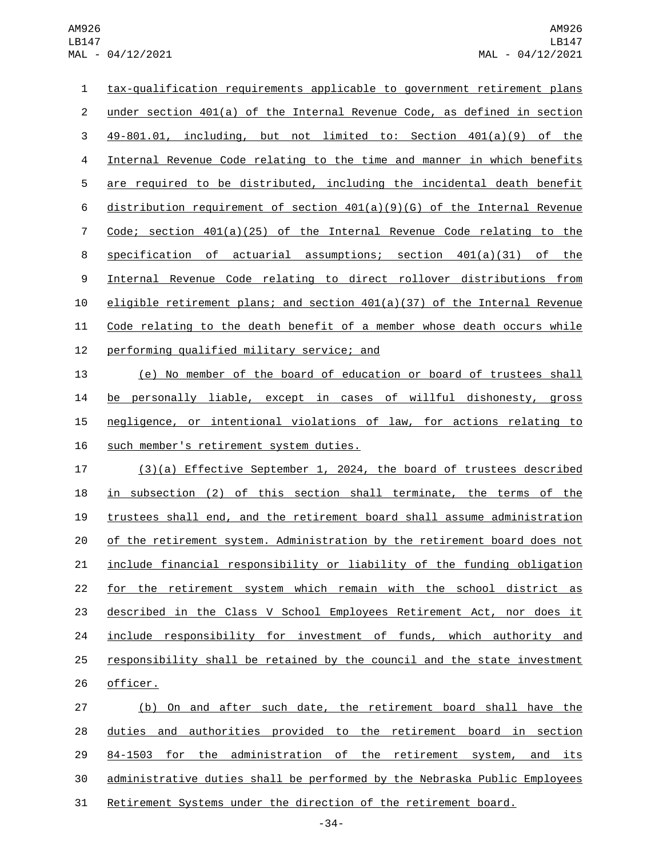AM926 LB147 MAL - 04/12/2021

 tax-qualification requirements applicable to government retirement plans under section 401(a) of the Internal Revenue Code, as defined in section 49-801.01, including, but not limited to: Section 401(a)(9) of the Internal Revenue Code relating to the time and manner in which benefits are required to be distributed, including the incidental death benefit distribution requirement of section 401(a)(9)(G) of the Internal Revenue Code; section 401(a)(25) of the Internal Revenue Code relating to the specification of actuarial assumptions; section 401(a)(31) of the Internal Revenue Code relating to direct rollover distributions from eligible retirement plans; and section 401(a)(37) of the Internal Revenue Code relating to the death benefit of a member whose death occurs while 12 performing qualified military service; and (e) No member of the board of education or board of trustees shall be personally liable, except in cases of willful dishonesty, gross

 negligence, or intentional violations of law, for actions relating to 16 such member's retirement system duties.

 (3)(a) Effective September 1, 2024, the board of trustees described in subsection (2) of this section shall terminate, the terms of the trustees shall end, and the retirement board shall assume administration of the retirement system. Administration by the retirement board does not include financial responsibility or liability of the funding obligation for the retirement system which remain with the school district as described in the Class V School Employees Retirement Act, nor does it include responsibility for investment of funds, which authority and responsibility shall be retained by the council and the state investment 26 officer.

 (b) On and after such date, the retirement board shall have the duties and authorities provided to the retirement board in section 84-1503 for the administration of the retirement system, and its administrative duties shall be performed by the Nebraska Public Employees Retirement Systems under the direction of the retirement board.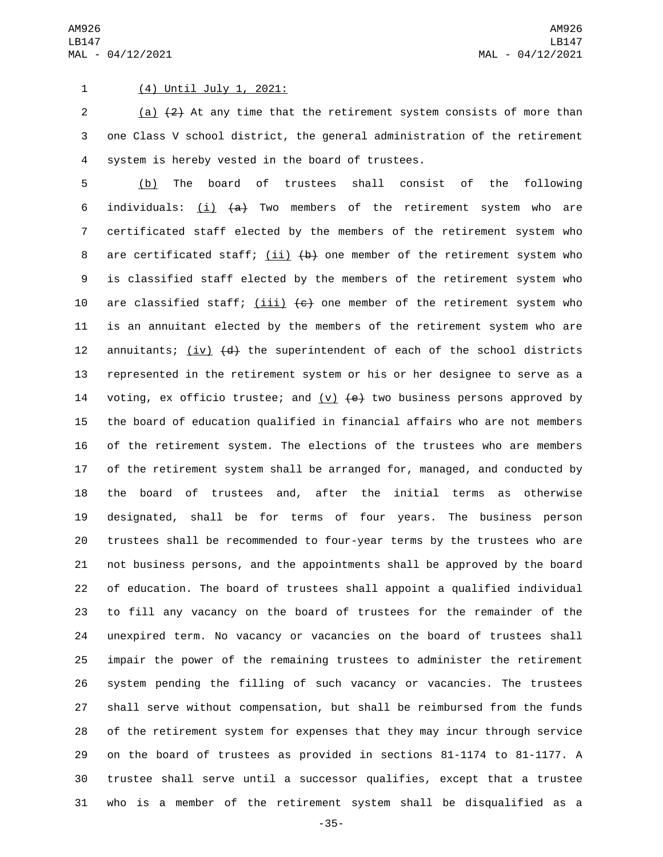## 1 (4) Until July 1, 2021:

2 (a)  $\{2\}$  At any time that the retirement system consists of more than one Class V school district, the general administration of the retirement 4 system is hereby vested in the board of trustees.

 (b) The board of trustees shall consist of the following 6 individuals:  $(i)$   $(4)$  Two members of the retirement system who are certificated staff elected by the members of the retirement system who 8 are certificated staff;  $(ii)$   $(b)$  one member of the retirement system who is classified staff elected by the members of the retirement system who 10 are classified staff;  $(iii)$   $(e)$  one member of the retirement system who is an annuitant elected by the members of the retirement system who are 12 annuitants;  $(iv)$   $(d)$  the superintendent of each of the school districts represented in the retirement system or his or her designee to serve as a 14 voting, ex officio trustee; and  $(v)$   $(e)$  two business persons approved by the board of education qualified in financial affairs who are not members of the retirement system. The elections of the trustees who are members of the retirement system shall be arranged for, managed, and conducted by the board of trustees and, after the initial terms as otherwise designated, shall be for terms of four years. The business person trustees shall be recommended to four-year terms by the trustees who are not business persons, and the appointments shall be approved by the board of education. The board of trustees shall appoint a qualified individual to fill any vacancy on the board of trustees for the remainder of the unexpired term. No vacancy or vacancies on the board of trustees shall impair the power of the remaining trustees to administer the retirement system pending the filling of such vacancy or vacancies. The trustees shall serve without compensation, but shall be reimbursed from the funds of the retirement system for expenses that they may incur through service on the board of trustees as provided in sections 81-1174 to 81-1177. A trustee shall serve until a successor qualifies, except that a trustee who is a member of the retirement system shall be disqualified as a

-35-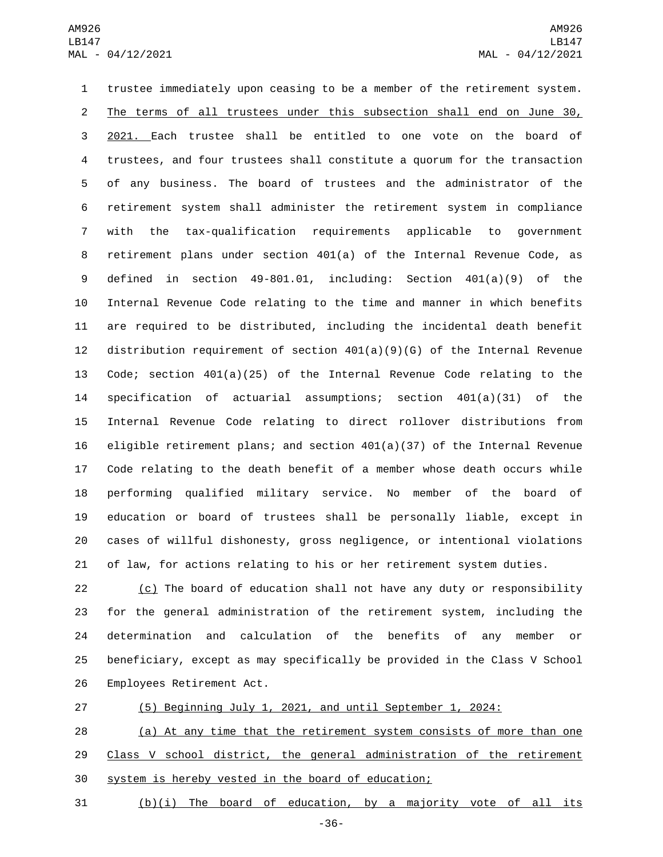trustee immediately upon ceasing to be a member of the retirement system. The terms of all trustees under this subsection shall end on June 30, 2021. Each trustee shall be entitled to one vote on the board of trustees, and four trustees shall constitute a quorum for the transaction of any business. The board of trustees and the administrator of the retirement system shall administer the retirement system in compliance with the tax-qualification requirements applicable to government retirement plans under section 401(a) of the Internal Revenue Code, as defined in section 49-801.01, including: Section 401(a)(9) of the Internal Revenue Code relating to the time and manner in which benefits are required to be distributed, including the incidental death benefit distribution requirement of section 401(a)(9)(G) of the Internal Revenue Code; section 401(a)(25) of the Internal Revenue Code relating to the specification of actuarial assumptions; section 401(a)(31) of the Internal Revenue Code relating to direct rollover distributions from 16 eligible retirement plans; and section  $401(a)(37)$  of the Internal Revenue Code relating to the death benefit of a member whose death occurs while performing qualified military service. No member of the board of education or board of trustees shall be personally liable, except in cases of willful dishonesty, gross negligence, or intentional violations of law, for actions relating to his or her retirement system duties.

 (c) The board of education shall not have any duty or responsibility for the general administration of the retirement system, including the determination and calculation of the benefits of any member or beneficiary, except as may specifically be provided in the Class V School 26 Employees Retirement Act.

 (5) Beginning July 1, 2021, and until September 1, 2024: (a) At any time that the retirement system consists of more than one 29 Class V school district, the general administration of the retirement system is hereby vested in the board of education;

(b)(i) The board of education, by a majority vote of all its

-36-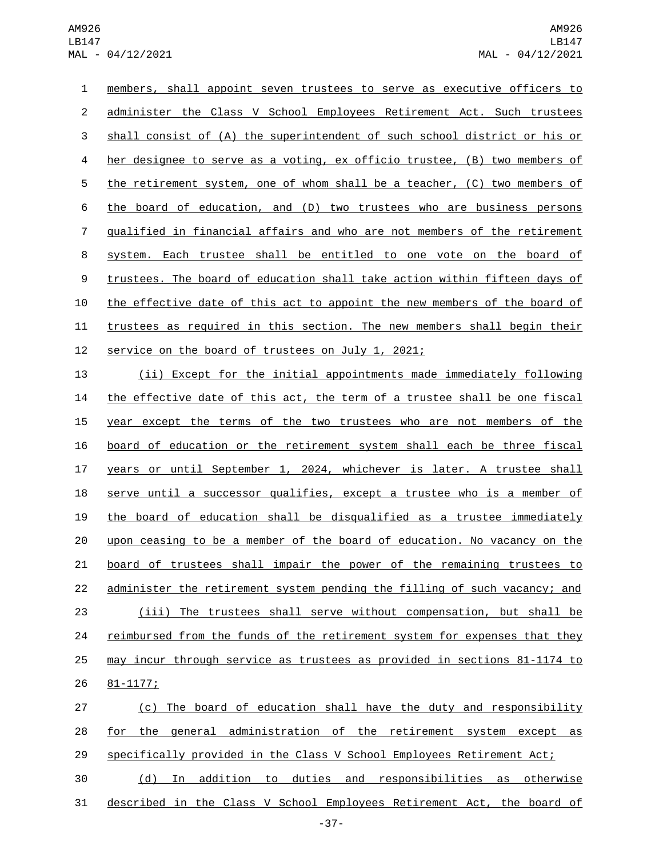members, shall appoint seven trustees to serve as executive officers to administer the Class V School Employees Retirement Act. Such trustees shall consist of (A) the superintendent of such school district or his or 4 her designee to serve as a voting, ex officio trustee, (B) two members of the retirement system, one of whom shall be a teacher, (C) two members of the board of education, and (D) two trustees who are business persons qualified in financial affairs and who are not members of the retirement system. Each trustee shall be entitled to one vote on the board of trustees. The board of education shall take action within fifteen days of the effective date of this act to appoint the new members of the board of trustees as required in this section. The new members shall begin their 12 service on the board of trustees on July 1, 2021;

 (ii) Except for the initial appointments made immediately following the effective date of this act, the term of a trustee shall be one fiscal 15 year except the terms of the two trustees who are not members of the board of education or the retirement system shall each be three fiscal years or until September 1, 2024, whichever is later. A trustee shall serve until a successor qualifies, except a trustee who is a member of the board of education shall be disqualified as a trustee immediately upon ceasing to be a member of the board of education. No vacancy on the board of trustees shall impair the power of the remaining trustees to administer the retirement system pending the filling of such vacancy; and (iii) The trustees shall serve without compensation, but shall be 24 reimbursed from the funds of the retirement system for expenses that they may incur through service as trustees as provided in sections 81-1174 to 81-1177;26

 (c) The board of education shall have the duty and responsibility for the general administration of the retirement system except as specifically provided in the Class V School Employees Retirement Act; (d) In addition to duties and responsibilities as otherwise

described in the Class V School Employees Retirement Act, the board of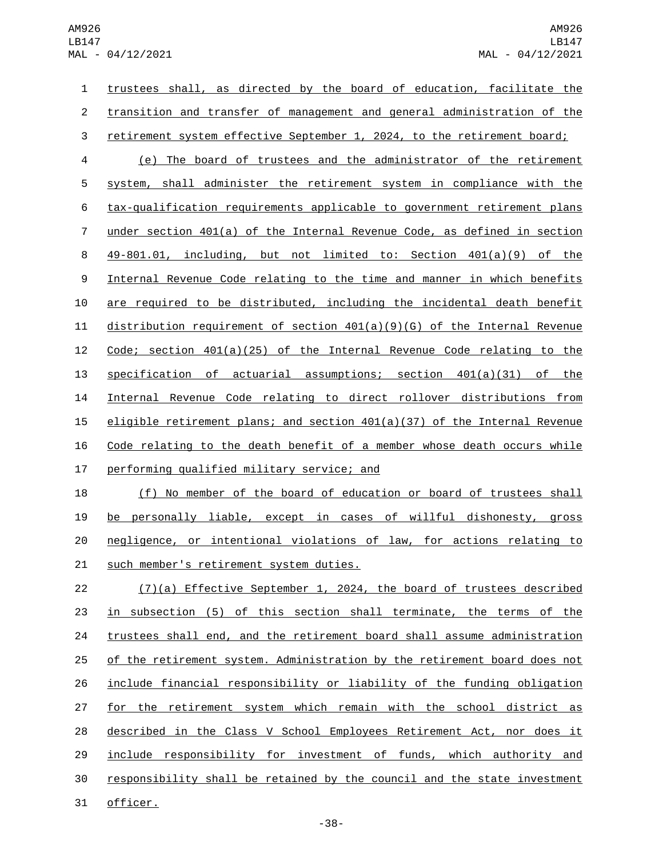trustees shall, as directed by the board of education, facilitate the transition and transfer of management and general administration of the 3 retirement system effective September 1, 2024, to the retirement board; (e) The board of trustees and the administrator of the retirement system, shall administer the retirement system in compliance with the tax-qualification requirements applicable to government retirement plans under section 401(a) of the Internal Revenue Code, as defined in section 49-801.01, including, but not limited to: Section 401(a)(9) of the Internal Revenue Code relating to the time and manner in which benefits are required to be distributed, including the incidental death benefit distribution requirement of section 401(a)(9)(G) of the Internal Revenue Code; section 401(a)(25) of the Internal Revenue Code relating to the specification of actuarial assumptions; section 401(a)(31) of the Internal Revenue Code relating to direct rollover distributions from 15 eligible retirement plans; and section  $401(a)(37)$  of the Internal Revenue Code relating to the death benefit of a member whose death occurs while 17 performing qualified military service; and

18 (f) No member of the board of education or board of trustees shall be personally liable, except in cases of willful dishonesty, gross negligence, or intentional violations of law, for actions relating to 21 such member's retirement system duties.

 (7)(a) Effective September 1, 2024, the board of trustees described 23 in subsection (5) of this section shall terminate, the terms of the trustees shall end, and the retirement board shall assume administration of the retirement system. Administration by the retirement board does not include financial responsibility or liability of the funding obligation 27 for the retirement system which remain with the school district as described in the Class V School Employees Retirement Act, nor does it include responsibility for investment of funds, which authority and responsibility shall be retained by the council and the state investment 31 officer.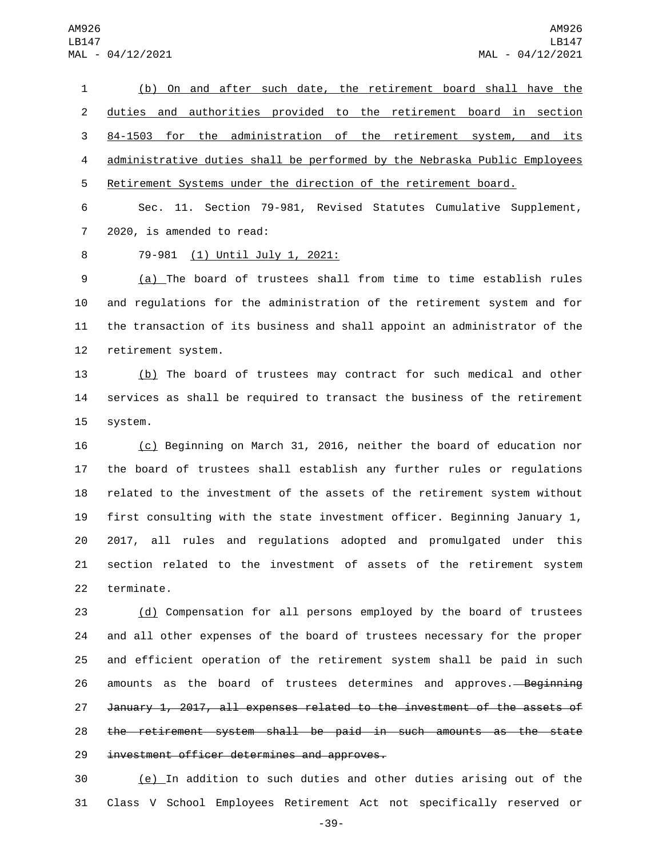(b) On and after such date, the retirement board shall have the duties and authorities provided to the retirement board in section 84-1503 for the administration of the retirement system, and its administrative duties shall be performed by the Nebraska Public Employees Retirement Systems under the direction of the retirement board.

 Sec. 11. Section 79-981, Revised Statutes Cumulative Supplement, 7 2020, is amended to read:

## 79-981 (1) Until July 1, 2021:8

 (a) The board of trustees shall from time to time establish rules and regulations for the administration of the retirement system and for the transaction of its business and shall appoint an administrator of the 12 retirement system.

 (b) The board of trustees may contract for such medical and other services as shall be required to transact the business of the retirement 15 system.

 (c) Beginning on March 31, 2016, neither the board of education nor the board of trustees shall establish any further rules or regulations related to the investment of the assets of the retirement system without first consulting with the state investment officer. Beginning January 1, 2017, all rules and regulations adopted and promulgated under this section related to the investment of assets of the retirement system 22 terminate.

 (d) Compensation for all persons employed by the board of trustees and all other expenses of the board of trustees necessary for the proper and efficient operation of the retirement system shall be paid in such 26 amounts as the board of trustees determines and approves. Beginning January 1, 2017, all expenses related to the investment of the assets of the retirement system shall be paid in such amounts as the state 29 investment officer determines and approves.

 (e) In addition to such duties and other duties arising out of the Class V School Employees Retirement Act not specifically reserved or

-39-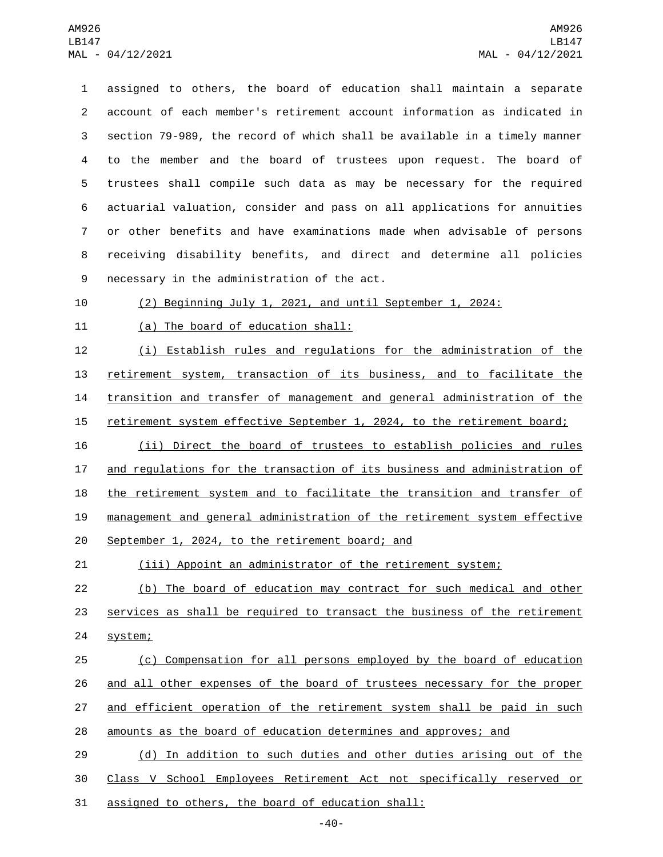assigned to others, the board of education shall maintain a separate account of each member's retirement account information as indicated in section 79-989, the record of which shall be available in a timely manner to the member and the board of trustees upon request. The board of trustees shall compile such data as may be necessary for the required actuarial valuation, consider and pass on all applications for annuities or other benefits and have examinations made when advisable of persons receiving disability benefits, and direct and determine all policies 9 necessary in the administration of the act.

(2) Beginning July 1, 2021, and until September 1, 2024:

11 (a) The board of education shall:

 (i) Establish rules and regulations for the administration of the retirement system, transaction of its business, and to facilitate the transition and transfer of management and general administration of the

15 retirement system effective September 1, 2024, to the retirement board;

 (ii) Direct the board of trustees to establish policies and rules and regulations for the transaction of its business and administration of 18 the retirement system and to facilitate the transition and transfer of management and general administration of the retirement system effective 20 September 1, 2024, to the retirement board; and

(iii) Appoint an administrator of the retirement system;

 (b) The board of education may contract for such medical and other services as shall be required to transact the business of the retirement 24 system;

 (c) Compensation for all persons employed by the board of education and all other expenses of the board of trustees necessary for the proper 27 and efficient operation of the retirement system shall be paid in such amounts as the board of education determines and approves; and

 (d) In addition to such duties and other duties arising out of the Class V School Employees Retirement Act not specifically reserved or 31 assigned to others, the board of education shall: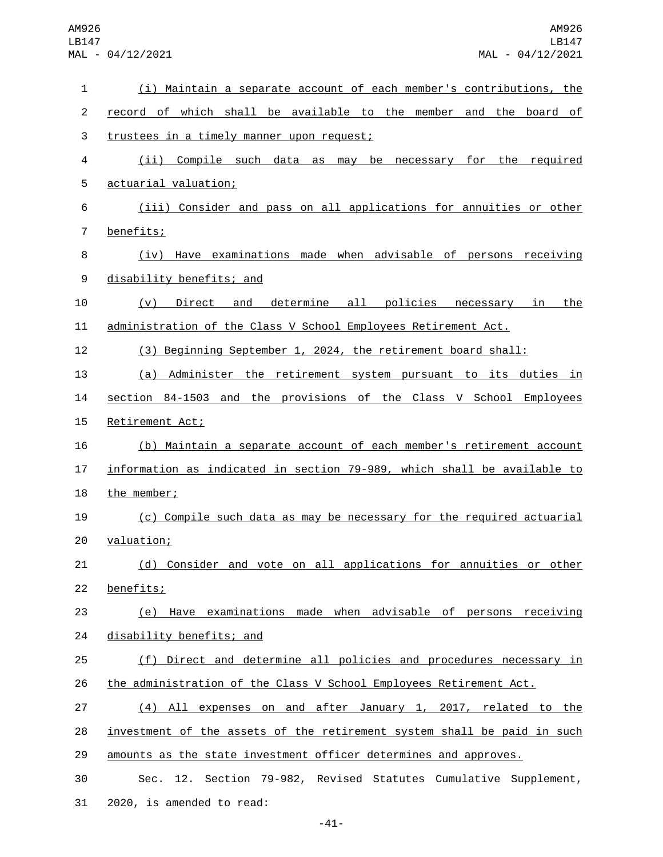| 1              | (i) Maintain a separate account of each member's contributions, the     |
|----------------|-------------------------------------------------------------------------|
| $\overline{c}$ | record of which shall be available to the member and the board of       |
| 3              | trustees in a timely manner upon request;                               |
| 4              | (ii) Compile such data as may be necessary for the required             |
| 5              | actuarial valuation;                                                    |
| 6              | (iii) Consider and pass on all applications for annuities or other      |
| $\overline{7}$ | benefits;                                                               |
| 8              | (iv) Have examinations made when advisable of persons receiving         |
| 9              | disability benefits; and                                                |
| 10             | determine all policies necessary in<br>Direct and<br><u>the</u><br>(V)  |
| 11             | administration of the Class V School Employees Retirement Act.          |
| 12             | (3) Beginning September 1, 2024, the retirement board shall:            |
| 13             | (a) Administer the retirement system pursuant to its duties in          |
| 14             | section 84-1503 and the provisions of the Class V School Employees      |
| 15             | Retirement Act;                                                         |
| 16             | (b) Maintain a separate account of each member's retirement account     |
| 17             | information as indicated in section 79-989, which shall be available to |
| 18             | the member;                                                             |
| 19             | (c) Compile such data as may be necessary for the required actuarial    |
| 20             | valuation;                                                              |
| 21             | (d) Consider and vote on all applications for annuities or other        |
| 22             | benefits;                                                               |
| 23             | (e) Have examinations made when advisable of persons receiving          |
| 24             | disability benefits; and                                                |
| 25             | (f) Direct and determine all policies and procedures necessary in       |
| 26             | the administration of the Class V School Employees Retirement Act.      |
| 27             | (4) All expenses on and after January 1, 2017, related to the           |
| 28             | investment of the assets of the retirement system shall be paid in such |
| 29             | amounts as the state investment officer determines and approves.        |
| 30             | Sec. 12. Section 79-982, Revised Statutes Cumulative Supplement,        |
| 31             | 2020, is amended to read:                                               |

-41-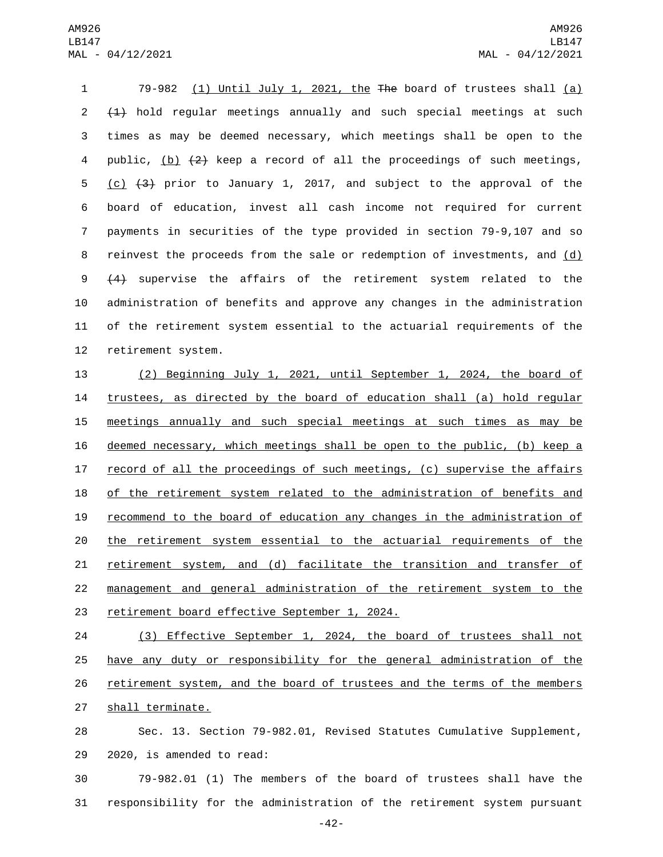79-982 (1) Until July 1, 2021, the The board of trustees shall (a) (1) hold regular meetings annually and such special meetings at such times as may be deemed necessary, which meetings shall be open to the 4 public, (b)  $\{2\}$  keep a record of all the proceedings of such meetings, (c) (3) prior to January 1, 2017, and subject to the approval of the board of education, invest all cash income not required for current payments in securities of the type provided in section 79-9,107 and so reinvest the proceeds from the sale or redemption of investments, and (d) (4) supervise the affairs of the retirement system related to the administration of benefits and approve any changes in the administration of the retirement system essential to the actuarial requirements of the 12 retirement system.

 (2) Beginning July 1, 2021, until September 1, 2024, the board of trustees, as directed by the board of education shall (a) hold regular meetings annually and such special meetings at such times as may be deemed necessary, which meetings shall be open to the public, (b) keep a record of all the proceedings of such meetings, (c) supervise the affairs of the retirement system related to the administration of benefits and recommend to the board of education any changes in the administration of the retirement system essential to the actuarial requirements of the retirement system, and (d) facilitate the transition and transfer of management and general administration of the retirement system to the 23 retirement board effective September 1, 2024.

 (3) Effective September 1, 2024, the board of trustees shall not have any duty or responsibility for the general administration of the 26 retirement system, and the board of trustees and the terms of the members 27 shall terminate.

 Sec. 13. Section 79-982.01, Revised Statutes Cumulative Supplement, 29 2020, is amended to read:

 79-982.01 (1) The members of the board of trustees shall have the responsibility for the administration of the retirement system pursuant

-42-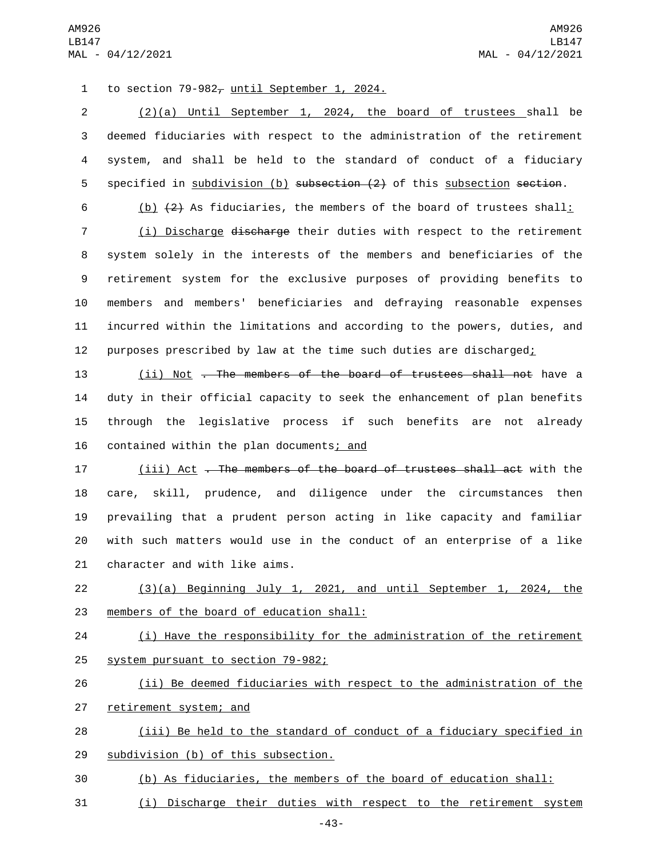1 to section  $79-982$ <sub> $t$ </sub> until September 1, 2024.

 (2)(a) Until September 1, 2024, the board of trustees shall be deemed fiduciaries with respect to the administration of the retirement system, and shall be held to the standard of conduct of a fiduciary 5 specified in subdivision (b) subsection (2) of this subsection section.

6 (b)  $(2)$  As fiduciaries, the members of the board of trustees shall:

 (i) Discharge discharge their duties with respect to the retirement system solely in the interests of the members and beneficiaries of the retirement system for the exclusive purposes of providing benefits to members and members' beneficiaries and defraying reasonable expenses incurred within the limitations and according to the powers, duties, and 12 purposes prescribed by law at the time such duties are discharged $\frac{1}{k}$ 

13 (ii) Not . The members of the board of trustees shall not have a 14 duty in their official capacity to seek the enhancement of plan benefits 15 through the legislative process if such benefits are not already 16 contained within the plan documents; and

 (iii) Act . The members of the board of trustees shall act with the care, skill, prudence, and diligence under the circumstances then prevailing that a prudent person acting in like capacity and familiar with such matters would use in the conduct of an enterprise of a like 21 character and with like aims.

22 (3)(a) Beginning July 1, 2021, and until September 1, 2024, the 23 members of the board of education shall:

24 (i) Have the responsibility for the administration of the retirement 25 system pursuant to section 79-982;

26 (ii) Be deemed fiduciaries with respect to the administration of the 27 retirement system; and

28 (iii) Be held to the standard of conduct of a fiduciary specified in 29 subdivision (b) of this subsection.

30 (b) As fiduciaries, the members of the board of education shall:

31 (i) Discharge their duties with respect to the retirement system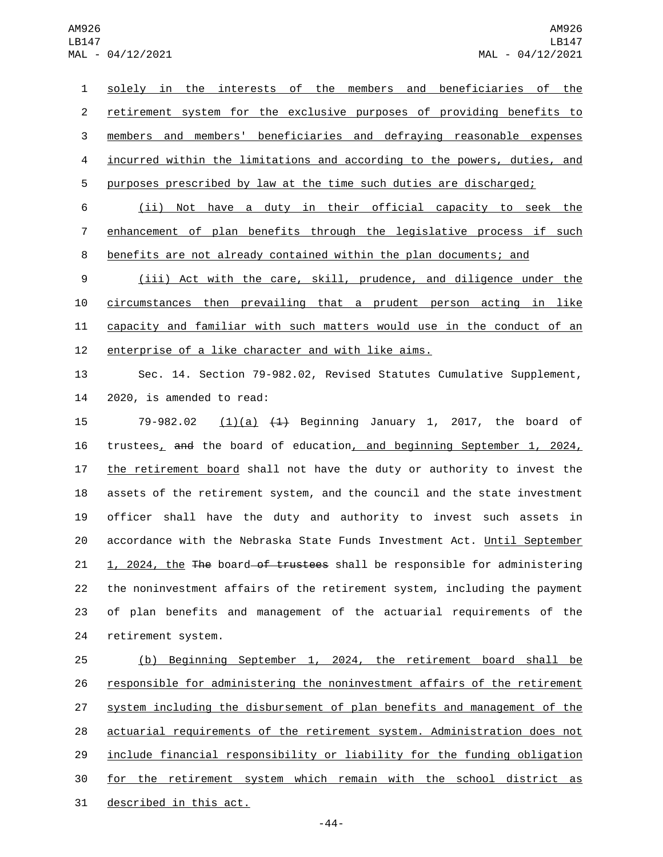solely in the interests of the members and beneficiaries of the retirement system for the exclusive purposes of providing benefits to members and members' beneficiaries and defraying reasonable expenses incurred within the limitations and according to the powers, duties, and purposes prescribed by law at the time such duties are discharged;

 (ii) Not have a duty in their official capacity to seek the enhancement of plan benefits through the legislative process if such benefits are not already contained within the plan documents; and

 (iii) Act with the care, skill, prudence, and diligence under the circumstances then prevailing that a prudent person acting in like capacity and familiar with such matters would use in the conduct of an 12 enterprise of a like character and with like aims.

 Sec. 14. Section 79-982.02, Revised Statutes Cumulative Supplement, 2020, is amended to read:

15 79-982.02 (1)(a) (1) Beginning January 1, 2017, the board of trustees, and the board of education, and beginning September 1, 2024, the retirement board shall not have the duty or authority to invest the assets of the retirement system, and the council and the state investment officer shall have the duty and authority to invest such assets in accordance with the Nebraska State Funds Investment Act. Until September 21 1, 2024, the The board of trustees shall be responsible for administering the noninvestment affairs of the retirement system, including the payment of plan benefits and management of the actuarial requirements of the 24 retirement system.

 (b) Beginning September 1, 2024, the retirement board shall be responsible for administering the noninvestment affairs of the retirement 27 system including the disbursement of plan benefits and management of the actuarial requirements of the retirement system. Administration does not include financial responsibility or liability for the funding obligation for the retirement system which remain with the school district as 31 described in this act.

-44-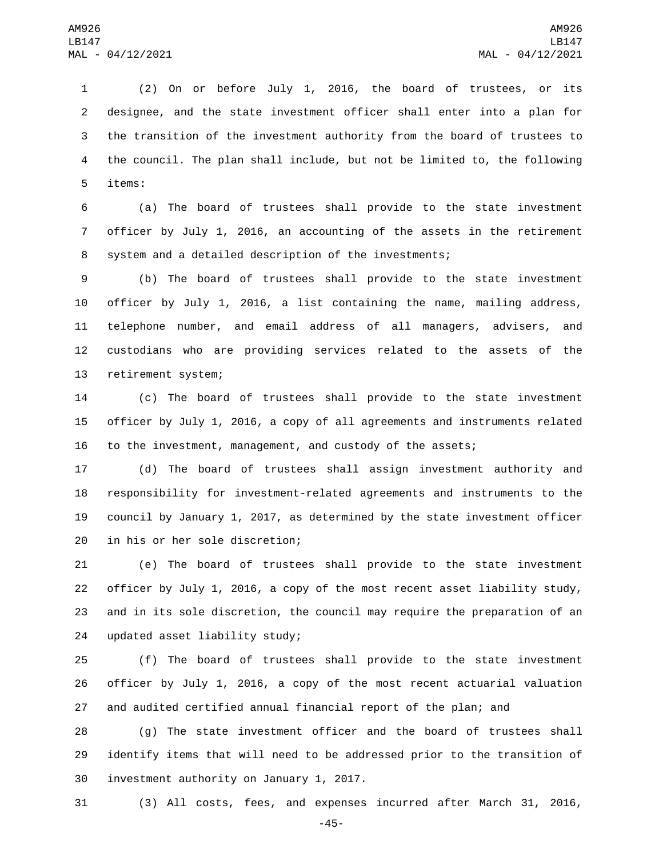(2) On or before July 1, 2016, the board of trustees, or its designee, and the state investment officer shall enter into a plan for the transition of the investment authority from the board of trustees to the council. The plan shall include, but not be limited to, the following 5 items:

 (a) The board of trustees shall provide to the state investment officer by July 1, 2016, an accounting of the assets in the retirement system and a detailed description of the investments;

 (b) The board of trustees shall provide to the state investment officer by July 1, 2016, a list containing the name, mailing address, telephone number, and email address of all managers, advisers, and custodians who are providing services related to the assets of the 13 retirement system;

 (c) The board of trustees shall provide to the state investment officer by July 1, 2016, a copy of all agreements and instruments related to the investment, management, and custody of the assets;

 (d) The board of trustees shall assign investment authority and responsibility for investment-related agreements and instruments to the council by January 1, 2017, as determined by the state investment officer 20 in his or her sole discretion;

 (e) The board of trustees shall provide to the state investment officer by July 1, 2016, a copy of the most recent asset liability study, and in its sole discretion, the council may require the preparation of an 24 updated asset liability study;

 (f) The board of trustees shall provide to the state investment officer by July 1, 2016, a copy of the most recent actuarial valuation and audited certified annual financial report of the plan; and

 (g) The state investment officer and the board of trustees shall identify items that will need to be addressed prior to the transition of 30 investment authority on January 1, 2017.

(3) All costs, fees, and expenses incurred after March 31, 2016,

-45-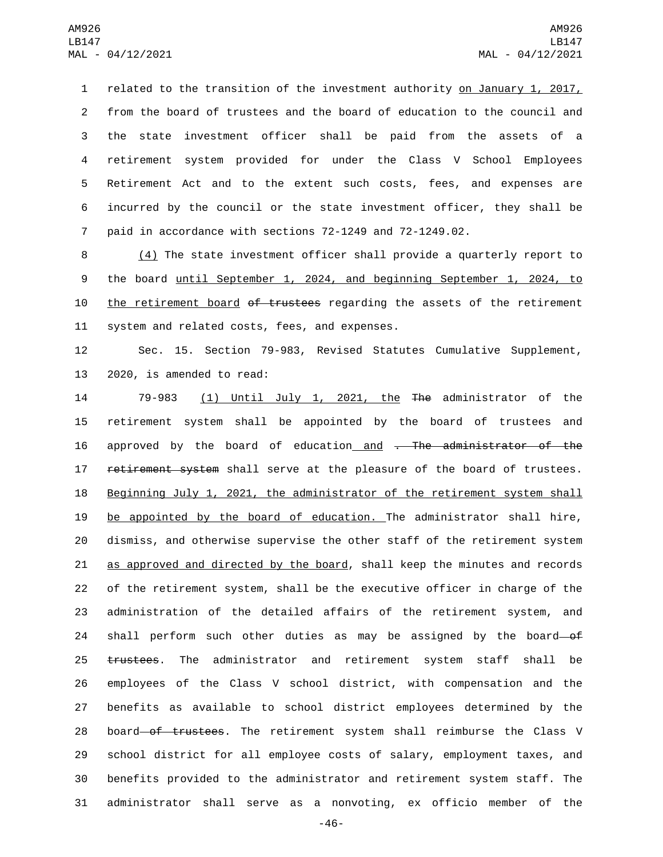related to the transition of the investment authority on January 1, 2017, from the board of trustees and the board of education to the council and the state investment officer shall be paid from the assets of a retirement system provided for under the Class V School Employees Retirement Act and to the extent such costs, fees, and expenses are incurred by the council or the state investment officer, they shall be paid in accordance with sections 72-1249 and 72-1249.02.

8 (4) The state investment officer shall provide a quarterly report to 9 the board until September 1, 2024, and beginning September 1, 2024, to 10 the retirement board of trustees regarding the assets of the retirement 11 system and related costs, fees, and expenses.

12 Sec. 15. Section 79-983, Revised Statutes Cumulative Supplement, 13 2020, is amended to read:

 79-983 (1) Until July 1, 2021, the The administrator of the retirement system shall be appointed by the board of trustees and 16 approved by the board of education and . The administrator of the 17 retirement system shall serve at the pleasure of the board of trustees. Beginning July 1, 2021, the administrator of the retirement system shall be appointed by the board of education. The administrator shall hire, dismiss, and otherwise supervise the other staff of the retirement system 21 as approved and directed by the board, shall keep the minutes and records of the retirement system, shall be the executive officer in charge of the administration of the detailed affairs of the retirement system, and 24 shall perform such other duties as may be assigned by the board-of 25 trustees. The administrator and retirement system staff shall be employees of the Class V school district, with compensation and the benefits as available to school district employees determined by the 28 board of trustees. The retirement system shall reimburse the Class V school district for all employee costs of salary, employment taxes, and benefits provided to the administrator and retirement system staff. The administrator shall serve as a nonvoting, ex officio member of the

-46-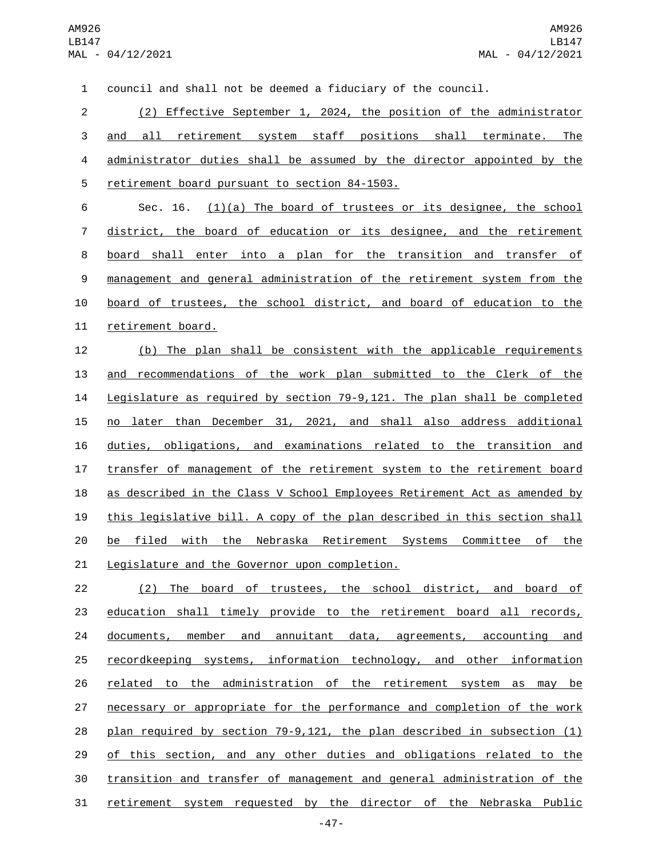council and shall not be deemed a fiduciary of the council. (2) Effective September 1, 2024, the position of the administrator and all retirement system staff positions shall terminate. The administrator duties shall be assumed by the director appointed by the 5 retirement board pursuant to section 84-1503. Sec. 16. (1)(a) The board of trustees or its designee, the school district, the board of education or its designee, and the retirement board shall enter into a plan for the transition and transfer of management and general administration of the retirement system from the board of trustees, the school district, and board of education to the 11 retirement board. (b) The plan shall be consistent with the applicable requirements and recommendations of the work plan submitted to the Clerk of the Legislature as required by section 79-9,121. The plan shall be completed no later than December 31, 2021, and shall also address additional duties, obligations, and examinations related to the transition and transfer of management of the retirement system to the retirement board 18 as described in the Class V School Employees Retirement Act as amended by this legislative bill. A copy of the plan described in this section shall 20 be filed with the Nebraska Retirement Systems Committee of the 21 Legislature and the Governor upon completion. (2) The board of trustees, the school district, and board of education shall timely provide to the retirement board all records, documents, member and annuitant data, agreements, accounting and 25 recordkeeping systems, information technology, and other information related to the administration of the retirement system as may be 27 necessary or appropriate for the performance and completion of the work

 plan required by section 79-9,121, the plan described in subsection (1) of this section, and any other duties and obligations related to the transition and transfer of management and general administration of the retirement system requested by the director of the Nebraska Public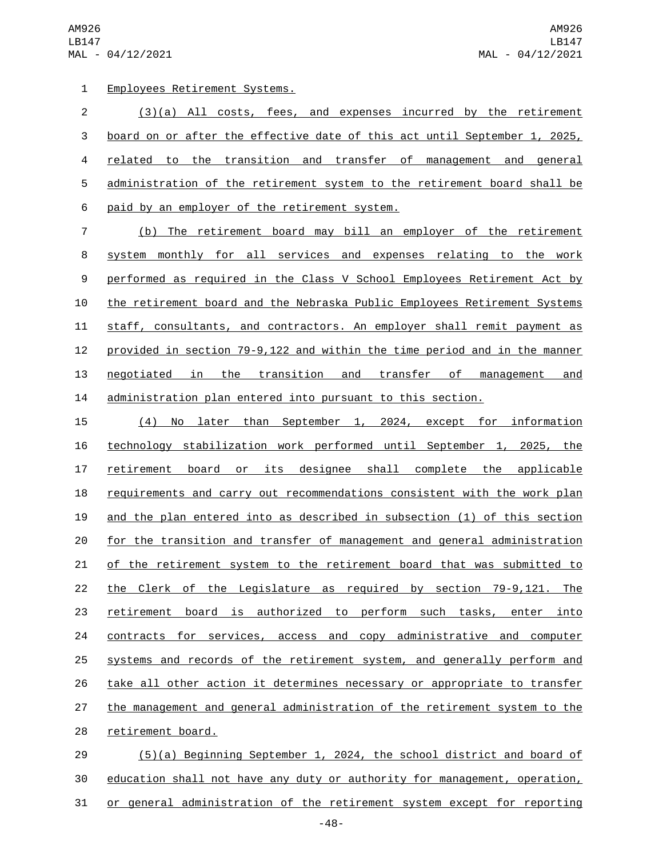AM926 LB147 MAL - 04/12/2021

Employees Retirement Systems.1

 (3)(a) All costs, fees, and expenses incurred by the retirement board on or after the effective date of this act until September 1, 2025, related to the transition and transfer of management and general administration of the retirement system to the retirement board shall be 6 paid by an employer of the retirement system.

 (b) The retirement board may bill an employer of the retirement system monthly for all services and expenses relating to the work performed as required in the Class V School Employees Retirement Act by the retirement board and the Nebraska Public Employees Retirement Systems staff, consultants, and contractors. An employer shall remit payment as provided in section 79-9,122 and within the time period and in the manner negotiated in the transition and transfer of management and administration plan entered into pursuant to this section.

 (4) No later than September 1, 2024, except for information technology stabilization work performed until September 1, 2025, the retirement board or its designee shall complete the applicable 18 requirements and carry out recommendations consistent with the work plan and the plan entered into as described in subsection (1) of this section for the transition and transfer of management and general administration 21 of the retirement system to the retirement board that was submitted to the Clerk of the Legislature as required by section 79-9,121. The retirement board is authorized to perform such tasks, enter into contracts for services, access and copy administrative and computer systems and records of the retirement system, and generally perform and take all other action it determines necessary or appropriate to transfer 27 the management and general administration of the retirement system to the 28 retirement board.

 (5)(a) Beginning September 1, 2024, the school district and board of education shall not have any duty or authority for management, operation, 31 or general administration of the retirement system except for reporting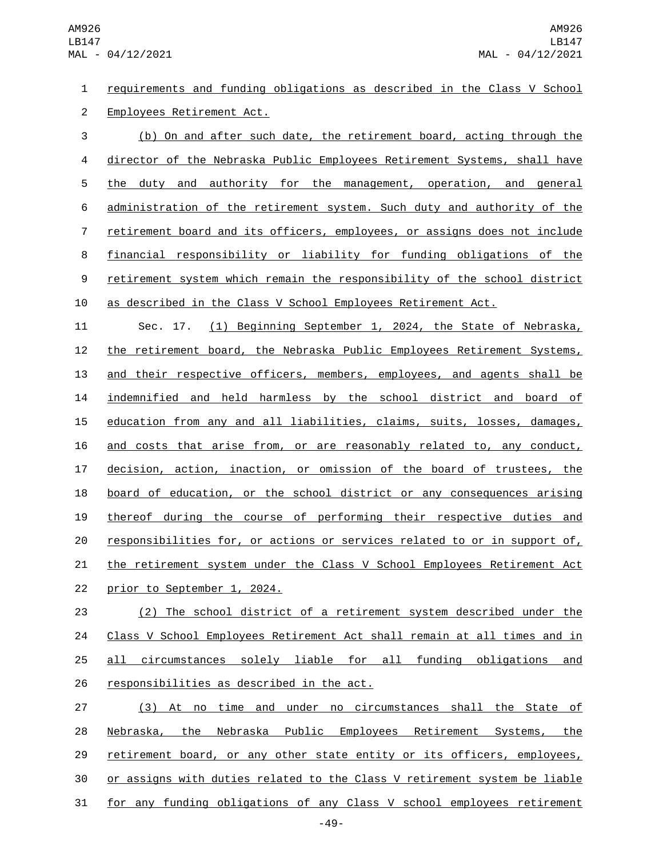requirements and funding obligations as described in the Class V School 2 Employees Retirement Act.

 (b) On and after such date, the retirement board, acting through the director of the Nebraska Public Employees Retirement Systems, shall have the duty and authority for the management, operation, and general administration of the retirement system. Such duty and authority of the retirement board and its officers, employees, or assigns does not include financial responsibility or liability for funding obligations of the retirement system which remain the responsibility of the school district as described in the Class V School Employees Retirement Act.

 Sec. 17. (1) Beginning September 1, 2024, the State of Nebraska, the retirement board, the Nebraska Public Employees Retirement Systems, 13 and their respective officers, members, employees, and agents shall be indemnified and held harmless by the school district and board of education from any and all liabilities, claims, suits, losses, damages, and costs that arise from, or are reasonably related to, any conduct, decision, action, inaction, or omission of the board of trustees, the board of education, or the school district or any consequences arising thereof during the course of performing their respective duties and responsibilities for, or actions or services related to or in support of, 21 the retirement system under the Class V School Employees Retirement Act 22 prior to September 1, 2024.

 (2) The school district of a retirement system described under the Class V School Employees Retirement Act shall remain at all times and in all circumstances solely liable for all funding obligations and 26 responsibilities as described in the act.

 (3) At no time and under no circumstances shall the State of Nebraska, the Nebraska Public Employees Retirement Systems, the retirement board, or any other state entity or its officers, employees, 30 or assigns with duties related to the Class V retirement system be liable for any funding obligations of any Class V school employees retirement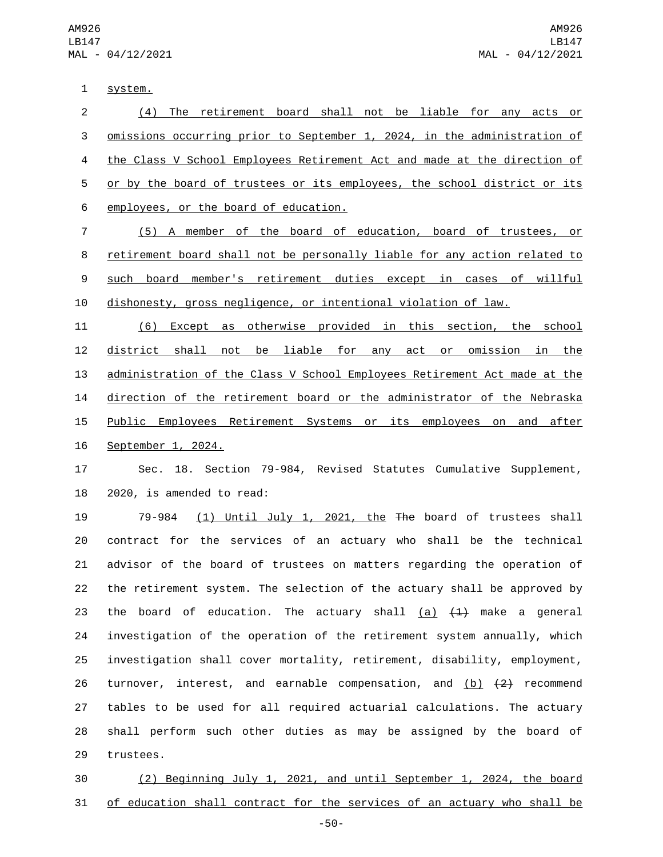1 system.

 (4) The retirement board shall not be liable for any acts or omissions occurring prior to September 1, 2024, in the administration of the Class V School Employees Retirement Act and made at the direction of or by the board of trustees or its employees, the school district or its 6 employees, or the board of education.

 (5) A member of the board of education, board of trustees, or retirement board shall not be personally liable for any action related to such board member's retirement duties except in cases of willful dishonesty, gross negligence, or intentional violation of law.

 (6) Except as otherwise provided in this section, the school district shall not be liable for any act or omission in the administration of the Class V School Employees Retirement Act made at the direction of the retirement board or the administrator of the Nebraska 15 Public Employees Retirement Systems or its employees on and after 16 September 1, 2024.

 Sec. 18. Section 79-984, Revised Statutes Cumulative Supplement, 2020, is amended to read:

 79-984 (1) Until July 1, 2021, the The board of trustees shall contract for the services of an actuary who shall be the technical advisor of the board of trustees on matters regarding the operation of the retirement system. The selection of the actuary shall be approved by 23 the board of education. The actuary shall  $(a)$   $(1)$  make a general investigation of the operation of the retirement system annually, which investigation shall cover mortality, retirement, disability, employment, 26 turnover, interest, and earnable compensation, and (b)  $\{2\}$  recommend tables to be used for all required actuarial calculations. The actuary shall perform such other duties as may be assigned by the board of 29 trustees.

 (2) Beginning July 1, 2021, and until September 1, 2024, the board of education shall contract for the services of an actuary who shall be

-50-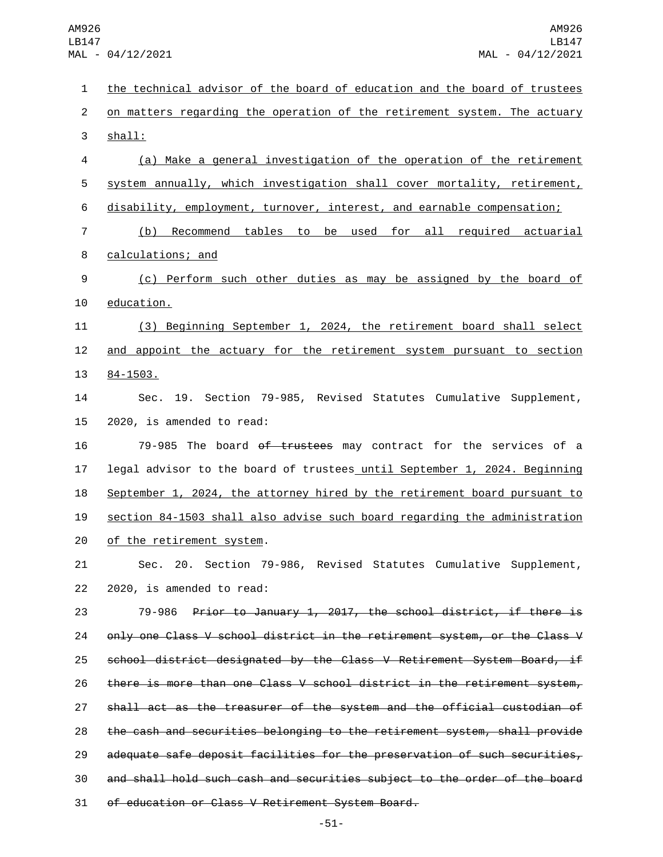the technical advisor of the board of education and the board of trustees on matters regarding the operation of the retirement system. The actuary 3 shall: (a) Make a general investigation of the operation of the retirement system annually, which investigation shall cover mortality, retirement, disability, employment, turnover, interest, and earnable compensation; (b) Recommend tables to be used for all required actuarial 8 calculations; and (c) Perform such other duties as may be assigned by the board of 10 education. (3) Beginning September 1, 2024, the retirement board shall select and appoint the actuary for the retirement system pursuant to section 13 84-1503. Sec. 19. Section 79-985, Revised Statutes Cumulative Supplement, 2020, is amended to read: 79-985 The board of trustees may contract for the services of a legal advisor to the board of trustees until September 1, 2024. Beginning September 1, 2024, the attorney hired by the retirement board pursuant to section 84-1503 shall also advise such board regarding the administration 20 of the retirement system. Sec. 20. Section 79-986, Revised Statutes Cumulative Supplement,  $2020$ , is amended to read: 79-986 Prior to January 1, 2017, the school district, if there is 24 only one Class V school district in the retirement system, or the Class V school district designated by the Class V Retirement System Board, if there is more than one Class V school district in the retirement system, shall act as the treasurer of the system and the official custodian of the cash and securities belonging to the retirement system, shall provide adequate safe deposit facilities for the preservation of such securities, and shall hold such cash and securities subject to the order of the board 31 of education or Class V Retirement System Board.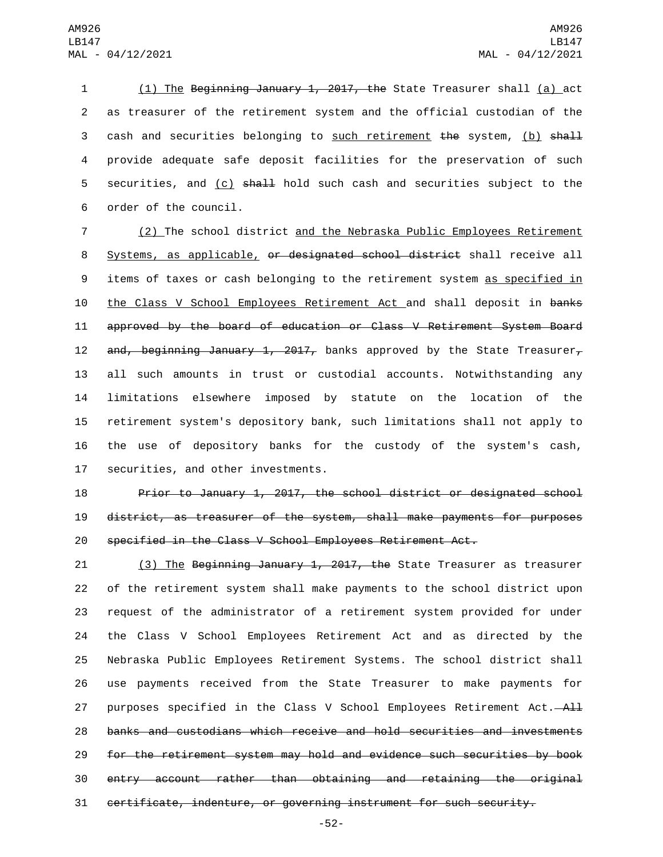1 (1) The Beginning January 1, 2017, the State Treasurer shall (a) act 2 as treasurer of the retirement system and the official custodian of the 3 cash and securities belonging to such retirement the system, (b) shall 4 provide adequate safe deposit facilities for the preservation of such 5 securities, and  $(c)$  shall hold such cash and securities subject to the 6 order of the council.

7 (2) The school district and the Nebraska Public Employees Retirement 8 Systems, as applicable, or designated school district shall receive all 9 items of taxes or cash belonging to the retirement system as specified in 10 the Class V School Employees Retirement Act and shall deposit in banks 11 approved by the board of education or Class V Retirement System Board 12 and, beginning January 1, 2017, banks approved by the State Treasurer, 13 all such amounts in trust or custodial accounts. Notwithstanding any 14 limitations elsewhere imposed by statute on the location of the 15 retirement system's depository bank, such limitations shall not apply to 16 the use of depository banks for the custody of the system's cash, 17 securities, and other investments.

18 Prior to January 1, 2017, the school district or designated school 19 district, as treasurer of the system, shall make payments for purposes 20 specified in the Class V School Employees Retirement Act.

21 (3) The Beginning January 1, 2017, the State Treasurer as treasurer of the retirement system shall make payments to the school district upon request of the administrator of a retirement system provided for under the Class V School Employees Retirement Act and as directed by the Nebraska Public Employees Retirement Systems. The school district shall use payments received from the State Treasurer to make payments for 27 purposes specified in the Class V School Employees Retirement Act. banks and custodians which receive and hold securities and investments for the retirement system may hold and evidence such securities by book entry account rather than obtaining and retaining the original certificate, indenture, or governing instrument for such security.

-52-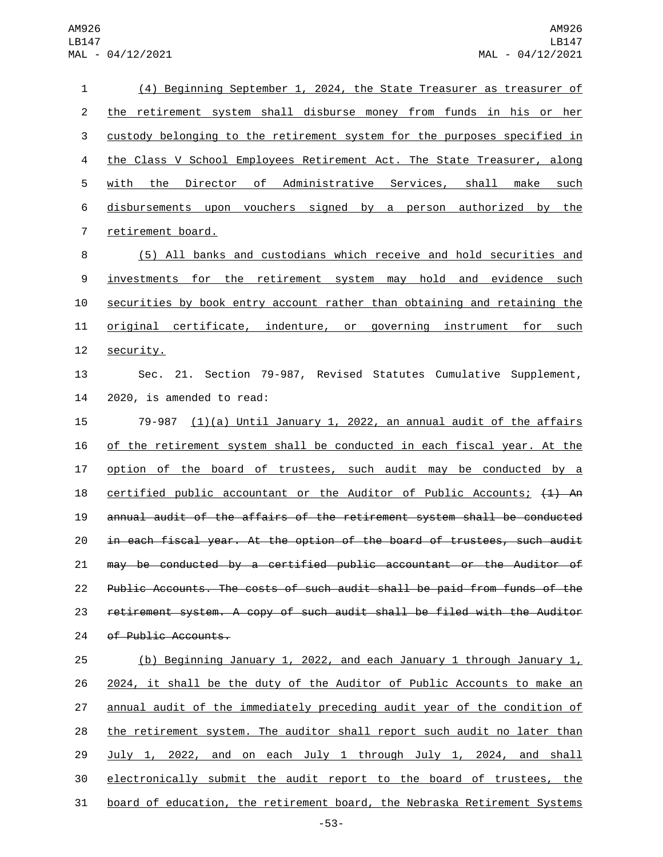| 1              | (4) Beginning September 1, 2024, the State Treasurer as treasurer of            |
|----------------|---------------------------------------------------------------------------------|
| $\overline{2}$ | the retirement system shall disburse money from funds in his or her             |
| 3              | custody belonging to the retirement system for the purposes specified in        |
| 4              | the Class V School Employees Retirement Act. The State Treasurer, along         |
| 5              | <u>the Director of Administrative Services, shall make such </u><br>with        |
| 6              | disbursements upon vouchers signed by a person authorized by the                |
| 7              | retirement board.                                                               |
| 8              | (5) All banks and custodians which receive and hold securities and              |
| 9              | investments for the retirement system may hold and evidence such                |
| 10             | securities by book entry account rather than obtaining and retaining the        |
| 11             | original certificate, indenture, or governing instrument for such               |
| 12             | security.                                                                       |
| 13             | Sec. 21. Section 79-987, Revised Statutes Cumulative Supplement,                |
| 14             | 2020, is amended to read:                                                       |
| 15             | 79-987 $(1)(a)$ Until January 1, 2022, an annual audit of the affairs           |
| 16             | of the retirement system shall be conducted in each fiscal year. At the         |
| 17             | option of the board of trustees, such audit may be conducted by a               |
| 18             | $certified public accountant or the Auditor of Public Accounts; (1) An$         |
| 19             | annual audit of the affairs of the retirement system shall be conducted         |
| 20             | in each fiscal year. At the option of the board of trustees, such audit         |
| 21             | may be conducted by a certified public accountant or the Auditor of             |
| 22             | Public Accounts. The costs of such audit shall be paid from funds of the        |
| 23             | retirement system. A copy of such audit shall be filed with the Auditor         |
| 24             | of Public Accounts.                                                             |
| 25             | (b) Beginning January 1, 2022, and each January 1 through January 1,            |
| 26             | 2024, it shall be the duty of the Auditor of Public Accounts to make an         |
| 27             | annual audit of the immediately preceding audit year of the condition of        |
| 28             | <u>the retirement system. The auditor shall report such audit no later than</u> |
| 29             | <u>July 1, 2022, and on each July 1 through July 1, 2024, and shall</u>         |
| 30             | electronically submit the audit report to the board of trustees, the            |

board of education, the retirement board, the Nebraska Retirement Systems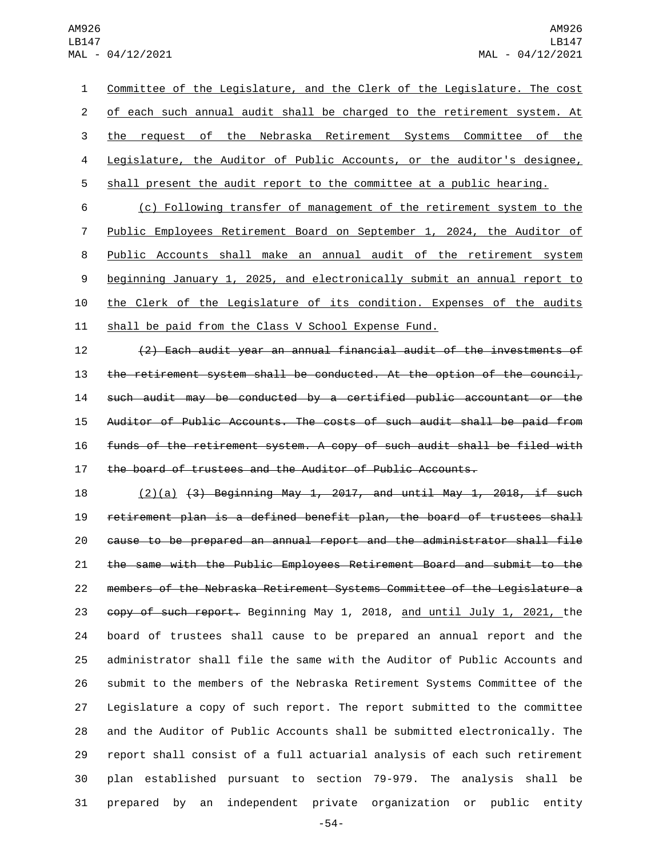Committee of the Legislature, and the Clerk of the Legislature. The cost of each such annual audit shall be charged to the retirement system. At the request of the Nebraska Retirement Systems Committee of the Legislature, the Auditor of Public Accounts, or the auditor's designee, shall present the audit report to the committee at a public hearing.

 (c) Following transfer of management of the retirement system to the Public Employees Retirement Board on September 1, 2024, the Auditor of Public Accounts shall make an annual audit of the retirement system beginning January 1, 2025, and electronically submit an annual report to the Clerk of the Legislature of its condition. Expenses of the audits shall be paid from the Class V School Expense Fund.

 (2) Each audit year an annual financial audit of the investments of 13 the retirement system shall be conducted. At the option of the council, such audit may be conducted by a certified public accountant or the Auditor of Public Accounts. The costs of such audit shall be paid from funds of the retirement system. A copy of such audit shall be filed with the board of trustees and the Auditor of Public Accounts.

 (2)(a) (3) Beginning May 1, 2017, and until May 1, 2018, if such retirement plan is a defined benefit plan, the board of trustees shall cause to be prepared an annual report and the administrator shall file the same with the Public Employees Retirement Board and submit to the members of the Nebraska Retirement Systems Committee of the Legislature a 23 copy of such report. Beginning May 1, 2018, and until July 1, 2021, the board of trustees shall cause to be prepared an annual report and the administrator shall file the same with the Auditor of Public Accounts and submit to the members of the Nebraska Retirement Systems Committee of the Legislature a copy of such report. The report submitted to the committee and the Auditor of Public Accounts shall be submitted electronically. The report shall consist of a full actuarial analysis of each such retirement plan established pursuant to section 79-979. The analysis shall be prepared by an independent private organization or public entity

-54-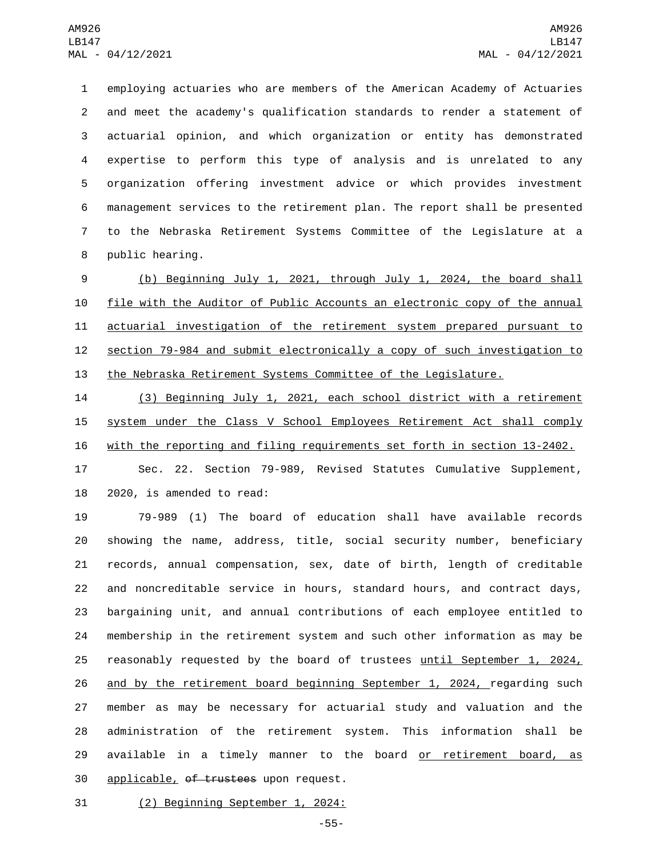employing actuaries who are members of the American Academy of Actuaries and meet the academy's qualification standards to render a statement of actuarial opinion, and which organization or entity has demonstrated expertise to perform this type of analysis and is unrelated to any organization offering investment advice or which provides investment management services to the retirement plan. The report shall be presented to the Nebraska Retirement Systems Committee of the Legislature at a 8 public hearing.

 (b) Beginning July 1, 2021, through July 1, 2024, the board shall file with the Auditor of Public Accounts an electronic copy of the annual actuarial investigation of the retirement system prepared pursuant to section 79-984 and submit electronically a copy of such investigation to the Nebraska Retirement Systems Committee of the Legislature.

 (3) Beginning July 1, 2021, each school district with a retirement 15 system under the Class V School Employees Retirement Act shall comply with the reporting and filing requirements set forth in section 13-2402.

 Sec. 22. Section 79-989, Revised Statutes Cumulative Supplement, 2020, is amended to read:

 79-989 (1) The board of education shall have available records showing the name, address, title, social security number, beneficiary records, annual compensation, sex, date of birth, length of creditable and noncreditable service in hours, standard hours, and contract days, bargaining unit, and annual contributions of each employee entitled to membership in the retirement system and such other information as may be reasonably requested by the board of trustees until September 1, 2024, 26 and by the retirement board beginning September 1, 2024, regarding such member as may be necessary for actuarial study and valuation and the administration of the retirement system. This information shall be 29 available in a timely manner to the board or retirement board, as 30 applicable, of trustees upon request.

31 (2) Beginning September 1, 2024:

-55-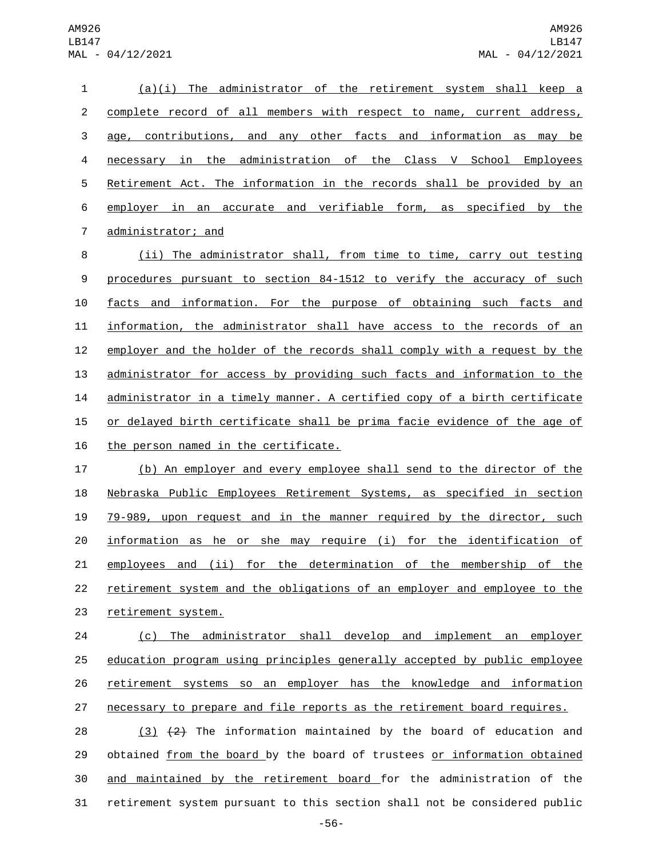(a)(i) The administrator of the retirement system shall keep a complete record of all members with respect to name, current address, age, contributions, and any other facts and information as may be necessary in the administration of the Class V School Employees Retirement Act. The information in the records shall be provided by an employer in an accurate and verifiable form, as specified by the 7 administrator; and

8 (ii) The administrator shall, from time to time, carry out testing procedures pursuant to section 84-1512 to verify the accuracy of such facts and information. For the purpose of obtaining such facts and information, the administrator shall have access to the records of an employer and the holder of the records shall comply with a request by the administrator for access by providing such facts and information to the administrator in a timely manner. A certified copy of a birth certificate 15 or delayed birth certificate shall be prima facie evidence of the age of 16 the person named in the certificate.

 (b) An employer and every employee shall send to the director of the Nebraska Public Employees Retirement Systems, as specified in section 79-989, upon request and in the manner required by the director, such information as he or she may require (i) for the identification of employees and (ii) for the determination of the membership of the retirement system and the obligations of an employer and employee to the 23 retirement system.

 (c) The administrator shall develop and implement an employer education program using principles generally accepted by public employee retirement systems so an employer has the knowledge and information 27 necessary to prepare and file reports as the retirement board requires.

 $(3)$   $(2)$  The information maintained by the board of education and obtained from the board by the board of trustees or information obtained and maintained by the retirement board for the administration of the retirement system pursuant to this section shall not be considered public

-56-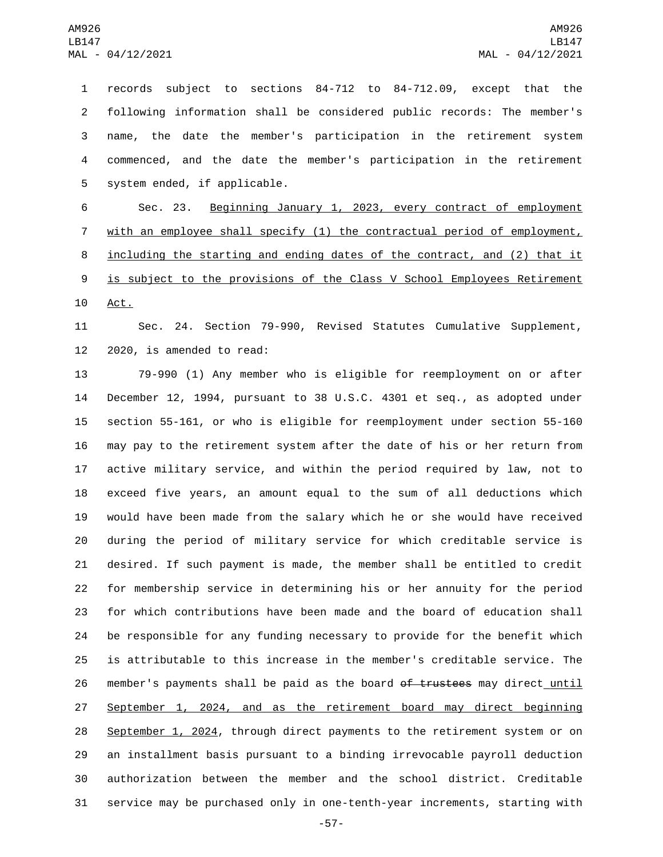records subject to sections 84-712 to 84-712.09, except that the following information shall be considered public records: The member's name, the date the member's participation in the retirement system commenced, and the date the member's participation in the retirement 5 system ended, if applicable.

 Sec. 23. Beginning January 1, 2023, every contract of employment with an employee shall specify (1) the contractual period of employment, including the starting and ending dates of the contract, and (2) that it 9 is subject to the provisions of the Class V School Employees Retirement 10 Act.

 Sec. 24. Section 79-990, Revised Statutes Cumulative Supplement, 2020, is amended to read:

 79-990 (1) Any member who is eligible for reemployment on or after December 12, 1994, pursuant to 38 U.S.C. 4301 et seq., as adopted under section 55-161, or who is eligible for reemployment under section 55-160 may pay to the retirement system after the date of his or her return from active military service, and within the period required by law, not to exceed five years, an amount equal to the sum of all deductions which would have been made from the salary which he or she would have received during the period of military service for which creditable service is desired. If such payment is made, the member shall be entitled to credit for membership service in determining his or her annuity for the period for which contributions have been made and the board of education shall be responsible for any funding necessary to provide for the benefit which is attributable to this increase in the member's creditable service. The 26 member's payments shall be paid as the board of trustees may direct until September 1, 2024, and as the retirement board may direct beginning September 1, 2024, through direct payments to the retirement system or on an installment basis pursuant to a binding irrevocable payroll deduction authorization between the member and the school district. Creditable service may be purchased only in one-tenth-year increments, starting with

-57-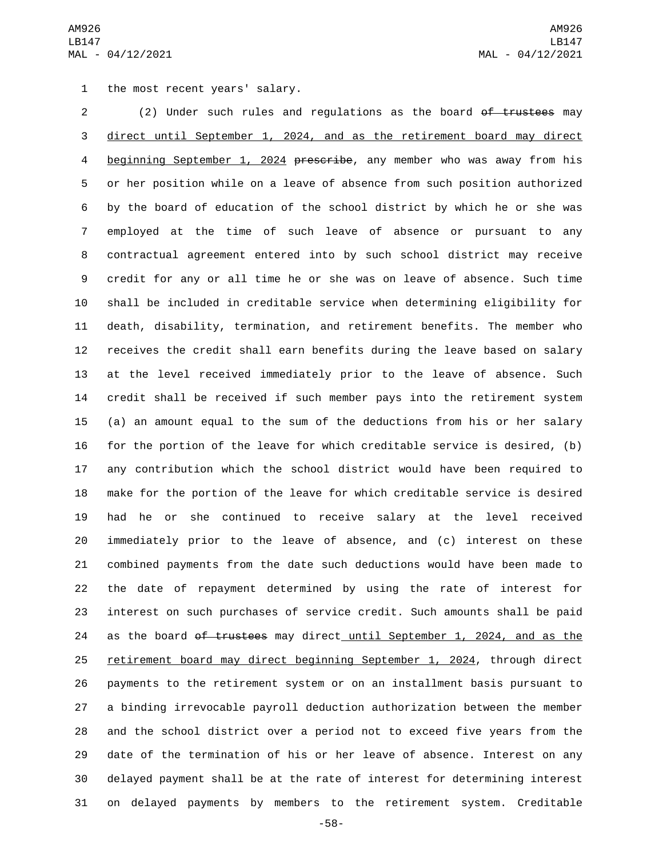1 the most recent years' salary.

2 (2) Under such rules and regulations as the board of trustees may direct until September 1, 2024, and as the retirement board may direct beginning September 1, 2024 prescribe, any member who was away from his or her position while on a leave of absence from such position authorized by the board of education of the school district by which he or she was employed at the time of such leave of absence or pursuant to any contractual agreement entered into by such school district may receive credit for any or all time he or she was on leave of absence. Such time shall be included in creditable service when determining eligibility for death, disability, termination, and retirement benefits. The member who receives the credit shall earn benefits during the leave based on salary at the level received immediately prior to the leave of absence. Such credit shall be received if such member pays into the retirement system (a) an amount equal to the sum of the deductions from his or her salary for the portion of the leave for which creditable service is desired, (b) any contribution which the school district would have been required to make for the portion of the leave for which creditable service is desired had he or she continued to receive salary at the level received immediately prior to the leave of absence, and (c) interest on these combined payments from the date such deductions would have been made to the date of repayment determined by using the rate of interest for interest on such purchases of service credit. Such amounts shall be paid 24 as the board of trustees may direct until September 1, 2024, and as the retirement board may direct beginning September 1, 2024, through direct payments to the retirement system or on an installment basis pursuant to a binding irrevocable payroll deduction authorization between the member and the school district over a period not to exceed five years from the date of the termination of his or her leave of absence. Interest on any delayed payment shall be at the rate of interest for determining interest on delayed payments by members to the retirement system. Creditable

-58-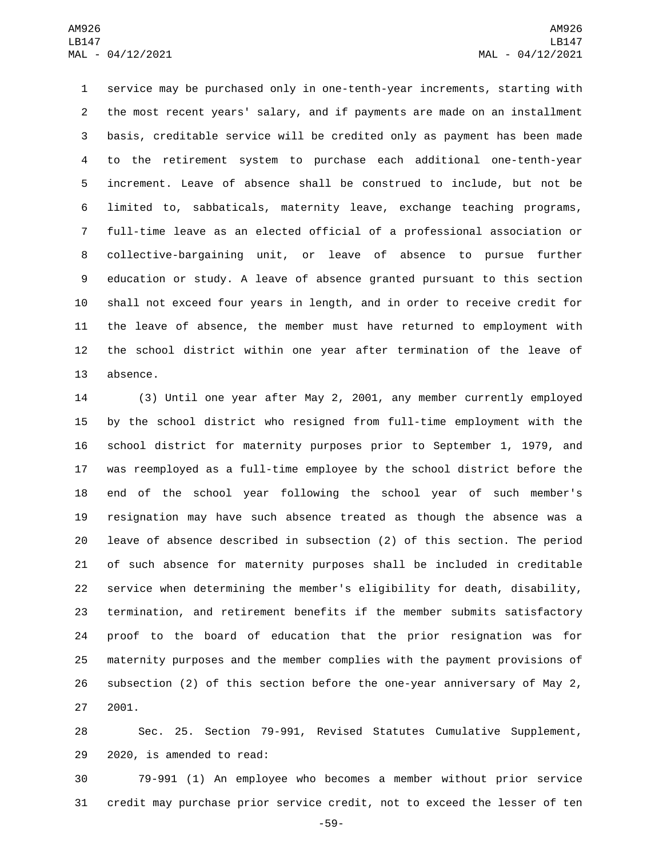service may be purchased only in one-tenth-year increments, starting with the most recent years' salary, and if payments are made on an installment basis, creditable service will be credited only as payment has been made to the retirement system to purchase each additional one-tenth-year increment. Leave of absence shall be construed to include, but not be limited to, sabbaticals, maternity leave, exchange teaching programs, full-time leave as an elected official of a professional association or collective-bargaining unit, or leave of absence to pursue further education or study. A leave of absence granted pursuant to this section shall not exceed four years in length, and in order to receive credit for the leave of absence, the member must have returned to employment with the school district within one year after termination of the leave of 13 absence.

 (3) Until one year after May 2, 2001, any member currently employed by the school district who resigned from full-time employment with the school district for maternity purposes prior to September 1, 1979, and was reemployed as a full-time employee by the school district before the end of the school year following the school year of such member's resignation may have such absence treated as though the absence was a leave of absence described in subsection (2) of this section. The period of such absence for maternity purposes shall be included in creditable service when determining the member's eligibility for death, disability, termination, and retirement benefits if the member submits satisfactory proof to the board of education that the prior resignation was for maternity purposes and the member complies with the payment provisions of subsection (2) of this section before the one-year anniversary of May 2, 2001.

 Sec. 25. Section 79-991, Revised Statutes Cumulative Supplement, 29 2020, is amended to read:

 79-991 (1) An employee who becomes a member without prior service credit may purchase prior service credit, not to exceed the lesser of ten

-59-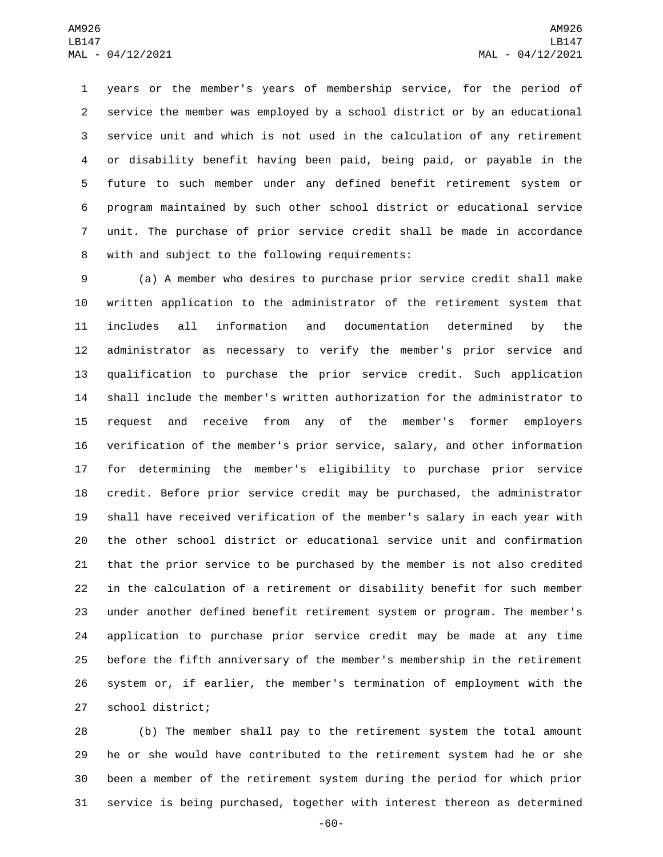years or the member's years of membership service, for the period of service the member was employed by a school district or by an educational service unit and which is not used in the calculation of any retirement or disability benefit having been paid, being paid, or payable in the future to such member under any defined benefit retirement system or program maintained by such other school district or educational service unit. The purchase of prior service credit shall be made in accordance 8 with and subject to the following requirements:

 (a) A member who desires to purchase prior service credit shall make written application to the administrator of the retirement system that includes all information and documentation determined by the administrator as necessary to verify the member's prior service and qualification to purchase the prior service credit. Such application shall include the member's written authorization for the administrator to request and receive from any of the member's former employers verification of the member's prior service, salary, and other information for determining the member's eligibility to purchase prior service credit. Before prior service credit may be purchased, the administrator shall have received verification of the member's salary in each year with the other school district or educational service unit and confirmation that the prior service to be purchased by the member is not also credited in the calculation of a retirement or disability benefit for such member under another defined benefit retirement system or program. The member's application to purchase prior service credit may be made at any time before the fifth anniversary of the member's membership in the retirement system or, if earlier, the member's termination of employment with the 27 school district;

 (b) The member shall pay to the retirement system the total amount he or she would have contributed to the retirement system had he or she been a member of the retirement system during the period for which prior service is being purchased, together with interest thereon as determined

-60-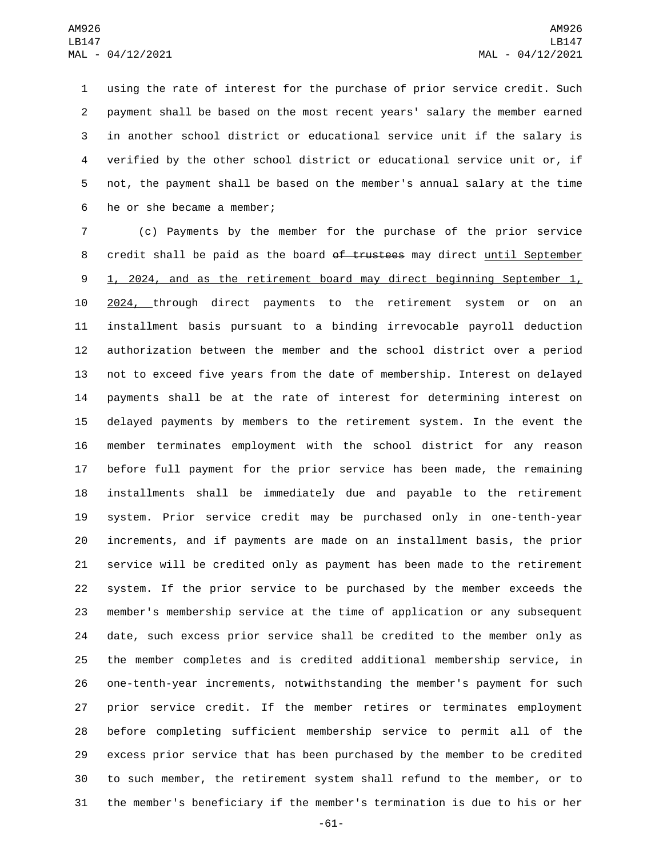using the rate of interest for the purchase of prior service credit. Such payment shall be based on the most recent years' salary the member earned in another school district or educational service unit if the salary is verified by the other school district or educational service unit or, if not, the payment shall be based on the member's annual salary at the time 6 he or she became a member;

 (c) Payments by the member for the purchase of the prior service 8 credit shall be paid as the board of trustees may direct until September 9 1, 2024, and as the retirement board may direct beginning September 1, 2024, through direct payments to the retirement system or on an installment basis pursuant to a binding irrevocable payroll deduction authorization between the member and the school district over a period not to exceed five years from the date of membership. Interest on delayed payments shall be at the rate of interest for determining interest on delayed payments by members to the retirement system. In the event the member terminates employment with the school district for any reason before full payment for the prior service has been made, the remaining installments shall be immediately due and payable to the retirement system. Prior service credit may be purchased only in one-tenth-year increments, and if payments are made on an installment basis, the prior service will be credited only as payment has been made to the retirement system. If the prior service to be purchased by the member exceeds the member's membership service at the time of application or any subsequent date, such excess prior service shall be credited to the member only as the member completes and is credited additional membership service, in one-tenth-year increments, notwithstanding the member's payment for such prior service credit. If the member retires or terminates employment before completing sufficient membership service to permit all of the excess prior service that has been purchased by the member to be credited to such member, the retirement system shall refund to the member, or to the member's beneficiary if the member's termination is due to his or her

-61-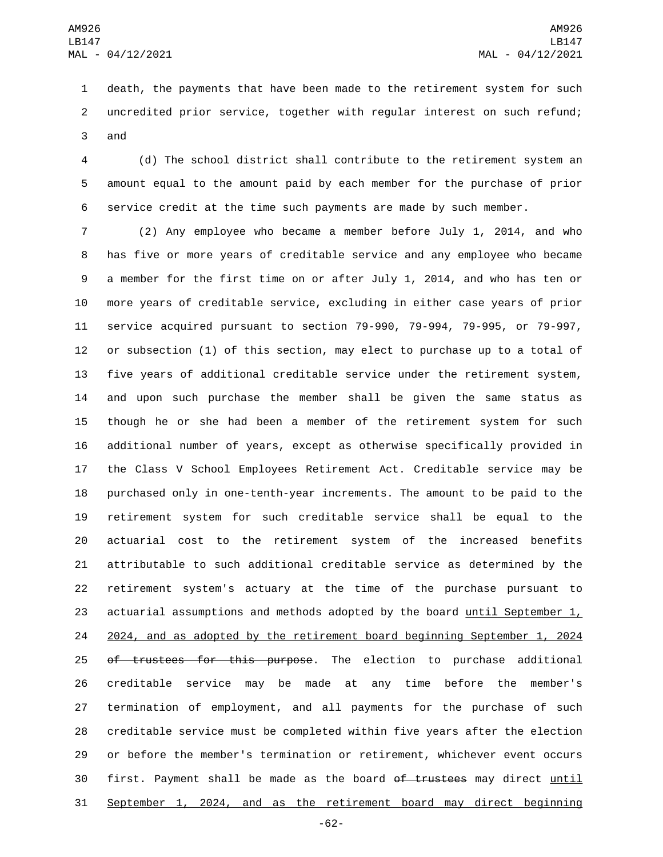death, the payments that have been made to the retirement system for such uncredited prior service, together with regular interest on such refund; 3 and

 (d) The school district shall contribute to the retirement system an amount equal to the amount paid by each member for the purchase of prior service credit at the time such payments are made by such member.

 (2) Any employee who became a member before July 1, 2014, and who has five or more years of creditable service and any employee who became a member for the first time on or after July 1, 2014, and who has ten or more years of creditable service, excluding in either case years of prior service acquired pursuant to section 79-990, 79-994, 79-995, or 79-997, or subsection (1) of this section, may elect to purchase up to a total of five years of additional creditable service under the retirement system, and upon such purchase the member shall be given the same status as though he or she had been a member of the retirement system for such additional number of years, except as otherwise specifically provided in the Class V School Employees Retirement Act. Creditable service may be purchased only in one-tenth-year increments. The amount to be paid to the retirement system for such creditable service shall be equal to the actuarial cost to the retirement system of the increased benefits attributable to such additional creditable service as determined by the retirement system's actuary at the time of the purchase pursuant to actuarial assumptions and methods adopted by the board until September 1, 2024, and as adopted by the retirement board beginning September 1, 2024 25 of trustees for this purpose. The election to purchase additional creditable service may be made at any time before the member's termination of employment, and all payments for the purchase of such creditable service must be completed within five years after the election or before the member's termination or retirement, whichever event occurs 30 first. Payment shall be made as the board of trustees may direct until September 1, 2024, and as the retirement board may direct beginning

-62-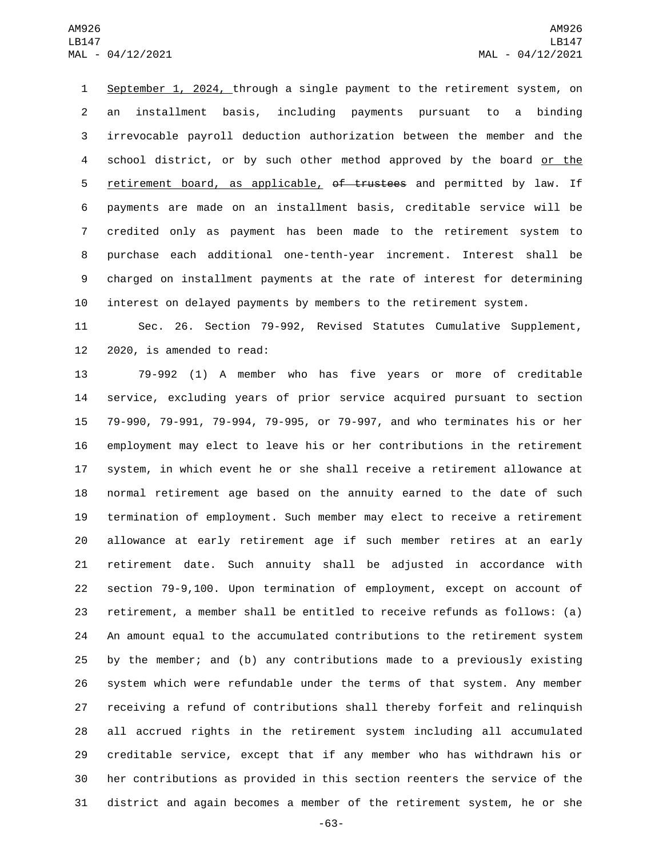September 1, 2024, through a single payment to the retirement system, on an installment basis, including payments pursuant to a binding irrevocable payroll deduction authorization between the member and the school district, or by such other method approved by the board or the 5 retirement board, as applicable, of trustees and permitted by law. If payments are made on an installment basis, creditable service will be credited only as payment has been made to the retirement system to purchase each additional one-tenth-year increment. Interest shall be charged on installment payments at the rate of interest for determining interest on delayed payments by members to the retirement system.

 Sec. 26. Section 79-992, Revised Statutes Cumulative Supplement, 2020, is amended to read:

 79-992 (1) A member who has five years or more of creditable service, excluding years of prior service acquired pursuant to section 79-990, 79-991, 79-994, 79-995, or 79-997, and who terminates his or her employment may elect to leave his or her contributions in the retirement system, in which event he or she shall receive a retirement allowance at normal retirement age based on the annuity earned to the date of such termination of employment. Such member may elect to receive a retirement allowance at early retirement age if such member retires at an early retirement date. Such annuity shall be adjusted in accordance with section 79-9,100. Upon termination of employment, except on account of retirement, a member shall be entitled to receive refunds as follows: (a) An amount equal to the accumulated contributions to the retirement system by the member; and (b) any contributions made to a previously existing system which were refundable under the terms of that system. Any member receiving a refund of contributions shall thereby forfeit and relinquish all accrued rights in the retirement system including all accumulated creditable service, except that if any member who has withdrawn his or her contributions as provided in this section reenters the service of the district and again becomes a member of the retirement system, he or she

-63-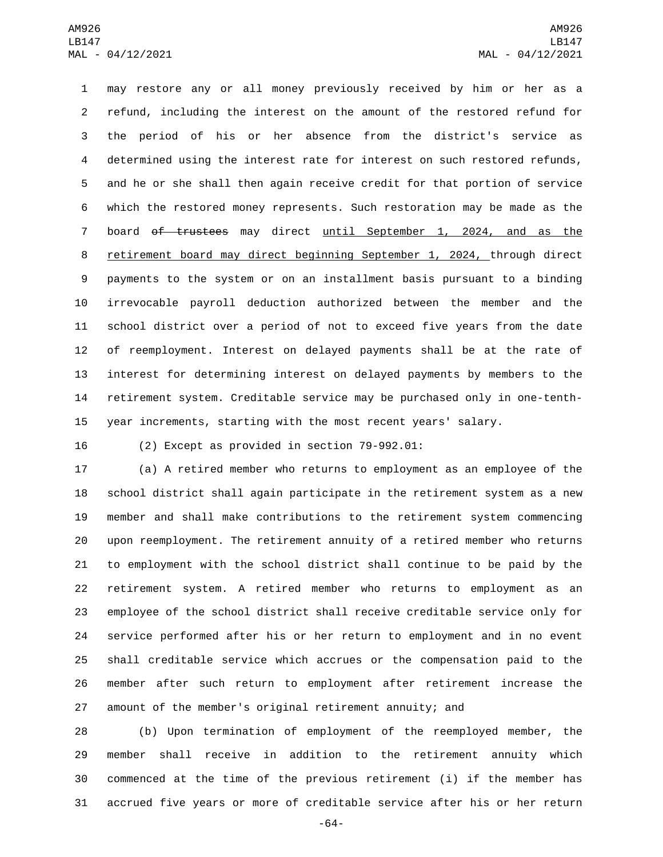may restore any or all money previously received by him or her as a refund, including the interest on the amount of the restored refund for the period of his or her absence from the district's service as determined using the interest rate for interest on such restored refunds, and he or she shall then again receive credit for that portion of service which the restored money represents. Such restoration may be made as the board of trustees may direct until September 1, 2024, and as the retirement board may direct beginning September 1, 2024, through direct payments to the system or on an installment basis pursuant to a binding irrevocable payroll deduction authorized between the member and the school district over a period of not to exceed five years from the date of reemployment. Interest on delayed payments shall be at the rate of interest for determining interest on delayed payments by members to the retirement system. Creditable service may be purchased only in one-tenth-year increments, starting with the most recent years' salary.

(2) Except as provided in section  $79-992.01$ :

 (a) A retired member who returns to employment as an employee of the school district shall again participate in the retirement system as a new member and shall make contributions to the retirement system commencing upon reemployment. The retirement annuity of a retired member who returns to employment with the school district shall continue to be paid by the retirement system. A retired member who returns to employment as an employee of the school district shall receive creditable service only for service performed after his or her return to employment and in no event shall creditable service which accrues or the compensation paid to the member after such return to employment after retirement increase the amount of the member's original retirement annuity; and

 (b) Upon termination of employment of the reemployed member, the member shall receive in addition to the retirement annuity which commenced at the time of the previous retirement (i) if the member has accrued five years or more of creditable service after his or her return

-64-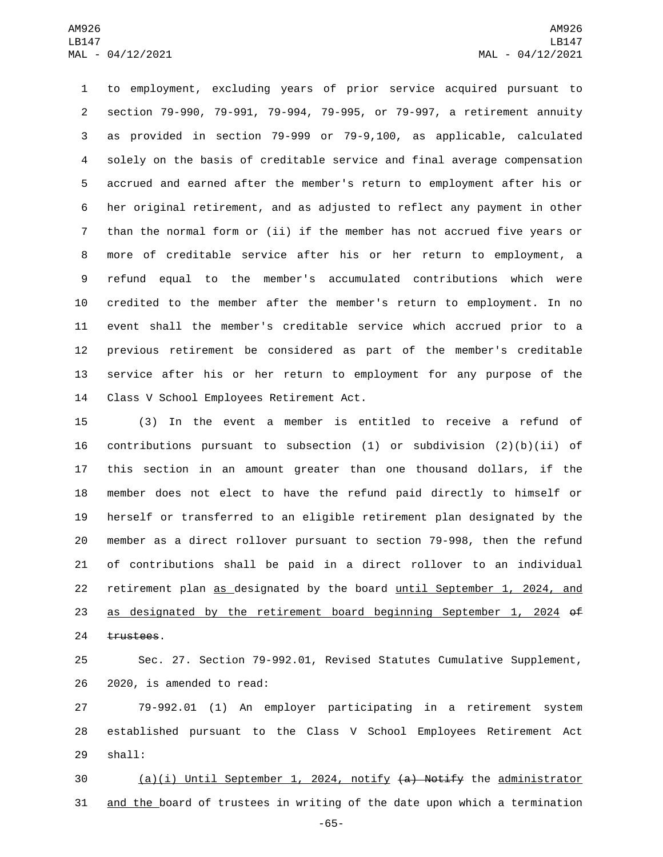to employment, excluding years of prior service acquired pursuant to section 79-990, 79-991, 79-994, 79-995, or 79-997, a retirement annuity as provided in section 79-999 or 79-9,100, as applicable, calculated solely on the basis of creditable service and final average compensation accrued and earned after the member's return to employment after his or her original retirement, and as adjusted to reflect any payment in other than the normal form or (ii) if the member has not accrued five years or more of creditable service after his or her return to employment, a refund equal to the member's accumulated contributions which were credited to the member after the member's return to employment. In no event shall the member's creditable service which accrued prior to a previous retirement be considered as part of the member's creditable service after his or her return to employment for any purpose of the 14 Class V School Employees Retirement Act.

 (3) In the event a member is entitled to receive a refund of 16 contributions pursuant to subsection  $(1)$  or subdivision  $(2)(b)(ii)$  of this section in an amount greater than one thousand dollars, if the member does not elect to have the refund paid directly to himself or herself or transferred to an eligible retirement plan designated by the member as a direct rollover pursuant to section 79-998, then the refund of contributions shall be paid in a direct rollover to an individual retirement plan as designated by the board until September 1, 2024, and as designated by the retirement board beginning September 1, 2024 of 24 trustees.

 Sec. 27. Section 79-992.01, Revised Statutes Cumulative Supplement, 26 2020, is amended to read:

 79-992.01 (1) An employer participating in a retirement system established pursuant to the Class V School Employees Retirement Act 29 shall:

 (a)(i) Until September 1, 2024, notify (a) Notify the administrator and the board of trustees in writing of the date upon which a termination

-65-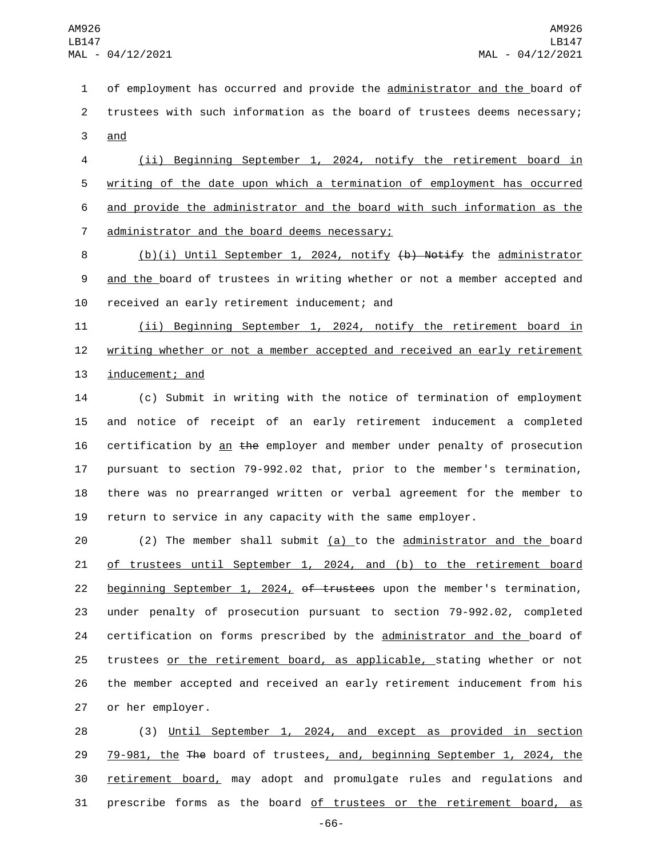1 of employment has occurred and provide the administrator and the board of 2 trustees with such information as the board of trustees deems necessary; 3 and

 (ii) Beginning September 1, 2024, notify the retirement board in writing of the date upon which a termination of employment has occurred and provide the administrator and the board with such information as the 7 administrator and the board deems necessary;

8 (b)(i) Until September 1, 2024, notify (b) Notify the administrator 9 and the board of trustees in writing whether or not a member accepted and 10 received an early retirement inducement; and

11 (ii) Beginning September 1, 2024, notify the retirement board in 12 writing whether or not a member accepted and received an early retirement 13 inducement; and

 (c) Submit in writing with the notice of termination of employment and notice of receipt of an early retirement inducement a completed 16 certification by an  $the$  employer and member under penalty of prosecution pursuant to section 79-992.02 that, prior to the member's termination, there was no prearranged written or verbal agreement for the member to return to service in any capacity with the same employer.

 $(2)$  The member shall submit  $(a)$  to the administrator and the board of trustees until September 1, 2024, and (b) to the retirement board 22 beginning September 1, 2024, of trustees upon the member's termination, under penalty of prosecution pursuant to section 79-992.02, completed 24 certification on forms prescribed by the administrator and the board of trustees or the retirement board, as applicable, stating whether or not the member accepted and received an early retirement inducement from his 27 or her employer.

 (3) Until September 1, 2024, and except as provided in section 79-981, the The board of trustees, and, beginning September 1, 2024, the 30 retirement board, may adopt and promulgate rules and regulations and prescribe forms as the board of trustees or the retirement board, as

-66-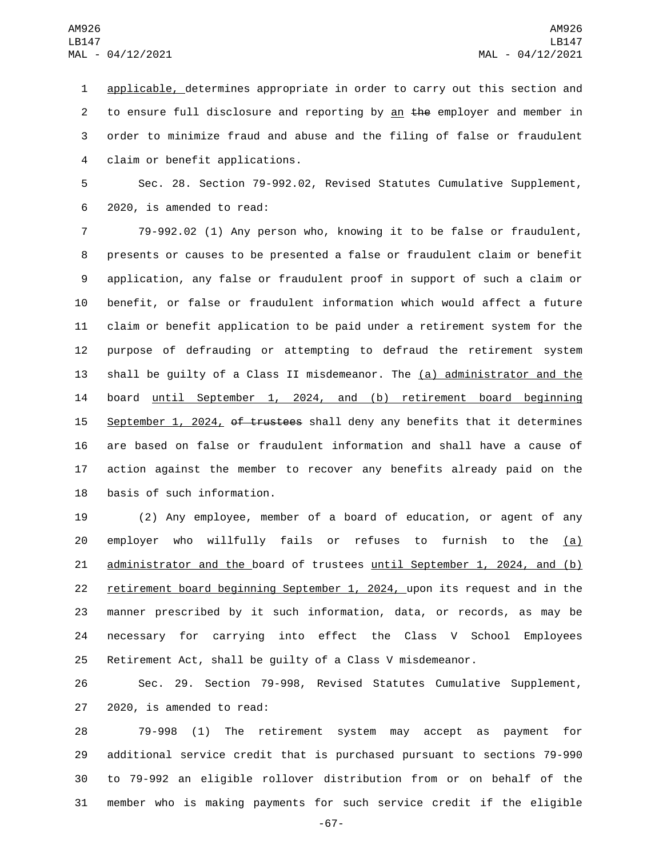applicable, determines appropriate in order to carry out this section and 2 to ensure full disclosure and reporting by an  $t$  he employer and member in order to minimize fraud and abuse and the filing of false or fraudulent claim or benefit applications.4

 Sec. 28. Section 79-992.02, Revised Statutes Cumulative Supplement, 6 2020, is amended to read:

 79-992.02 (1) Any person who, knowing it to be false or fraudulent, presents or causes to be presented a false or fraudulent claim or benefit application, any false or fraudulent proof in support of such a claim or benefit, or false or fraudulent information which would affect a future claim or benefit application to be paid under a retirement system for the purpose of defrauding or attempting to defraud the retirement system shall be guilty of a Class II misdemeanor. The (a) administrator and the board until September 1, 2024, and (b) retirement board beginning 15 September 1, 2024, of trustees shall deny any benefits that it determines are based on false or fraudulent information and shall have a cause of action against the member to recover any benefits already paid on the 18 basis of such information.

 (2) Any employee, member of a board of education, or agent of any 20 employer who willfully fails or refuses to furnish to the (a) 21 administrator and the board of trustees until September 1, 2024, and (b) retirement board beginning September 1, 2024, upon its request and in the manner prescribed by it such information, data, or records, as may be necessary for carrying into effect the Class V School Employees Retirement Act, shall be guilty of a Class V misdemeanor.

 Sec. 29. Section 79-998, Revised Statutes Cumulative Supplement, 27 2020, is amended to read:

 79-998 (1) The retirement system may accept as payment for additional service credit that is purchased pursuant to sections 79-990 to 79-992 an eligible rollover distribution from or on behalf of the member who is making payments for such service credit if the eligible

-67-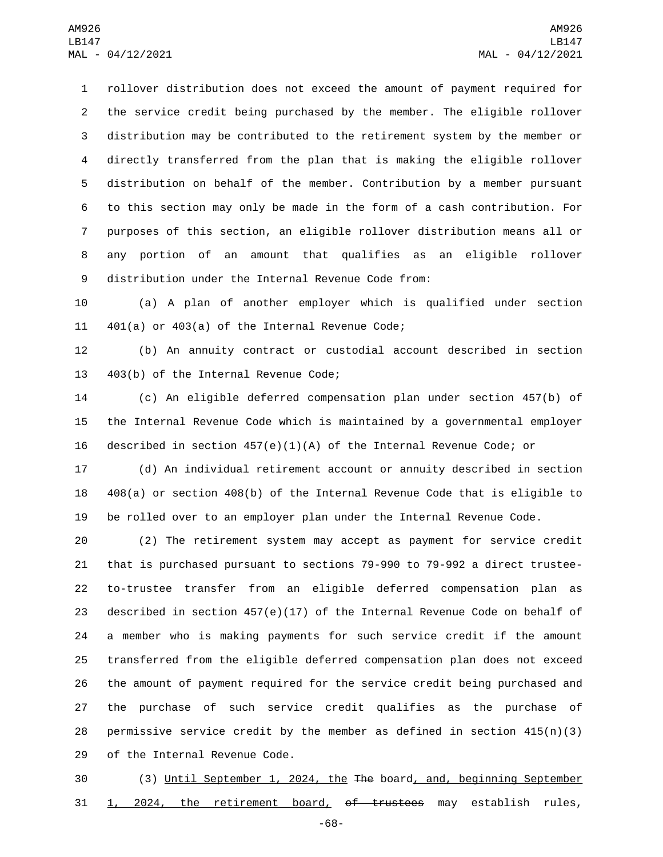rollover distribution does not exceed the amount of payment required for the service credit being purchased by the member. The eligible rollover distribution may be contributed to the retirement system by the member or directly transferred from the plan that is making the eligible rollover distribution on behalf of the member. Contribution by a member pursuant to this section may only be made in the form of a cash contribution. For purposes of this section, an eligible rollover distribution means all or any portion of an amount that qualifies as an eligible rollover 9 distribution under the Internal Revenue Code from:

 (a) A plan of another employer which is qualified under section 11  $401(a)$  or  $403(a)$  of the Internal Revenue Code;

 (b) An annuity contract or custodial account described in section 13 403(b) of the Internal Revenue Code;

 (c) An eligible deferred compensation plan under section 457(b) of the Internal Revenue Code which is maintained by a governmental employer described in section 457(e)(1)(A) of the Internal Revenue Code; or

 (d) An individual retirement account or annuity described in section 408(a) or section 408(b) of the Internal Revenue Code that is eligible to be rolled over to an employer plan under the Internal Revenue Code.

 (2) The retirement system may accept as payment for service credit that is purchased pursuant to sections 79-990 to 79-992 a direct trustee- to-trustee transfer from an eligible deferred compensation plan as described in section 457(e)(17) of the Internal Revenue Code on behalf of a member who is making payments for such service credit if the amount transferred from the eligible deferred compensation plan does not exceed the amount of payment required for the service credit being purchased and the purchase of such service credit qualifies as the purchase of 28 permissive service credit by the member as defined in section  $415(n)(3)$ 29 of the Internal Revenue Code.

 (3) Until September 1, 2024, the The board, and, beginning September 1, 2024, the retirement board, of trustees may establish rules,

-68-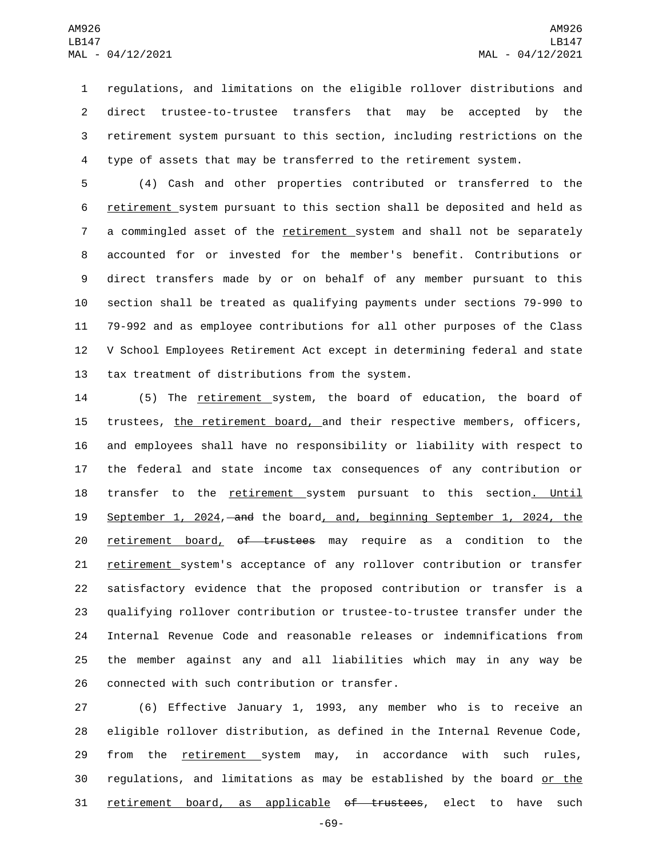regulations, and limitations on the eligible rollover distributions and direct trustee-to-trustee transfers that may be accepted by the retirement system pursuant to this section, including restrictions on the type of assets that may be transferred to the retirement system.

 (4) Cash and other properties contributed or transferred to the retirement system pursuant to this section shall be deposited and held as a commingled asset of the retirement system and shall not be separately accounted for or invested for the member's benefit. Contributions or direct transfers made by or on behalf of any member pursuant to this section shall be treated as qualifying payments under sections 79-990 to 79-992 and as employee contributions for all other purposes of the Class V School Employees Retirement Act except in determining federal and state 13 tax treatment of distributions from the system.

 (5) The retirement system, the board of education, the board of 15 trustees, the retirement board, and their respective members, officers, and employees shall have no responsibility or liability with respect to the federal and state income tax consequences of any contribution or 18 transfer to the retirement system pursuant to this section. Until September 1, 2024, and the board, and, beginning September 1, 2024, the 20 retirement board, of trustees may require as a condition to the 21 retirement system's acceptance of any rollover contribution or transfer satisfactory evidence that the proposed contribution or transfer is a qualifying rollover contribution or trustee-to-trustee transfer under the Internal Revenue Code and reasonable releases or indemnifications from the member against any and all liabilities which may in any way be 26 connected with such contribution or transfer.

27 (6) Effective January 1, 1993, any member who is to receive an 28 eligible rollover distribution, as defined in the Internal Revenue Code, 29 from the retirement system may, in accordance with such rules, 30 regulations, and limitations as may be established by the board or the 31 retirement board, as applicable of trustees, elect to have such

-69-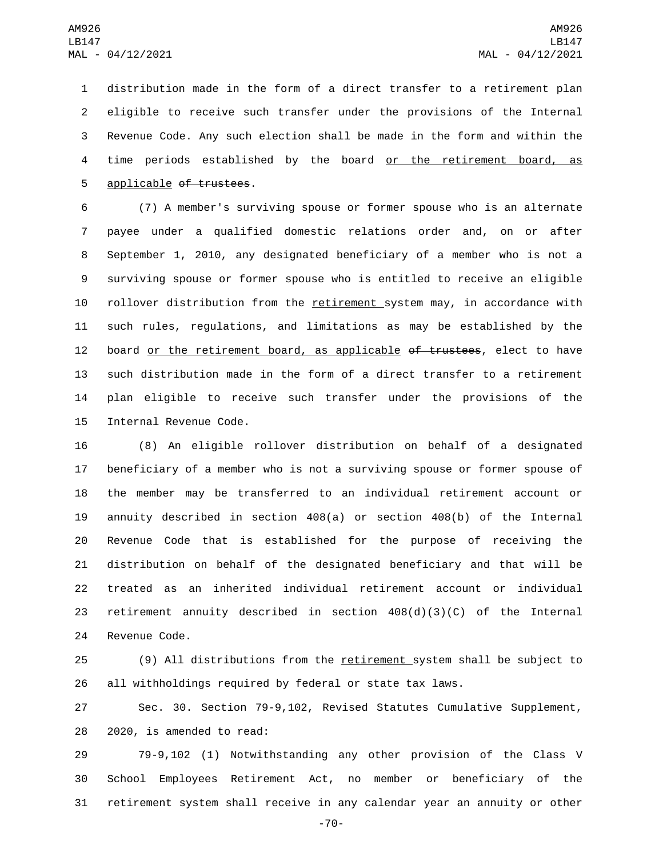distribution made in the form of a direct transfer to a retirement plan eligible to receive such transfer under the provisions of the Internal Revenue Code. Any such election shall be made in the form and within the time periods established by the board or the retirement board, as 5 applicable of trustees.

 (7) A member's surviving spouse or former spouse who is an alternate payee under a qualified domestic relations order and, on or after September 1, 2010, any designated beneficiary of a member who is not a surviving spouse or former spouse who is entitled to receive an eligible rollover distribution from the retirement system may, in accordance with such rules, regulations, and limitations as may be established by the 12 board or the retirement board, as applicable of trustees, elect to have such distribution made in the form of a direct transfer to a retirement plan eligible to receive such transfer under the provisions of the 15 Internal Revenue Code.

 (8) An eligible rollover distribution on behalf of a designated beneficiary of a member who is not a surviving spouse or former spouse of the member may be transferred to an individual retirement account or annuity described in section 408(a) or section 408(b) of the Internal Revenue Code that is established for the purpose of receiving the distribution on behalf of the designated beneficiary and that will be treated as an inherited individual retirement account or individual retirement annuity described in section 408(d)(3)(C) of the Internal 24 Revenue Code.

 (9) All distributions from the retirement system shall be subject to all withholdings required by federal or state tax laws.

 Sec. 30. Section 79-9,102, Revised Statutes Cumulative Supplement, 28 2020, is amended to read:

 79-9,102 (1) Notwithstanding any other provision of the Class V School Employees Retirement Act, no member or beneficiary of the retirement system shall receive in any calendar year an annuity or other

-70-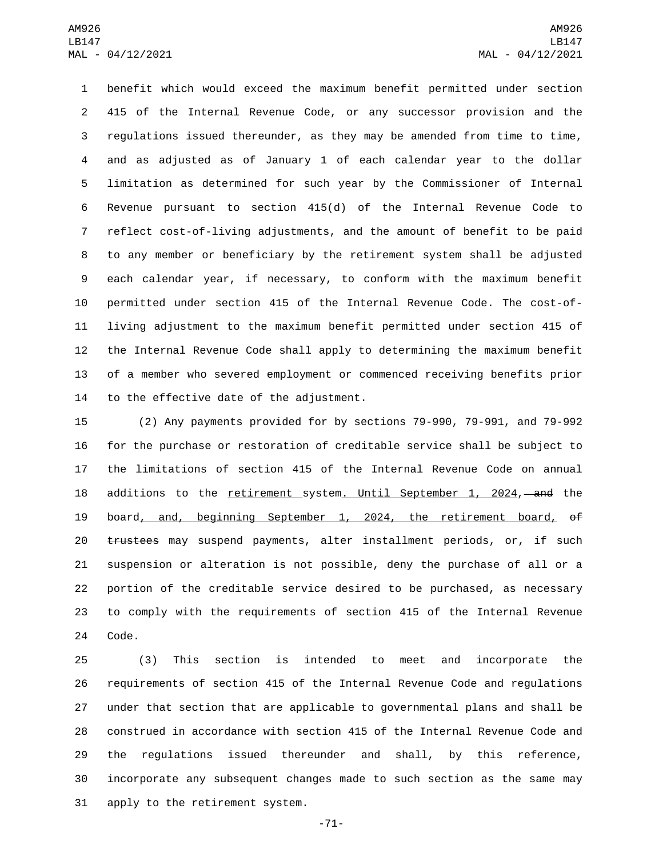benefit which would exceed the maximum benefit permitted under section 415 of the Internal Revenue Code, or any successor provision and the regulations issued thereunder, as they may be amended from time to time, and as adjusted as of January 1 of each calendar year to the dollar limitation as determined for such year by the Commissioner of Internal Revenue pursuant to section 415(d) of the Internal Revenue Code to reflect cost-of-living adjustments, and the amount of benefit to be paid to any member or beneficiary by the retirement system shall be adjusted each calendar year, if necessary, to conform with the maximum benefit permitted under section 415 of the Internal Revenue Code. The cost-of- living adjustment to the maximum benefit permitted under section 415 of the Internal Revenue Code shall apply to determining the maximum benefit of a member who severed employment or commenced receiving benefits prior 14 to the effective date of the adjustment.

 (2) Any payments provided for by sections 79-990, 79-991, and 79-992 for the purchase or restoration of creditable service shall be subject to the limitations of section 415 of the Internal Revenue Code on annual 18 additions to the retirement system. Until September 1, 2024, and the 19 board, and, beginning September 1, 2024, the retirement board, of 20 trustees may suspend payments, alter installment periods, or, if such suspension or alteration is not possible, deny the purchase of all or a portion of the creditable service desired to be purchased, as necessary to comply with the requirements of section 415 of the Internal Revenue 24 Code.

 (3) This section is intended to meet and incorporate the requirements of section 415 of the Internal Revenue Code and regulations under that section that are applicable to governmental plans and shall be construed in accordance with section 415 of the Internal Revenue Code and the regulations issued thereunder and shall, by this reference, incorporate any subsequent changes made to such section as the same may 31 apply to the retirement system.

-71-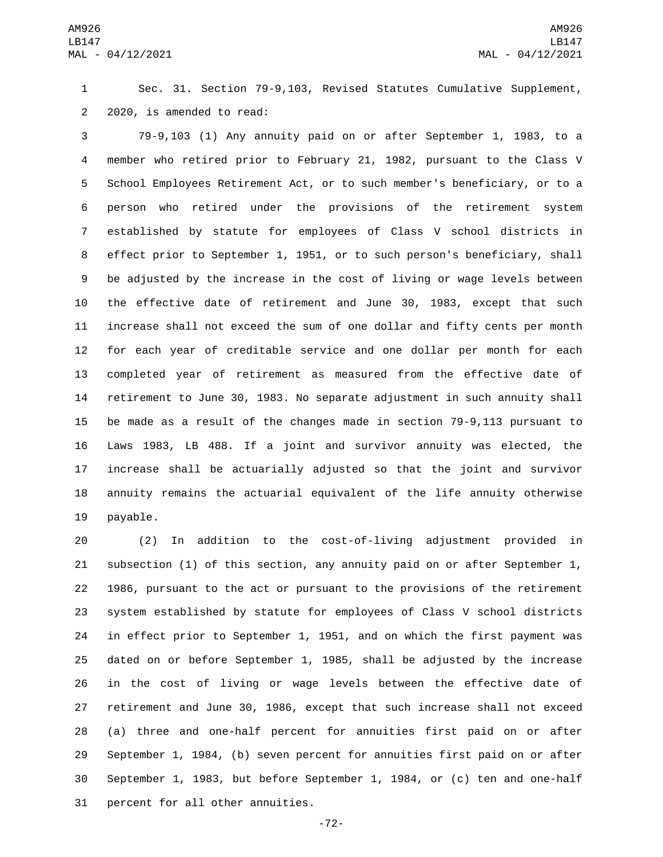Sec. 31. Section 79-9,103, Revised Statutes Cumulative Supplement, 2 2020, is amended to read:

 79-9,103 (1) Any annuity paid on or after September 1, 1983, to a member who retired prior to February 21, 1982, pursuant to the Class V School Employees Retirement Act, or to such member's beneficiary, or to a person who retired under the provisions of the retirement system established by statute for employees of Class V school districts in effect prior to September 1, 1951, or to such person's beneficiary, shall be adjusted by the increase in the cost of living or wage levels between the effective date of retirement and June 30, 1983, except that such increase shall not exceed the sum of one dollar and fifty cents per month for each year of creditable service and one dollar per month for each completed year of retirement as measured from the effective date of retirement to June 30, 1983. No separate adjustment in such annuity shall be made as a result of the changes made in section 79-9,113 pursuant to Laws 1983, LB 488. If a joint and survivor annuity was elected, the increase shall be actuarially adjusted so that the joint and survivor annuity remains the actuarial equivalent of the life annuity otherwise 19 payable.

 (2) In addition to the cost-of-living adjustment provided in subsection (1) of this section, any annuity paid on or after September 1, 1986, pursuant to the act or pursuant to the provisions of the retirement system established by statute for employees of Class V school districts in effect prior to September 1, 1951, and on which the first payment was dated on or before September 1, 1985, shall be adjusted by the increase in the cost of living or wage levels between the effective date of retirement and June 30, 1986, except that such increase shall not exceed (a) three and one-half percent for annuities first paid on or after September 1, 1984, (b) seven percent for annuities first paid on or after September 1, 1983, but before September 1, 1984, or (c) ten and one-half 31 percent for all other annuities.

-72-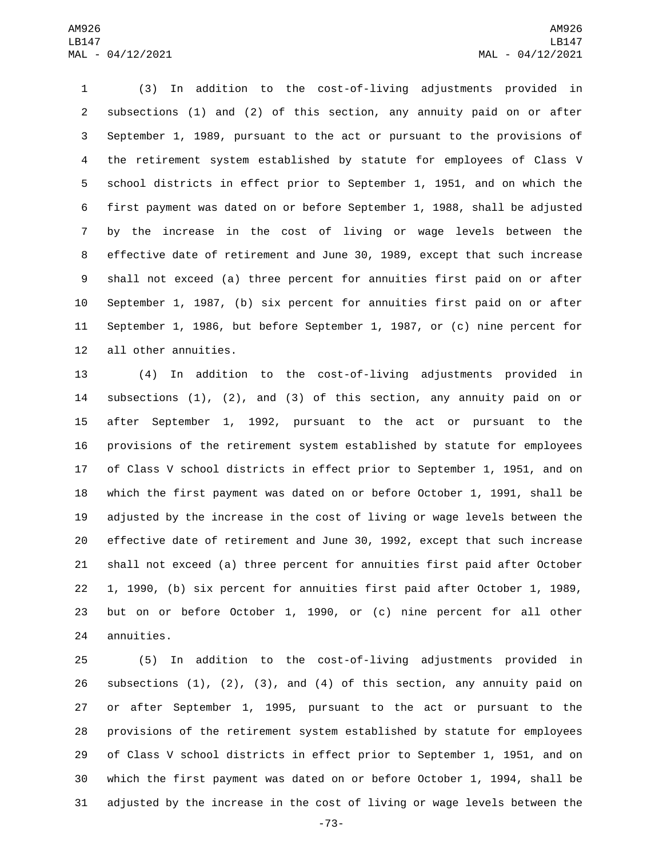(3) In addition to the cost-of-living adjustments provided in subsections (1) and (2) of this section, any annuity paid on or after September 1, 1989, pursuant to the act or pursuant to the provisions of the retirement system established by statute for employees of Class V school districts in effect prior to September 1, 1951, and on which the first payment was dated on or before September 1, 1988, shall be adjusted by the increase in the cost of living or wage levels between the effective date of retirement and June 30, 1989, except that such increase shall not exceed (a) three percent for annuities first paid on or after September 1, 1987, (b) six percent for annuities first paid on or after September 1, 1986, but before September 1, 1987, or (c) nine percent for 12 all other annuities.

 (4) In addition to the cost-of-living adjustments provided in subsections (1), (2), and (3) of this section, any annuity paid on or after September 1, 1992, pursuant to the act or pursuant to the provisions of the retirement system established by statute for employees of Class V school districts in effect prior to September 1, 1951, and on which the first payment was dated on or before October 1, 1991, shall be adjusted by the increase in the cost of living or wage levels between the effective date of retirement and June 30, 1992, except that such increase shall not exceed (a) three percent for annuities first paid after October 1, 1990, (b) six percent for annuities first paid after October 1, 1989, but on or before October 1, 1990, or (c) nine percent for all other 24 annuities.

 (5) In addition to the cost-of-living adjustments provided in subsections (1), (2), (3), and (4) of this section, any annuity paid on or after September 1, 1995, pursuant to the act or pursuant to the provisions of the retirement system established by statute for employees of Class V school districts in effect prior to September 1, 1951, and on which the first payment was dated on or before October 1, 1994, shall be adjusted by the increase in the cost of living or wage levels between the

-73-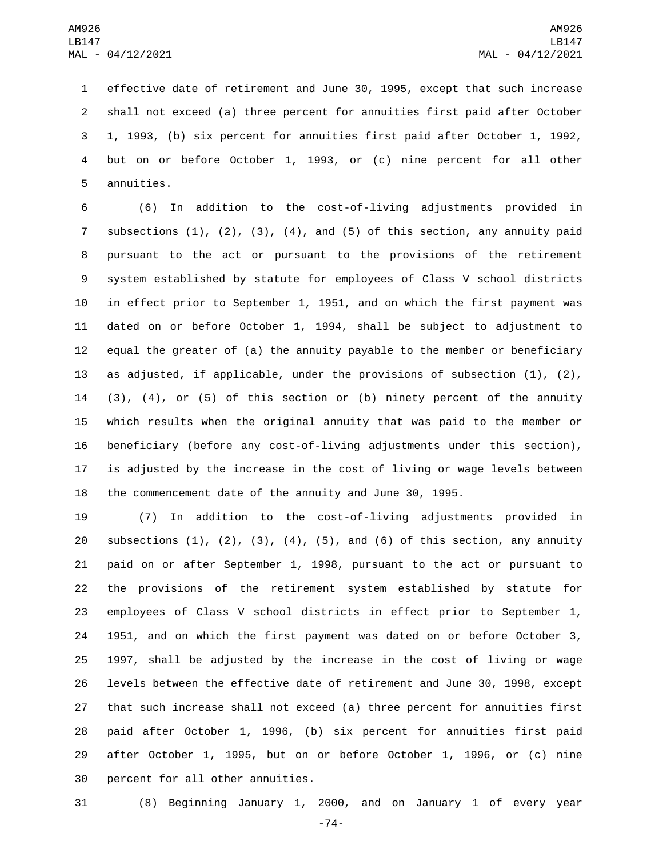effective date of retirement and June 30, 1995, except that such increase shall not exceed (a) three percent for annuities first paid after October 1, 1993, (b) six percent for annuities first paid after October 1, 1992, but on or before October 1, 1993, or (c) nine percent for all other 5 annuities.

 (6) In addition to the cost-of-living adjustments provided in subsections (1), (2), (3), (4), and (5) of this section, any annuity paid pursuant to the act or pursuant to the provisions of the retirement system established by statute for employees of Class V school districts in effect prior to September 1, 1951, and on which the first payment was dated on or before October 1, 1994, shall be subject to adjustment to equal the greater of (a) the annuity payable to the member or beneficiary as adjusted, if applicable, under the provisions of subsection (1), (2), (3), (4), or (5) of this section or (b) ninety percent of the annuity which results when the original annuity that was paid to the member or beneficiary (before any cost-of-living adjustments under this section), is adjusted by the increase in the cost of living or wage levels between the commencement date of the annuity and June 30, 1995.

 (7) In addition to the cost-of-living adjustments provided in 20 subsections  $(1)$ ,  $(2)$ ,  $(3)$ ,  $(4)$ ,  $(5)$ , and  $(6)$  of this section, any annuity paid on or after September 1, 1998, pursuant to the act or pursuant to the provisions of the retirement system established by statute for employees of Class V school districts in effect prior to September 1, 1951, and on which the first payment was dated on or before October 3, 1997, shall be adjusted by the increase in the cost of living or wage levels between the effective date of retirement and June 30, 1998, except that such increase shall not exceed (a) three percent for annuities first paid after October 1, 1996, (b) six percent for annuities first paid after October 1, 1995, but on or before October 1, 1996, or (c) nine 30 percent for all other annuities.

(8) Beginning January 1, 2000, and on January 1 of every year

-74-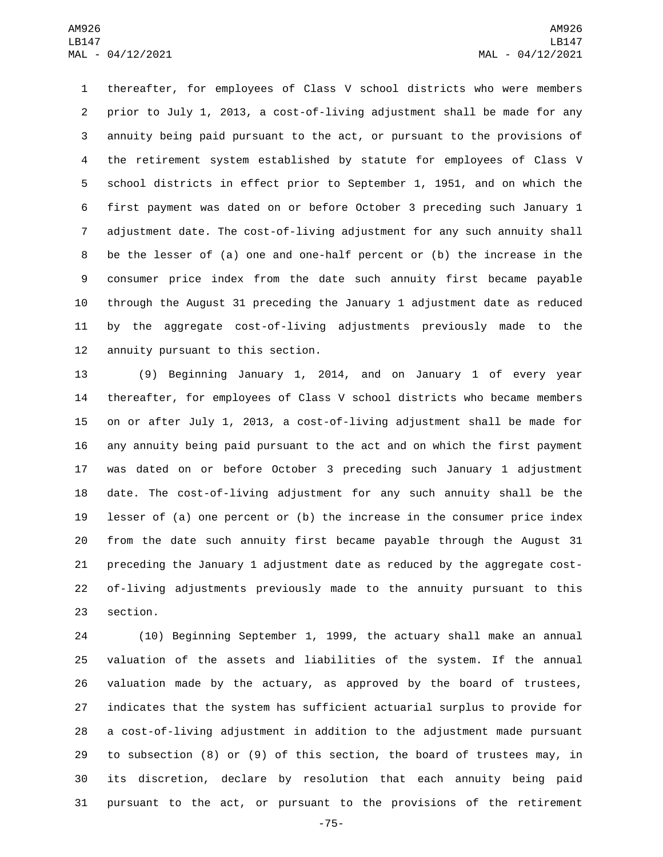thereafter, for employees of Class V school districts who were members prior to July 1, 2013, a cost-of-living adjustment shall be made for any annuity being paid pursuant to the act, or pursuant to the provisions of the retirement system established by statute for employees of Class V school districts in effect prior to September 1, 1951, and on which the first payment was dated on or before October 3 preceding such January 1 adjustment date. The cost-of-living adjustment for any such annuity shall be the lesser of (a) one and one-half percent or (b) the increase in the consumer price index from the date such annuity first became payable through the August 31 preceding the January 1 adjustment date as reduced by the aggregate cost-of-living adjustments previously made to the 12 annuity pursuant to this section.

 (9) Beginning January 1, 2014, and on January 1 of every year thereafter, for employees of Class V school districts who became members on or after July 1, 2013, a cost-of-living adjustment shall be made for any annuity being paid pursuant to the act and on which the first payment was dated on or before October 3 preceding such January 1 adjustment date. The cost-of-living adjustment for any such annuity shall be the lesser of (a) one percent or (b) the increase in the consumer price index from the date such annuity first became payable through the August 31 preceding the January 1 adjustment date as reduced by the aggregate cost- of-living adjustments previously made to the annuity pursuant to this 23 section.

 (10) Beginning September 1, 1999, the actuary shall make an annual valuation of the assets and liabilities of the system. If the annual valuation made by the actuary, as approved by the board of trustees, indicates that the system has sufficient actuarial surplus to provide for a cost-of-living adjustment in addition to the adjustment made pursuant to subsection (8) or (9) of this section, the board of trustees may, in its discretion, declare by resolution that each annuity being paid pursuant to the act, or pursuant to the provisions of the retirement

-75-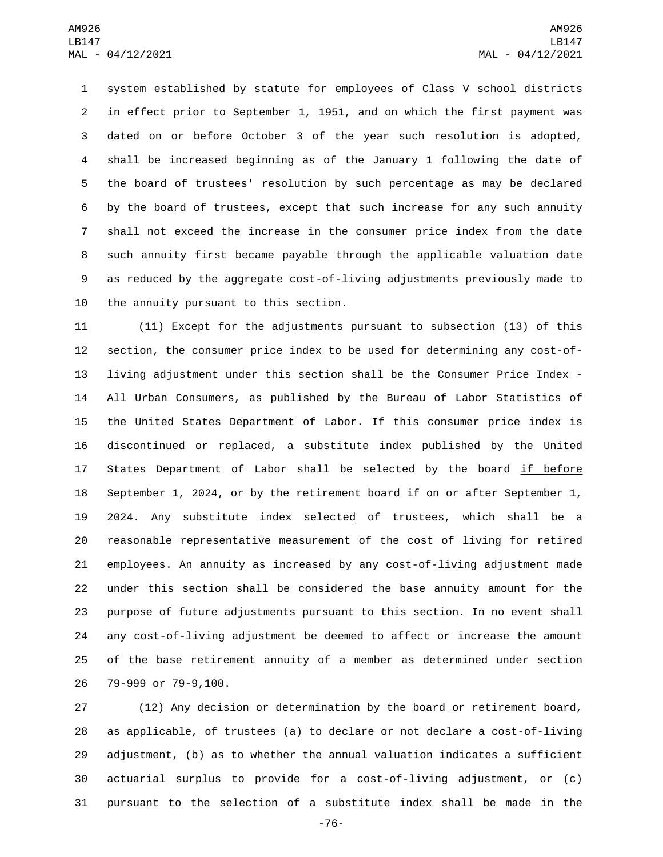system established by statute for employees of Class V school districts in effect prior to September 1, 1951, and on which the first payment was dated on or before October 3 of the year such resolution is adopted, shall be increased beginning as of the January 1 following the date of the board of trustees' resolution by such percentage as may be declared by the board of trustees, except that such increase for any such annuity shall not exceed the increase in the consumer price index from the date such annuity first became payable through the applicable valuation date as reduced by the aggregate cost-of-living adjustments previously made to 10 the annuity pursuant to this section.

 (11) Except for the adjustments pursuant to subsection (13) of this section, the consumer price index to be used for determining any cost-of- living adjustment under this section shall be the Consumer Price Index - All Urban Consumers, as published by the Bureau of Labor Statistics of the United States Department of Labor. If this consumer price index is discontinued or replaced, a substitute index published by the United 17 States Department of Labor shall be selected by the board if before September 1, 2024, or by the retirement board if on or after September 1, 19 2024. Any substitute index selected of trustees, which shall be a reasonable representative measurement of the cost of living for retired employees. An annuity as increased by any cost-of-living adjustment made under this section shall be considered the base annuity amount for the purpose of future adjustments pursuant to this section. In no event shall any cost-of-living adjustment be deemed to affect or increase the amount of the base retirement annuity of a member as determined under section 26 79-999 or 79-9,100.

27 (12) Any decision or determination by the board or retirement board, 28 as applicable, of trustees (a) to declare or not declare a cost-of-living adjustment, (b) as to whether the annual valuation indicates a sufficient actuarial surplus to provide for a cost-of-living adjustment, or (c) pursuant to the selection of a substitute index shall be made in the

-76-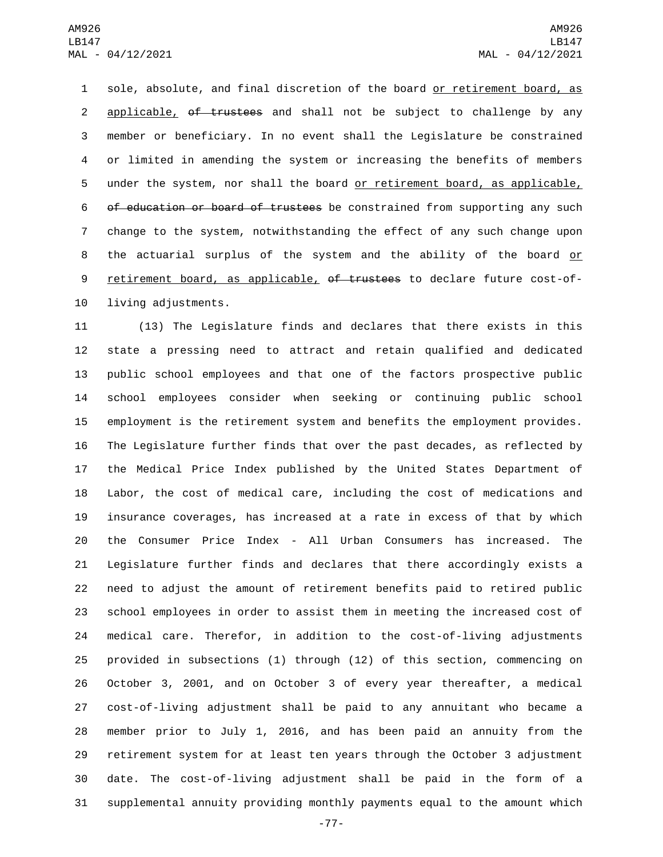1 sole, absolute, and final discretion of the board or retirement board, as 2 applicable, of trustees and shall not be subject to challenge by any member or beneficiary. In no event shall the Legislature be constrained or limited in amending the system or increasing the benefits of members under the system, nor shall the board or retirement board, as applicable, 6 of education or board of trustees be constrained from supporting any such change to the system, notwithstanding the effect of any such change upon 8 the actuarial surplus of the system and the ability of the board or 9 retirement board, as applicable, of trustees to declare future cost-of-10 living adjustments.

 (13) The Legislature finds and declares that there exists in this state a pressing need to attract and retain qualified and dedicated public school employees and that one of the factors prospective public school employees consider when seeking or continuing public school employment is the retirement system and benefits the employment provides. The Legislature further finds that over the past decades, as reflected by the Medical Price Index published by the United States Department of Labor, the cost of medical care, including the cost of medications and insurance coverages, has increased at a rate in excess of that by which the Consumer Price Index - All Urban Consumers has increased. The Legislature further finds and declares that there accordingly exists a need to adjust the amount of retirement benefits paid to retired public school employees in order to assist them in meeting the increased cost of medical care. Therefor, in addition to the cost-of-living adjustments provided in subsections (1) through (12) of this section, commencing on October 3, 2001, and on October 3 of every year thereafter, a medical cost-of-living adjustment shall be paid to any annuitant who became a member prior to July 1, 2016, and has been paid an annuity from the retirement system for at least ten years through the October 3 adjustment date. The cost-of-living adjustment shall be paid in the form of a supplemental annuity providing monthly payments equal to the amount which

-77-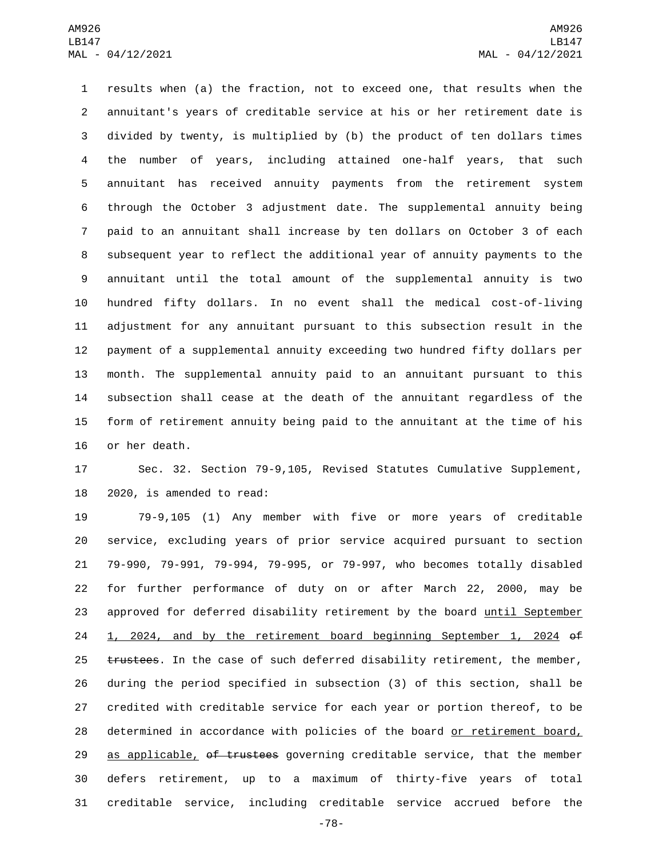results when (a) the fraction, not to exceed one, that results when the annuitant's years of creditable service at his or her retirement date is divided by twenty, is multiplied by (b) the product of ten dollars times the number of years, including attained one-half years, that such annuitant has received annuity payments from the retirement system through the October 3 adjustment date. The supplemental annuity being paid to an annuitant shall increase by ten dollars on October 3 of each subsequent year to reflect the additional year of annuity payments to the annuitant until the total amount of the supplemental annuity is two hundred fifty dollars. In no event shall the medical cost-of-living adjustment for any annuitant pursuant to this subsection result in the payment of a supplemental annuity exceeding two hundred fifty dollars per month. The supplemental annuity paid to an annuitant pursuant to this subsection shall cease at the death of the annuitant regardless of the form of retirement annuity being paid to the annuitant at the time of his 16 or her death.

 Sec. 32. Section 79-9,105, Revised Statutes Cumulative Supplement, 2020, is amended to read:

 79-9,105 (1) Any member with five or more years of creditable service, excluding years of prior service acquired pursuant to section 79-990, 79-991, 79-994, 79-995, or 79-997, who becomes totally disabled for further performance of duty on or after March 22, 2000, may be approved for deferred disability retirement by the board until September 1, 2024, and by the retirement board beginning September 1, 2024 of 25 trustees. In the case of such deferred disability retirement, the member, during the period specified in subsection (3) of this section, shall be credited with creditable service for each year or portion thereof, to be determined in accordance with policies of the board or retirement board, 29 as applicable, of trustees governing creditable service, that the member defers retirement, up to a maximum of thirty-five years of total creditable service, including creditable service accrued before the

-78-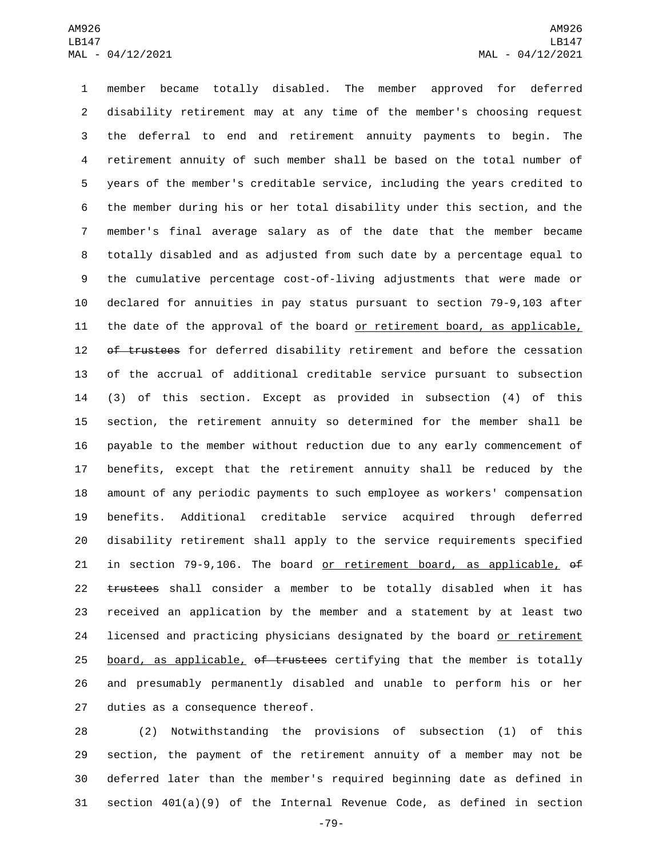member became totally disabled. The member approved for deferred disability retirement may at any time of the member's choosing request the deferral to end and retirement annuity payments to begin. The retirement annuity of such member shall be based on the total number of years of the member's creditable service, including the years credited to the member during his or her total disability under this section, and the member's final average salary as of the date that the member became totally disabled and as adjusted from such date by a percentage equal to the cumulative percentage cost-of-living adjustments that were made or declared for annuities in pay status pursuant to section 79-9,103 after the date of the approval of the board or retirement board, as applicable, 12 of trustees for deferred disability retirement and before the cessation of the accrual of additional creditable service pursuant to subsection (3) of this section. Except as provided in subsection (4) of this section, the retirement annuity so determined for the member shall be payable to the member without reduction due to any early commencement of benefits, except that the retirement annuity shall be reduced by the amount of any periodic payments to such employee as workers' compensation benefits. Additional creditable service acquired through deferred disability retirement shall apply to the service requirements specified 21 in section 79-9,106. The board <u>or retirement board, as applicable,</u> of 22 trustees shall consider a member to be totally disabled when it has received an application by the member and a statement by at least two 24 licensed and practicing physicians designated by the board or retirement 25 board, as applicable, of trustees certifying that the member is totally and presumably permanently disabled and unable to perform his or her 27 duties as a consequence thereof.

 (2) Notwithstanding the provisions of subsection (1) of this section, the payment of the retirement annuity of a member may not be deferred later than the member's required beginning date as defined in section 401(a)(9) of the Internal Revenue Code, as defined in section

-79-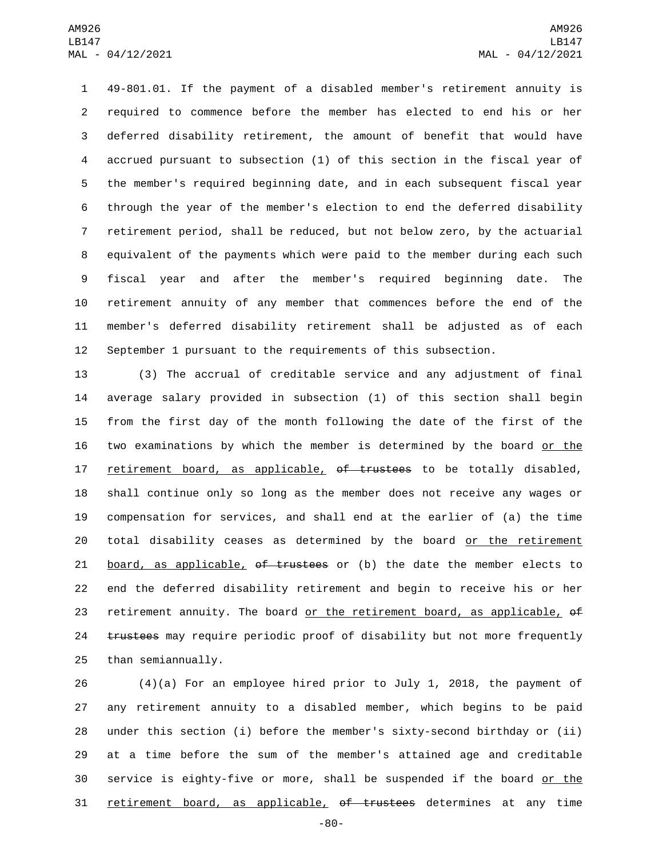49-801.01. If the payment of a disabled member's retirement annuity is required to commence before the member has elected to end his or her deferred disability retirement, the amount of benefit that would have accrued pursuant to subsection (1) of this section in the fiscal year of the member's required beginning date, and in each subsequent fiscal year through the year of the member's election to end the deferred disability retirement period, shall be reduced, but not below zero, by the actuarial equivalent of the payments which were paid to the member during each such fiscal year and after the member's required beginning date. The retirement annuity of any member that commences before the end of the member's deferred disability retirement shall be adjusted as of each September 1 pursuant to the requirements of this subsection.

 (3) The accrual of creditable service and any adjustment of final average salary provided in subsection (1) of this section shall begin from the first day of the month following the date of the first of the two examinations by which the member is determined by the board or the 17 retirement board, as applicable, of trustees to be totally disabled, shall continue only so long as the member does not receive any wages or compensation for services, and shall end at the earlier of (a) the time total disability ceases as determined by the board or the retirement 21 board, as applicable, of trustees or (b) the date the member elects to end the deferred disability retirement and begin to receive his or her 23 retirement annuity. The board or the retirement board, as applicable,  $\theta$ f 24 trustees may require periodic proof of disability but not more frequently 25 than semiannually.

 $(4)(a)$  For an employee hired prior to July 1, 2018, the payment of any retirement annuity to a disabled member, which begins to be paid under this section (i) before the member's sixty-second birthday or (ii) at a time before the sum of the member's attained age and creditable 30 service is eighty-five or more, shall be suspended if the board or the 31 retirement board, as applicable, of trustees determines at any time

-80-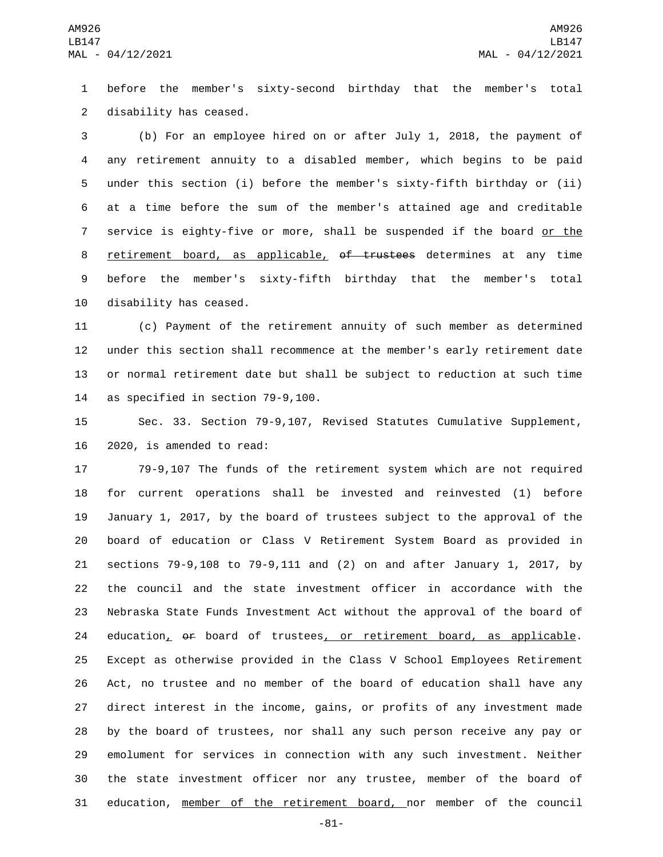before the member's sixty-second birthday that the member's total 2 disability has ceased.

 (b) For an employee hired on or after July 1, 2018, the payment of any retirement annuity to a disabled member, which begins to be paid under this section (i) before the member's sixty-fifth birthday or (ii) at a time before the sum of the member's attained age and creditable service is eighty-five or more, shall be suspended if the board or the 8 retirement board, as applicable, of trustees determines at any time before the member's sixty-fifth birthday that the member's total 10 disability has ceased.

 (c) Payment of the retirement annuity of such member as determined under this section shall recommence at the member's early retirement date or normal retirement date but shall be subject to reduction at such time 14 as specified in section 79-9,100.

 Sec. 33. Section 79-9,107, Revised Statutes Cumulative Supplement, 16 2020, is amended to read:

 79-9,107 The funds of the retirement system which are not required for current operations shall be invested and reinvested (1) before January 1, 2017, by the board of trustees subject to the approval of the board of education or Class V Retirement System Board as provided in sections 79-9,108 to 79-9,111 and (2) on and after January 1, 2017, by the council and the state investment officer in accordance with the Nebraska State Funds Investment Act without the approval of the board of 24 education, or board of trustees, or retirement board, as applicable. Except as otherwise provided in the Class V School Employees Retirement Act, no trustee and no member of the board of education shall have any direct interest in the income, gains, or profits of any investment made by the board of trustees, nor shall any such person receive any pay or emolument for services in connection with any such investment. Neither the state investment officer nor any trustee, member of the board of education, member of the retirement board, nor member of the council

-81-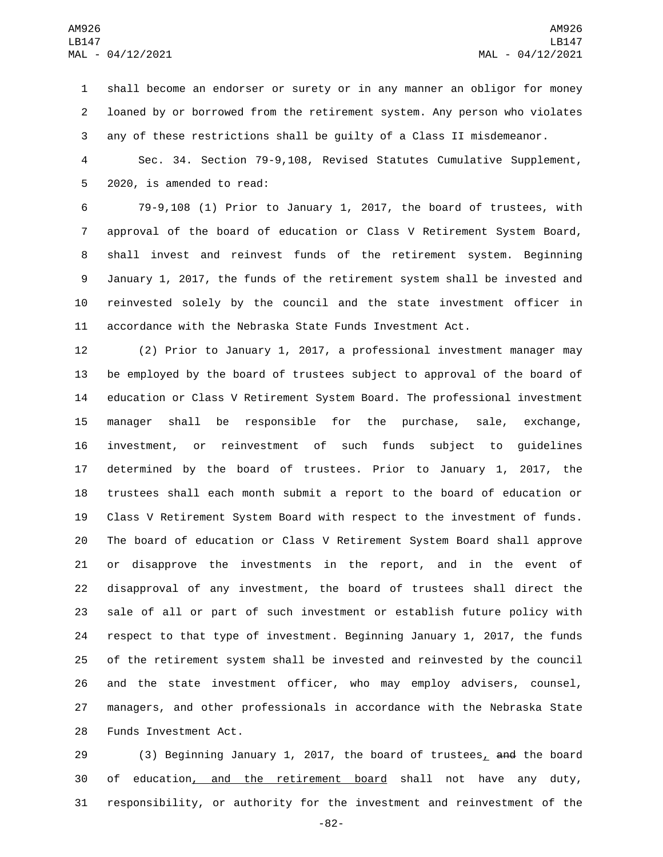shall become an endorser or surety or in any manner an obligor for money loaned by or borrowed from the retirement system. Any person who violates any of these restrictions shall be guilty of a Class II misdemeanor.

 Sec. 34. Section 79-9,108, Revised Statutes Cumulative Supplement, 5 2020, is amended to read:

 79-9,108 (1) Prior to January 1, 2017, the board of trustees, with approval of the board of education or Class V Retirement System Board, shall invest and reinvest funds of the retirement system. Beginning January 1, 2017, the funds of the retirement system shall be invested and reinvested solely by the council and the state investment officer in accordance with the Nebraska State Funds Investment Act.

 (2) Prior to January 1, 2017, a professional investment manager may be employed by the board of trustees subject to approval of the board of education or Class V Retirement System Board. The professional investment manager shall be responsible for the purchase, sale, exchange, investment, or reinvestment of such funds subject to guidelines determined by the board of trustees. Prior to January 1, 2017, the trustees shall each month submit a report to the board of education or Class V Retirement System Board with respect to the investment of funds. The board of education or Class V Retirement System Board shall approve or disapprove the investments in the report, and in the event of disapproval of any investment, the board of trustees shall direct the sale of all or part of such investment or establish future policy with respect to that type of investment. Beginning January 1, 2017, the funds of the retirement system shall be invested and reinvested by the council and the state investment officer, who may employ advisers, counsel, managers, and other professionals in accordance with the Nebraska State 28 Funds Investment Act.

29 (3) Beginning January 1, 2017, the board of trustees, and the board of education, and the retirement board shall not have any duty, responsibility, or authority for the investment and reinvestment of the

-82-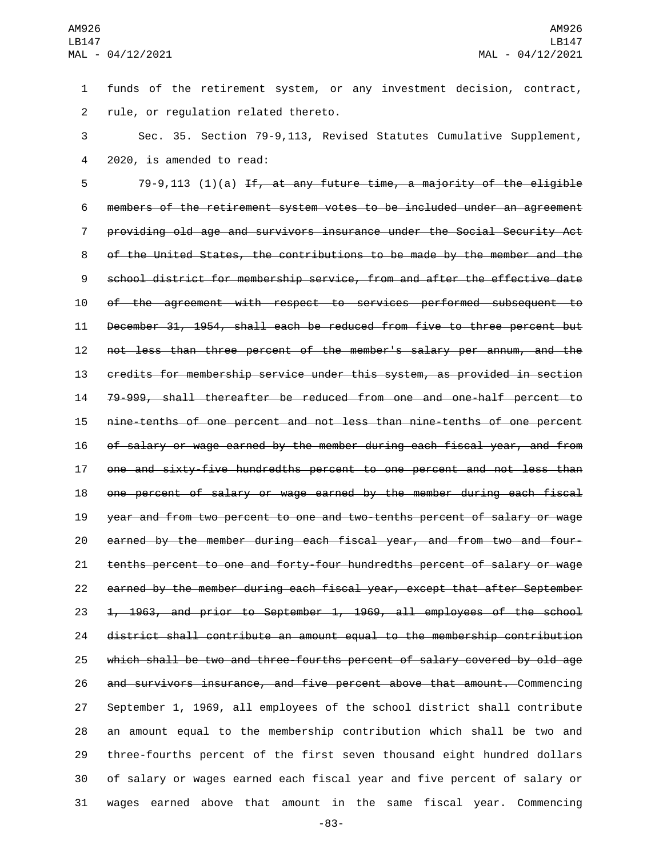funds of the retirement system, or any investment decision, contract, 2 rule, or regulation related thereto.

 Sec. 35. Section 79-9,113, Revised Statutes Cumulative Supplement, 4 2020, is amended to read:

 79-9,113 (1)(a) If, at any future time, a majority of the eligible members of the retirement system votes to be included under an agreement providing old age and survivors insurance under the Social Security Act of the United States, the contributions to be made by the member and the school district for membership service, from and after the effective date of the agreement with respect to services performed subsequent to December 31, 1954, shall each be reduced from five to three percent but not less than three percent of the member's salary per annum, and the credits for membership service under this system, as provided in section 79-999, shall thereafter be reduced from one and one-half percent to nine-tenths of one percent and not less than nine-tenths of one percent of salary or wage earned by the member during each fiscal year, and from one and sixty-five hundredths percent to one percent and not less than one percent of salary or wage earned by the member during each fiscal year and from two percent to one and two-tenths percent of salary or wage earned by the member during each fiscal year, and from two and four- tenths percent to one and forty-four hundredths percent of salary or wage earned by the member during each fiscal year, except that after September 23 <del>1, 1963, and prior to September 1, 1969, all employees of the school</del> district shall contribute an amount equal to the membership contribution which shall be two and three-fourths percent of salary covered by old age and survivors insurance, and five percent above that amount. Commencing September 1, 1969, all employees of the school district shall contribute an amount equal to the membership contribution which shall be two and three-fourths percent of the first seven thousand eight hundred dollars of salary or wages earned each fiscal year and five percent of salary or wages earned above that amount in the same fiscal year. Commencing

-83-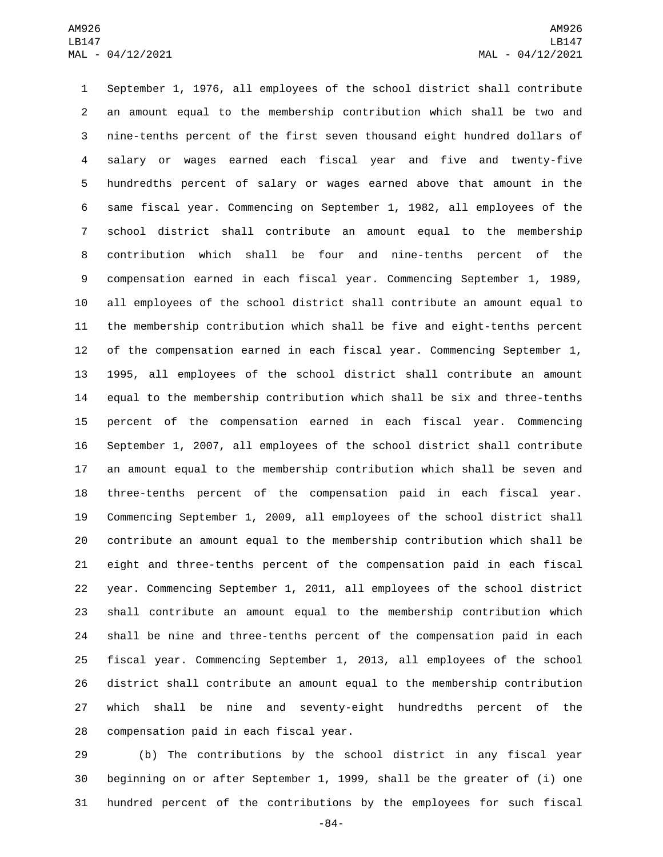September 1, 1976, all employees of the school district shall contribute an amount equal to the membership contribution which shall be two and nine-tenths percent of the first seven thousand eight hundred dollars of salary or wages earned each fiscal year and five and twenty-five hundredths percent of salary or wages earned above that amount in the same fiscal year. Commencing on September 1, 1982, all employees of the school district shall contribute an amount equal to the membership contribution which shall be four and nine-tenths percent of the compensation earned in each fiscal year. Commencing September 1, 1989, all employees of the school district shall contribute an amount equal to the membership contribution which shall be five and eight-tenths percent of the compensation earned in each fiscal year. Commencing September 1, 1995, all employees of the school district shall contribute an amount equal to the membership contribution which shall be six and three-tenths percent of the compensation earned in each fiscal year. Commencing September 1, 2007, all employees of the school district shall contribute an amount equal to the membership contribution which shall be seven and three-tenths percent of the compensation paid in each fiscal year. Commencing September 1, 2009, all employees of the school district shall contribute an amount equal to the membership contribution which shall be eight and three-tenths percent of the compensation paid in each fiscal year. Commencing September 1, 2011, all employees of the school district shall contribute an amount equal to the membership contribution which shall be nine and three-tenths percent of the compensation paid in each fiscal year. Commencing September 1, 2013, all employees of the school district shall contribute an amount equal to the membership contribution which shall be nine and seventy-eight hundredths percent of the 28 compensation paid in each fiscal year.

 (b) The contributions by the school district in any fiscal year beginning on or after September 1, 1999, shall be the greater of (i) one hundred percent of the contributions by the employees for such fiscal

-84-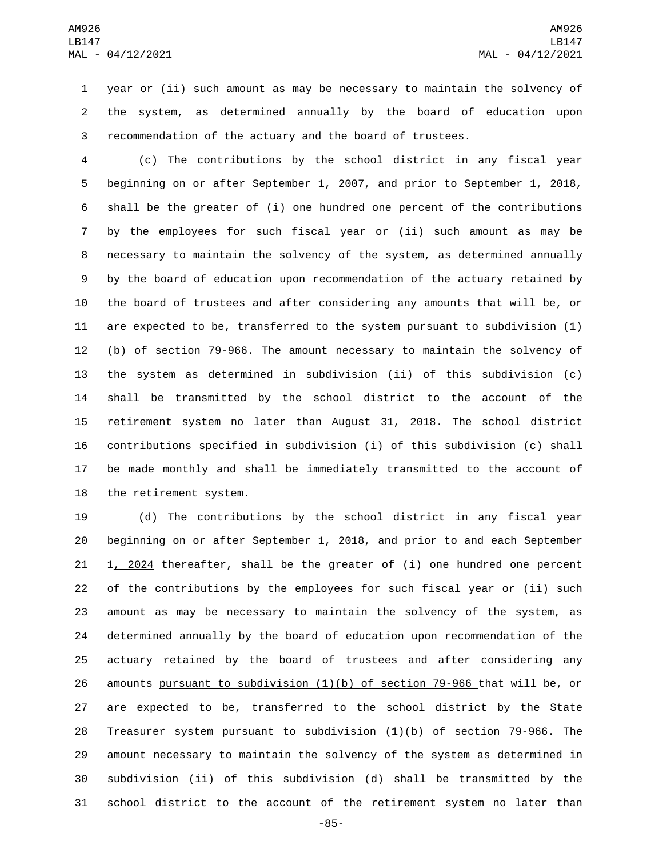year or (ii) such amount as may be necessary to maintain the solvency of the system, as determined annually by the board of education upon recommendation of the actuary and the board of trustees.

 (c) The contributions by the school district in any fiscal year beginning on or after September 1, 2007, and prior to September 1, 2018, shall be the greater of (i) one hundred one percent of the contributions by the employees for such fiscal year or (ii) such amount as may be necessary to maintain the solvency of the system, as determined annually by the board of education upon recommendation of the actuary retained by the board of trustees and after considering any amounts that will be, or are expected to be, transferred to the system pursuant to subdivision (1) (b) of section 79-966. The amount necessary to maintain the solvency of the system as determined in subdivision (ii) of this subdivision (c) shall be transmitted by the school district to the account of the retirement system no later than August 31, 2018. The school district contributions specified in subdivision (i) of this subdivision (c) shall be made monthly and shall be immediately transmitted to the account of 18 the retirement system.

 (d) The contributions by the school district in any fiscal year 20 beginning on or after September 1, 2018, and prior to and each September 21 1, 2024 thereafter, shall be the greater of (i) one hundred one percent of the contributions by the employees for such fiscal year or (ii) such amount as may be necessary to maintain the solvency of the system, as determined annually by the board of education upon recommendation of the actuary retained by the board of trustees and after considering any amounts pursuant to subdivision (1)(b) of section 79-966 that will be, or 27 are expected to be, transferred to the school district by the State Treasurer system pursuant to subdivision (1)(b) of section 79-966. The amount necessary to maintain the solvency of the system as determined in subdivision (ii) of this subdivision (d) shall be transmitted by the school district to the account of the retirement system no later than

-85-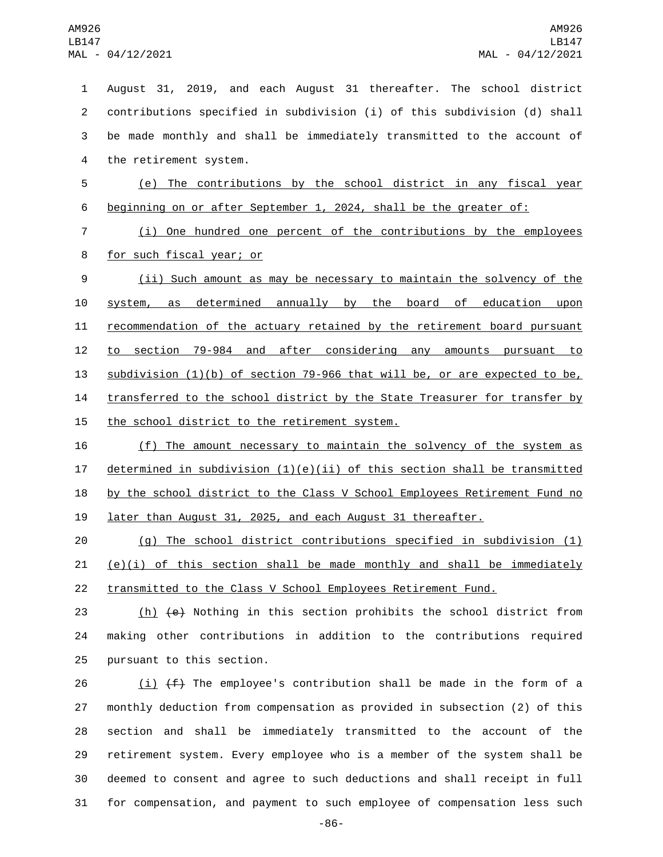August 31, 2019, and each August 31 thereafter. The school district contributions specified in subdivision (i) of this subdivision (d) shall be made monthly and shall be immediately transmitted to the account of 4 the retirement system. (e) The contributions by the school district in any fiscal year beginning on or after September 1, 2024, shall be the greater of: (i) One hundred one percent of the contributions by the employees 8 for such fiscal year; or (ii) Such amount as may be necessary to maintain the solvency of the system, as determined annually by the board of education upon recommendation of the actuary retained by the retirement board pursuant to section 79-984 and after considering any amounts pursuant to subdivision (1)(b) of section 79-966 that will be, or are expected to be, 14 transferred to the school district by the State Treasurer for transfer by 15 the school district to the retirement system. (f) The amount necessary to maintain the solvency of the system as 17 determined in subdivision  $(1)(e)(ii)$  of this section shall be transmitted

18 by the school district to the Class V School Employees Retirement Fund no 19 later than August 31, 2025, and each August 31 thereafter.

20 (g) The school district contributions specified in subdivision (1) 21  $(e)(i)$  of this section shall be made monthly and shall be immediately 22 transmitted to the Class V School Employees Retirement Fund.

23 (h) (e) Nothing in this section prohibits the school district from 24 making other contributions in addition to the contributions required 25 pursuant to this section.

 $(i)$   $(f)$  The employee's contribution shall be made in the form of a monthly deduction from compensation as provided in subsection (2) of this section and shall be immediately transmitted to the account of the retirement system. Every employee who is a member of the system shall be deemed to consent and agree to such deductions and shall receipt in full for compensation, and payment to such employee of compensation less such

-86-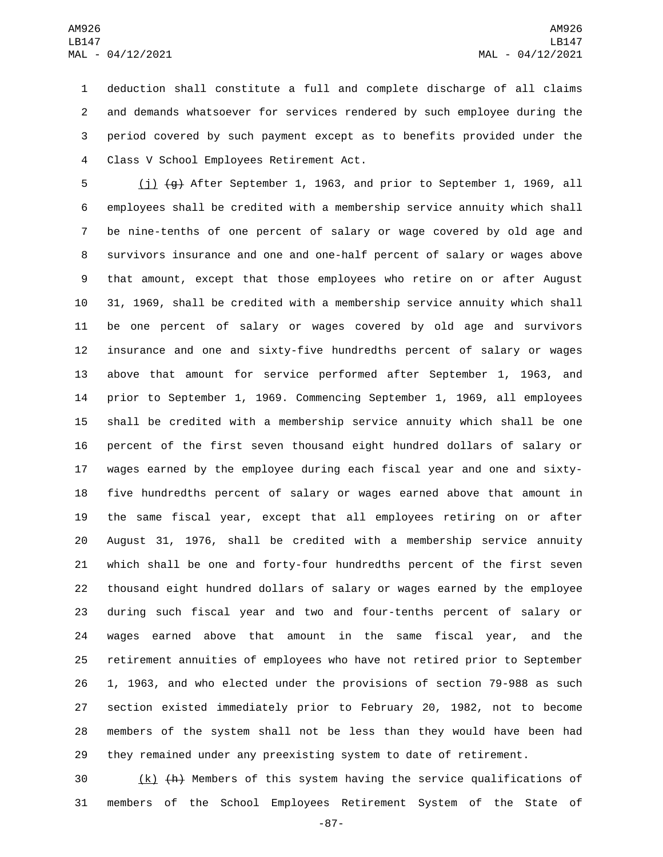deduction shall constitute a full and complete discharge of all claims and demands whatsoever for services rendered by such employee during the period covered by such payment except as to benefits provided under the Class V School Employees Retirement Act.4

 (j) (g) After September 1, 1963, and prior to September 1, 1969, all employees shall be credited with a membership service annuity which shall be nine-tenths of one percent of salary or wage covered by old age and survivors insurance and one and one-half percent of salary or wages above that amount, except that those employees who retire on or after August 31, 1969, shall be credited with a membership service annuity which shall be one percent of salary or wages covered by old age and survivors insurance and one and sixty-five hundredths percent of salary or wages above that amount for service performed after September 1, 1963, and prior to September 1, 1969. Commencing September 1, 1969, all employees shall be credited with a membership service annuity which shall be one percent of the first seven thousand eight hundred dollars of salary or wages earned by the employee during each fiscal year and one and sixty- five hundredths percent of salary or wages earned above that amount in the same fiscal year, except that all employees retiring on or after August 31, 1976, shall be credited with a membership service annuity which shall be one and forty-four hundredths percent of the first seven thousand eight hundred dollars of salary or wages earned by the employee during such fiscal year and two and four-tenths percent of salary or wages earned above that amount in the same fiscal year, and the retirement annuities of employees who have not retired prior to September 1, 1963, and who elected under the provisions of section 79-988 as such section existed immediately prior to February 20, 1982, not to become members of the system shall not be less than they would have been had they remained under any preexisting system to date of retirement.

 $\left(\frac{k}{k}\right)$  (k) (A) Members of this system having the service qualifications of members of the School Employees Retirement System of the State of

-87-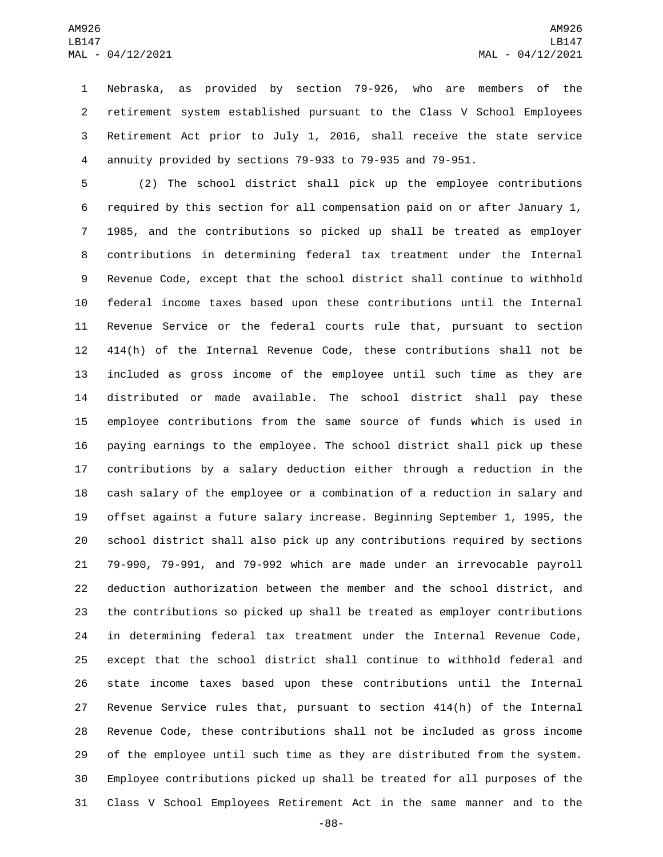Nebraska, as provided by section 79-926, who are members of the retirement system established pursuant to the Class V School Employees Retirement Act prior to July 1, 2016, shall receive the state service annuity provided by sections 79-933 to 79-935 and 79-951.

 (2) The school district shall pick up the employee contributions required by this section for all compensation paid on or after January 1, 1985, and the contributions so picked up shall be treated as employer contributions in determining federal tax treatment under the Internal Revenue Code, except that the school district shall continue to withhold federal income taxes based upon these contributions until the Internal Revenue Service or the federal courts rule that, pursuant to section 414(h) of the Internal Revenue Code, these contributions shall not be included as gross income of the employee until such time as they are distributed or made available. The school district shall pay these employee contributions from the same source of funds which is used in paying earnings to the employee. The school district shall pick up these contributions by a salary deduction either through a reduction in the cash salary of the employee or a combination of a reduction in salary and offset against a future salary increase. Beginning September 1, 1995, the school district shall also pick up any contributions required by sections 79-990, 79-991, and 79-992 which are made under an irrevocable payroll deduction authorization between the member and the school district, and the contributions so picked up shall be treated as employer contributions in determining federal tax treatment under the Internal Revenue Code, except that the school district shall continue to withhold federal and state income taxes based upon these contributions until the Internal Revenue Service rules that, pursuant to section 414(h) of the Internal Revenue Code, these contributions shall not be included as gross income of the employee until such time as they are distributed from the system. Employee contributions picked up shall be treated for all purposes of the Class V School Employees Retirement Act in the same manner and to the

-88-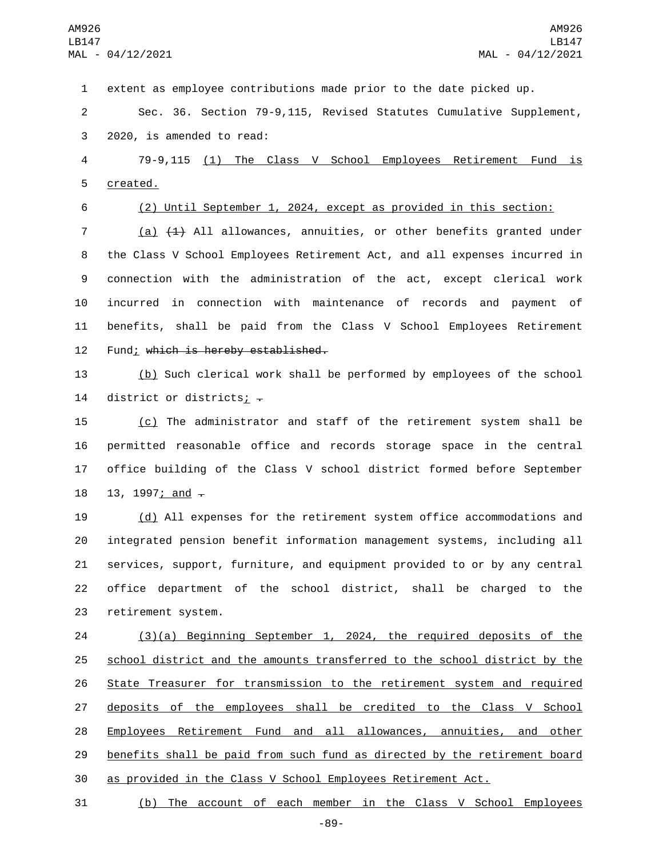extent as employee contributions made prior to the date picked up.

 Sec. 36. Section 79-9,115, Revised Statutes Cumulative Supplement, 3 2020, is amended to read:

 79-9,115 (1) The Class V School Employees Retirement Fund is 5 created.

(2) Until September 1, 2024, except as provided in this section:

 (a) (1) All allowances, annuities, or other benefits granted under the Class V School Employees Retirement Act, and all expenses incurred in connection with the administration of the act, except clerical work incurred in connection with maintenance of records and payment of benefits, shall be paid from the Class V School Employees Retirement 12 Fund; which is hereby established.

 (b) Such clerical work shall be performed by employees of the school 14 district or districts;  $\overline{z}$ 

 (c) The administrator and staff of the retirement system shall be permitted reasonable office and records storage space in the central office building of the Class V school district formed before September 18 13, 1997; and  $-$ 

 (d) All expenses for the retirement system office accommodations and integrated pension benefit information management systems, including all services, support, furniture, and equipment provided to or by any central office department of the school district, shall be charged to the 23 retirement system.

 (3)(a) Beginning September 1, 2024, the required deposits of the school district and the amounts transferred to the school district by the State Treasurer for transmission to the retirement system and required 27 deposits of the employees shall be credited to the Class V School 28 Employees Retirement Fund and all allowances, annuities, and other benefits shall be paid from such fund as directed by the retirement board as provided in the Class V School Employees Retirement Act.

(b) The account of each member in the Class V School Employees

-89-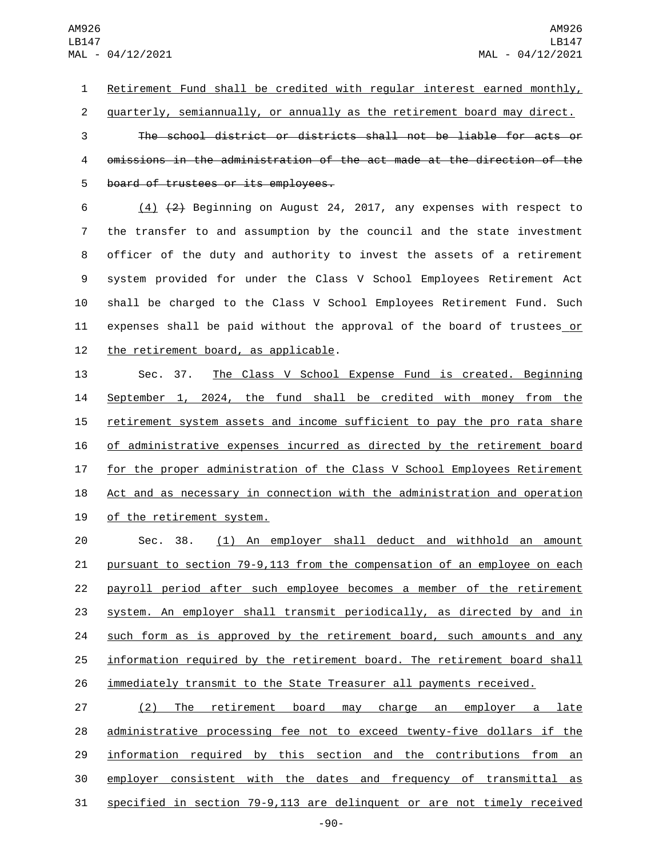Retirement Fund shall be credited with regular interest earned monthly,

quarterly, semiannually, or annually as the retirement board may direct.

 The school district or districts shall not be liable for acts or omissions in the administration of the act made at the direction of the 5 board of trustees or its employees.

 $(4)$   $(2)$  Beginning on August 24, 2017, any expenses with respect to the transfer to and assumption by the council and the state investment officer of the duty and authority to invest the assets of a retirement system provided for under the Class V School Employees Retirement Act shall be charged to the Class V School Employees Retirement Fund. Such expenses shall be paid without the approval of the board of trustees or 12 the retirement board, as applicable.

 Sec. 37. The Class V School Expense Fund is created. Beginning September 1, 2024, the fund shall be credited with money from the 15 retirement system assets and income sufficient to pay the pro rata share of administrative expenses incurred as directed by the retirement board for the proper administration of the Class V School Employees Retirement 18 Act and as necessary in connection with the administration and operation 19 of the retirement system.

 Sec. 38. (1) An employer shall deduct and withhold an amount pursuant to section 79-9,113 from the compensation of an employee on each payroll period after such employee becomes a member of the retirement system. An employer shall transmit periodically, as directed by and in 24 such form as is approved by the retirement board, such amounts and any information required by the retirement board. The retirement board shall 26 immediately transmit to the State Treasurer all payments received.

 (2) The retirement board may charge an employer a late administrative processing fee not to exceed twenty-five dollars if the information required by this section and the contributions from an employer consistent with the dates and frequency of transmittal as specified in section 79-9,113 are delinquent or are not timely received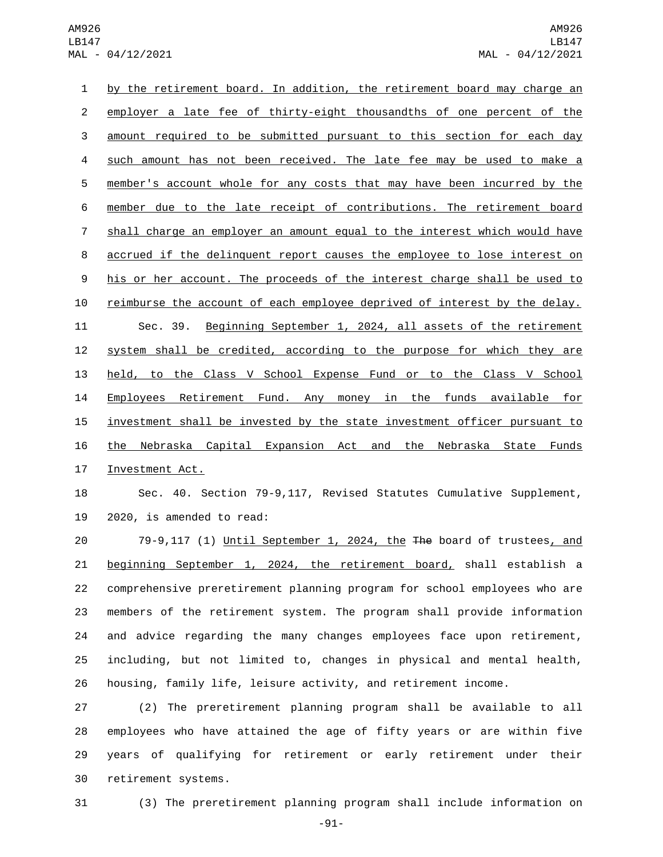by the retirement board. In addition, the retirement board may charge an employer a late fee of thirty-eight thousandths of one percent of the amount required to be submitted pursuant to this section for each day such amount has not been received. The late fee may be used to make a member's account whole for any costs that may have been incurred by the member due to the late receipt of contributions. The retirement board shall charge an employer an amount equal to the interest which would have accrued if the delinquent report causes the employee to lose interest on 9 his or her account. The proceeds of the interest charge shall be used to reimburse the account of each employee deprived of interest by the delay. Sec. 39. Beginning September 1, 2024, all assets of the retirement system shall be credited, according to the purpose for which they are held, to the Class V School Expense Fund or to the Class V School Employees Retirement Fund. Any money in the funds available for 15 investment shall be invested by the state investment officer pursuant to the Nebraska Capital Expansion Act and the Nebraska State Funds 17 Investment Act.

 Sec. 40. Section 79-9,117, Revised Statutes Cumulative Supplement, 2020, is amended to read:

 79-9,117 (1) Until September 1, 2024, the The board of trustees, and beginning September 1, 2024, the retirement board, shall establish a comprehensive preretirement planning program for school employees who are members of the retirement system. The program shall provide information and advice regarding the many changes employees face upon retirement, including, but not limited to, changes in physical and mental health, housing, family life, leisure activity, and retirement income.

 (2) The preretirement planning program shall be available to all employees who have attained the age of fifty years or are within five years of qualifying for retirement or early retirement under their 30 retirement systems.

(3) The preretirement planning program shall include information on

-91-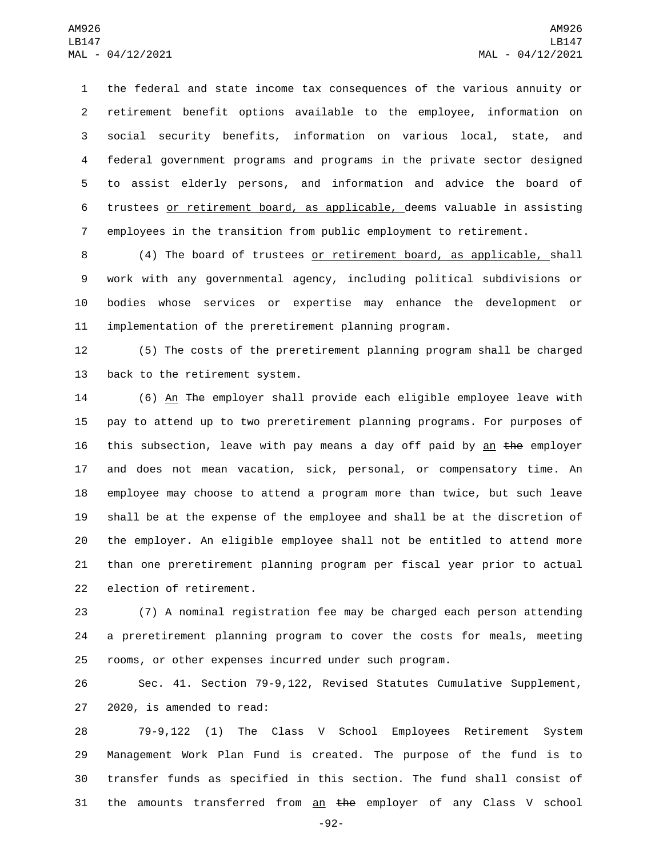the federal and state income tax consequences of the various annuity or retirement benefit options available to the employee, information on social security benefits, information on various local, state, and federal government programs and programs in the private sector designed to assist elderly persons, and information and advice the board of trustees or retirement board, as applicable, deems valuable in assisting employees in the transition from public employment to retirement.

 (4) The board of trustees or retirement board, as applicable, shall work with any governmental agency, including political subdivisions or bodies whose services or expertise may enhance the development or implementation of the preretirement planning program.

 (5) The costs of the preretirement planning program shall be charged 13 back to the retirement system.

 (6) An The employer shall provide each eligible employee leave with pay to attend up to two preretirement planning programs. For purposes of 16 this subsection, leave with pay means a day off paid by an the employer and does not mean vacation, sick, personal, or compensatory time. An employee may choose to attend a program more than twice, but such leave shall be at the expense of the employee and shall be at the discretion of the employer. An eligible employee shall not be entitled to attend more than one preretirement planning program per fiscal year prior to actual 22 election of retirement.

 (7) A nominal registration fee may be charged each person attending a preretirement planning program to cover the costs for meals, meeting rooms, or other expenses incurred under such program.

 Sec. 41. Section 79-9,122, Revised Statutes Cumulative Supplement, 27 2020, is amended to read:

 79-9,122 (1) The Class V School Employees Retirement System Management Work Plan Fund is created. The purpose of the fund is to transfer funds as specified in this section. The fund shall consist of 31 the amounts transferred from  $an$  the employer of any Class V school

-92-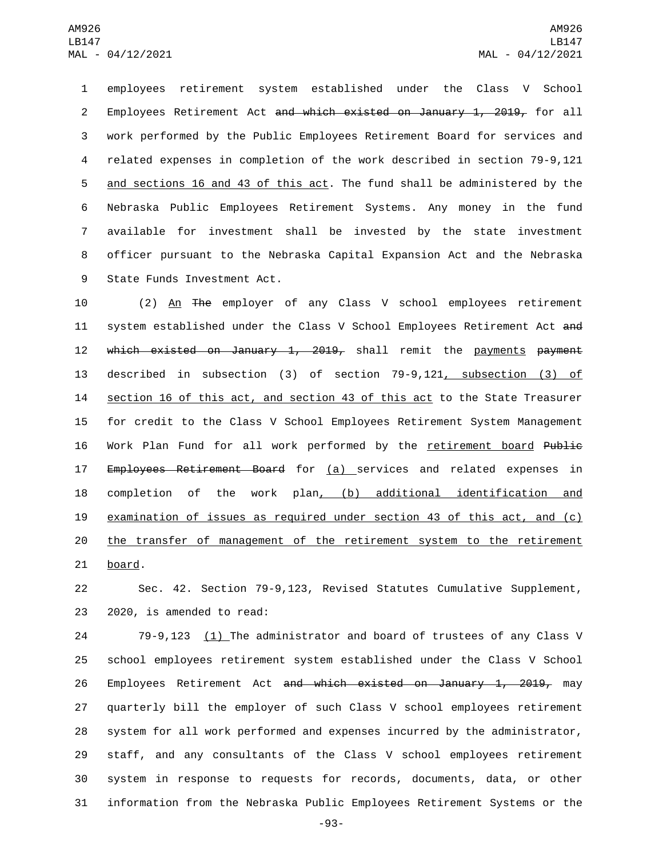employees retirement system established under the Class V School 2 Employees Retirement Act and which existed on January 1, 2019, for all work performed by the Public Employees Retirement Board for services and related expenses in completion of the work described in section 79-9,121 5 and sections 16 and 43 of this act. The fund shall be administered by the Nebraska Public Employees Retirement Systems. Any money in the fund available for investment shall be invested by the state investment officer pursuant to the Nebraska Capital Expansion Act and the Nebraska 9 State Funds Investment Act.

10 (2) An The employer of any Class V school employees retirement 11 system established under the Class V School Employees Retirement Act and 12 which existed on January 1, 2019, shall remit the payments payment 13 described in subsection (3) of section 79-9,121, subsection (3) of 14 section 16 of this act, and section 43 of this act to the State Treasurer 15 for credit to the Class V School Employees Retirement System Management 16 Work Plan Fund for all work performed by the retirement board Public 17 Employees Retirement Board for (a) services and related expenses in 18 completion of the work plan, (b) additional identification and 19 examination of issues as required under section 43 of this act, and (c) 20 the transfer of management of the retirement system to the retirement 21 board.

22 Sec. 42. Section 79-9,123, Revised Statutes Cumulative Supplement, 23 2020, is amended to read:

24 79-9,123 (1) The administrator and board of trustees of any Class V school employees retirement system established under the Class V School 26 Employees Retirement Act <del>and which existed on January 1, 2019,</del> may quarterly bill the employer of such Class V school employees retirement system for all work performed and expenses incurred by the administrator, staff, and any consultants of the Class V school employees retirement system in response to requests for records, documents, data, or other information from the Nebraska Public Employees Retirement Systems or the

-93-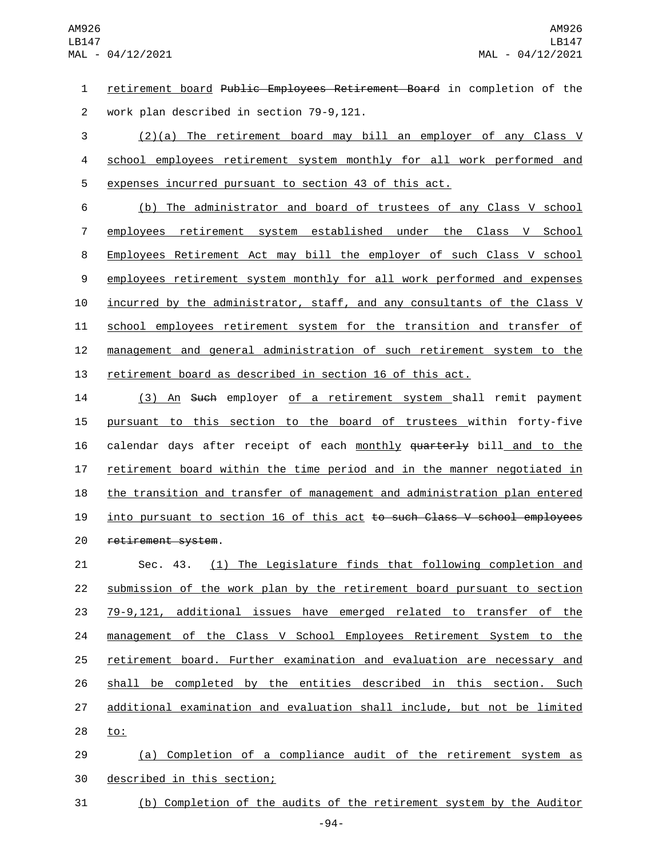retirement board Public Employees Retirement Board in completion of the 2 work plan described in section 79-9,121.

 (2)(a) The retirement board may bill an employer of any Class V 4 school employees retirement system monthly for all work performed and expenses incurred pursuant to section 43 of this act.

 (b) The administrator and board of trustees of any Class V school employees retirement system established under the Class V School Employees Retirement Act may bill the employer of such Class V school employees retirement system monthly for all work performed and expenses incurred by the administrator, staff, and any consultants of the Class V school employees retirement system for the transition and transfer of management and general administration of such retirement system to the retirement board as described in section 16 of this act.

 (3) An Such employer of a retirement system shall remit payment pursuant to this section to the board of trustees within forty-five 16 calendar days after receipt of each monthly quarterly bill and to the retirement board within the time period and in the manner negotiated in the transition and transfer of management and administration plan entered 19 into pursuant to section 16 of this act to such Class V school employees 20 retirement system.

 Sec. 43. (1) The Legislature finds that following completion and submission of the work plan by the retirement board pursuant to section 79-9,121, additional issues have emerged related to transfer of the management of the Class V School Employees Retirement System to the retirement board. Further examination and evaluation are necessary and shall be completed by the entities described in this section. Such additional examination and evaluation shall include, but not be limited 28 to:

 (a) Completion of a compliance audit of the retirement system as 30 described in this section;

(b) Completion of the audits of the retirement system by the Auditor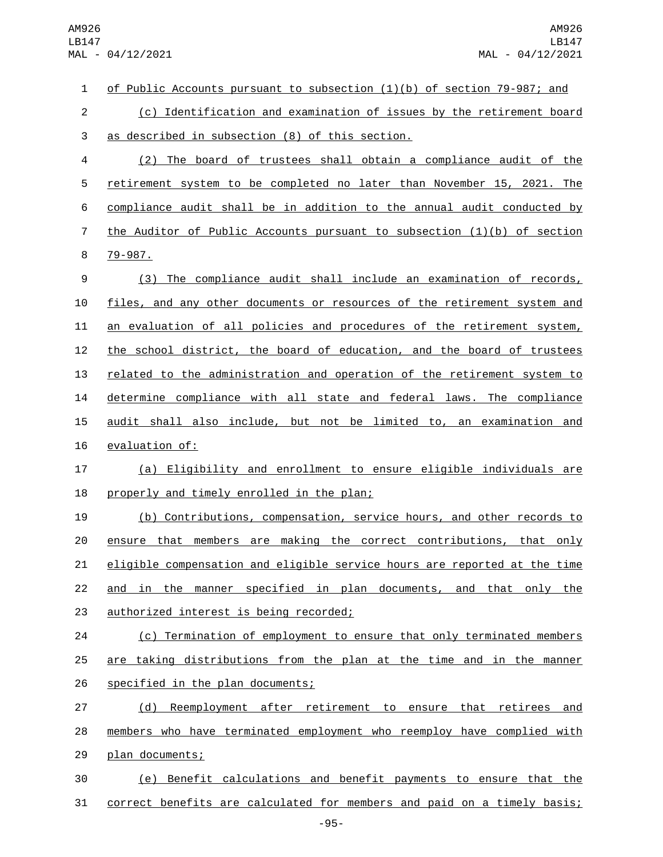| $\mathbf{1}$   | of Public Accounts pursuant to subsection $(1)(b)$ of section 79-987; and |
|----------------|---------------------------------------------------------------------------|
| $\overline{c}$ | (c) Identification and examination of issues by the retirement board      |
| $\sqrt{3}$     | as described in subsection (8) of this section.                           |
| 4              | (2) The board of trustees shall obtain a compliance audit of the          |
| 5              | retirement system to be completed no later than November 15, 2021. The    |
| 6              | compliance audit shall be in addition to the annual audit conducted by    |
| $\overline{7}$ | the Auditor of Public Accounts pursuant to subsection $(1)(b)$ of section |
| 8              | $79 - 987$ .                                                              |
| 9              | (3) The compliance audit shall include an examination of records,         |
| 10             | files, and any other documents or resources of the retirement system and  |
| 11             | an evaluation of all policies and procedures of the retirement system,    |
| 12             | the school district, the board of education, and the board of trustees    |
| 13             | related to the administration and operation of the retirement system to   |
| 14             | determine compliance with all state and federal laws. The compliance      |
| 15             | audit shall also include, but not be limited to, an examination and       |
| 16             | evaluation of:                                                            |
| 17             | (a) Eligibility and enrollment to ensure eligible individuals are         |
| 18             | properly and timely enrolled in the plan;                                 |
| 19             | (b) Contributions, compensation, service hours, and other records to      |
| 20             | ensure that members are making the correct contributions, that only       |
| 21             | eligible compensation and eligible service hours are reported at the time |
| 22             | and in the manner specified in plan documents, and that only the          |
| 23             | authorized interest is being recorded;                                    |
| 24             | (c) Termination of employment to ensure that only terminated members      |
| 25             | are taking distributions from the plan at the time and in the manner      |
| 26             | specified in the plan documents;                                          |
| 27             | Reemployment after retirement to ensure that retirees and<br>(d)          |
| 28             | members who have terminated employment who reemploy have complied with    |
| 29             | plan documents;                                                           |
| 30             | (e) Benefit calculations and benefit payments to ensure that the          |
| 31             | correct benefits are calculated for members and paid on a timely basis;   |
|                | $-95-$                                                                    |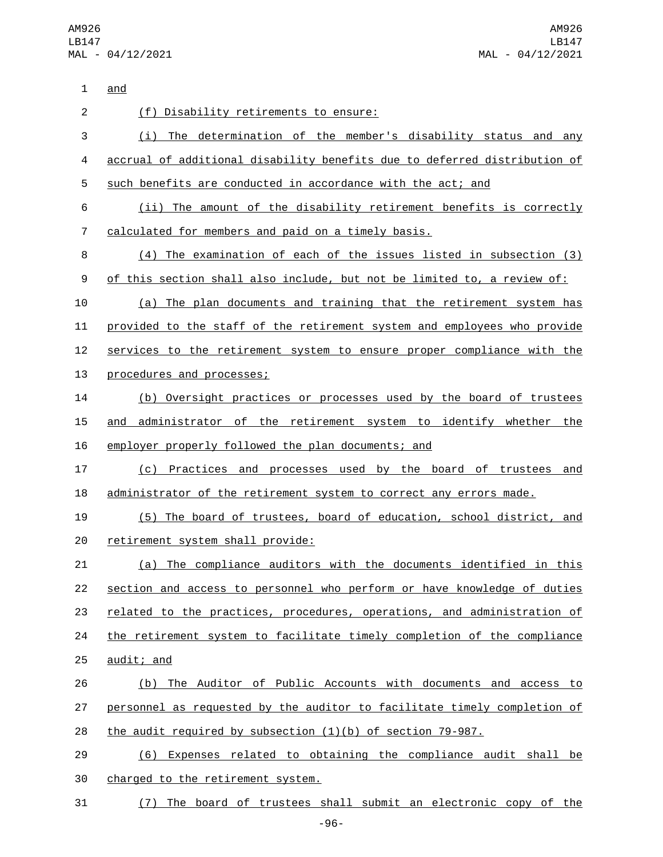AM926 LB147 MAL - 04/12/2021

1 and (f) Disability retirements to ensure:2 (i) The determination of the member's disability status and any accrual of additional disability benefits due to deferred distribution of such benefits are conducted in accordance with the act; and (ii) The amount of the disability retirement benefits is correctly calculated for members and paid on a timely basis.7 (4) The examination of each of the issues listed in subsection (3) 9 of this section shall also include, but not be limited to, a review of: (a) The plan documents and training that the retirement system has provided to the staff of the retirement system and employees who provide 12 services to the retirement system to ensure proper compliance with the 13 procedures and processes; (b) Oversight practices or processes used by the board of trustees 15 and administrator of the retirement system to identify whether the employer properly followed the plan documents; and (c) Practices and processes used by the board of trustees and 18 administrator of the retirement system to correct any errors made. (5) The board of trustees, board of education, school district, and 20 retirement system shall provide: (a) The compliance auditors with the documents identified in this section and access to personnel who perform or have knowledge of duties 23 related to the practices, procedures, operations, and administration of the retirement system to facilitate timely completion of the compliance audit; and (b) The Auditor of Public Accounts with documents and access to 27 personnel as requested by the auditor to facilitate timely completion of the audit required by subsection (1)(b) of section 79-987. (6) Expenses related to obtaining the compliance audit shall be 30 charged to the retirement system. (7) The board of trustees shall submit an electronic copy of the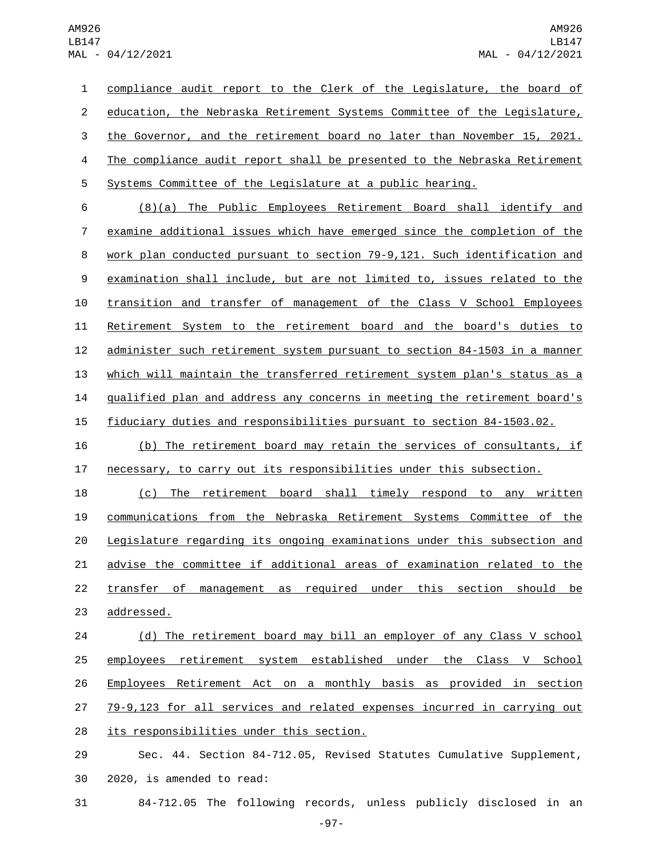compliance audit report to the Clerk of the Legislature, the board of 2 education, the Nebraska Retirement Systems Committee of the Legislature, the Governor, and the retirement board no later than November 15, 2021. The compliance audit report shall be presented to the Nebraska Retirement Systems Committee of the Legislature at a public hearing. (8)(a) The Public Employees Retirement Board shall identify and examine additional issues which have emerged since the completion of the work plan conducted pursuant to section 79-9,121. Such identification and

 examination shall include, but are not limited to, issues related to the transition and transfer of management of the Class V School Employees Retirement System to the retirement board and the board's duties to administer such retirement system pursuant to section 84-1503 in a manner which will maintain the transferred retirement system plan's status as a qualified plan and address any concerns in meeting the retirement board's fiduciary duties and responsibilities pursuant to section 84-1503.02.

 (b) The retirement board may retain the services of consultants, if necessary, to carry out its responsibilities under this subsection.

 (c) The retirement board shall timely respond to any written communications from the Nebraska Retirement Systems Committee of the Legislature regarding its ongoing examinations under this subsection and advise the committee if additional areas of examination related to the transfer of management as required under this section should be 23 addressed.

24 (d) The retirement board may bill an employer of any Class V school 25 employees retirement system established under the Class V School Employees Retirement Act on a monthly basis as provided in section 79-9,123 for all services and related expenses incurred in carrying out 28 its responsibilities under this section.

 Sec. 44. Section 84-712.05, Revised Statutes Cumulative Supplement, 30 2020, is amended to read:

84-712.05 The following records, unless publicly disclosed in an

-97-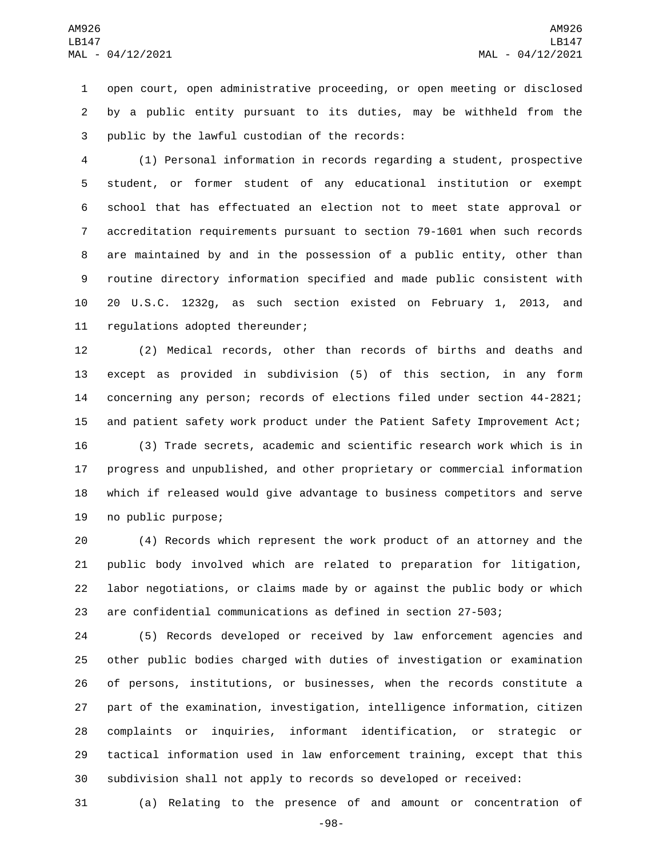open court, open administrative proceeding, or open meeting or disclosed by a public entity pursuant to its duties, may be withheld from the 3 public by the lawful custodian of the records:

 (1) Personal information in records regarding a student, prospective student, or former student of any educational institution or exempt school that has effectuated an election not to meet state approval or accreditation requirements pursuant to section 79-1601 when such records are maintained by and in the possession of a public entity, other than routine directory information specified and made public consistent with 20 U.S.C. 1232g, as such section existed on February 1, 2013, and 11 regulations adopted thereunder;

 (2) Medical records, other than records of births and deaths and except as provided in subdivision (5) of this section, in any form concerning any person; records of elections filed under section 44-2821; and patient safety work product under the Patient Safety Improvement Act;

 (3) Trade secrets, academic and scientific research work which is in progress and unpublished, and other proprietary or commercial information which if released would give advantage to business competitors and serve 19 no public purpose;

 (4) Records which represent the work product of an attorney and the public body involved which are related to preparation for litigation, labor negotiations, or claims made by or against the public body or which are confidential communications as defined in section 27-503;

 (5) Records developed or received by law enforcement agencies and other public bodies charged with duties of investigation or examination of persons, institutions, or businesses, when the records constitute a part of the examination, investigation, intelligence information, citizen complaints or inquiries, informant identification, or strategic or tactical information used in law enforcement training, except that this subdivision shall not apply to records so developed or received:

(a) Relating to the presence of and amount or concentration of

-98-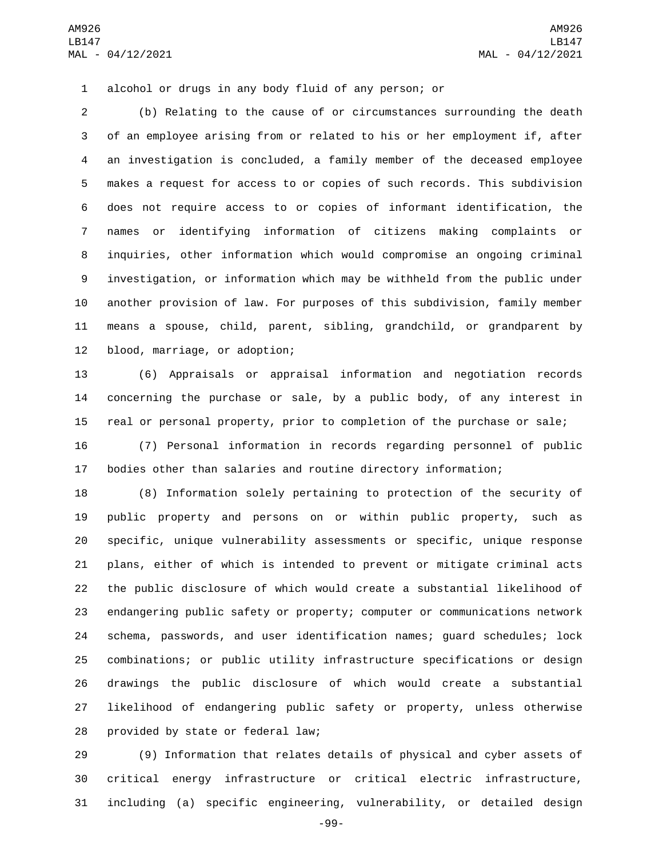alcohol or drugs in any body fluid of any person; or

 (b) Relating to the cause of or circumstances surrounding the death of an employee arising from or related to his or her employment if, after an investigation is concluded, a family member of the deceased employee makes a request for access to or copies of such records. This subdivision does not require access to or copies of informant identification, the names or identifying information of citizens making complaints or inquiries, other information which would compromise an ongoing criminal investigation, or information which may be withheld from the public under another provision of law. For purposes of this subdivision, family member means a spouse, child, parent, sibling, grandchild, or grandparent by 12 blood, marriage, or adoption;

 (6) Appraisals or appraisal information and negotiation records concerning the purchase or sale, by a public body, of any interest in real or personal property, prior to completion of the purchase or sale;

 (7) Personal information in records regarding personnel of public bodies other than salaries and routine directory information;

 (8) Information solely pertaining to protection of the security of public property and persons on or within public property, such as specific, unique vulnerability assessments or specific, unique response plans, either of which is intended to prevent or mitigate criminal acts the public disclosure of which would create a substantial likelihood of endangering public safety or property; computer or communications network schema, passwords, and user identification names; guard schedules; lock combinations; or public utility infrastructure specifications or design drawings the public disclosure of which would create a substantial likelihood of endangering public safety or property, unless otherwise 28 provided by state or federal law;

 (9) Information that relates details of physical and cyber assets of critical energy infrastructure or critical electric infrastructure, including (a) specific engineering, vulnerability, or detailed design

-99-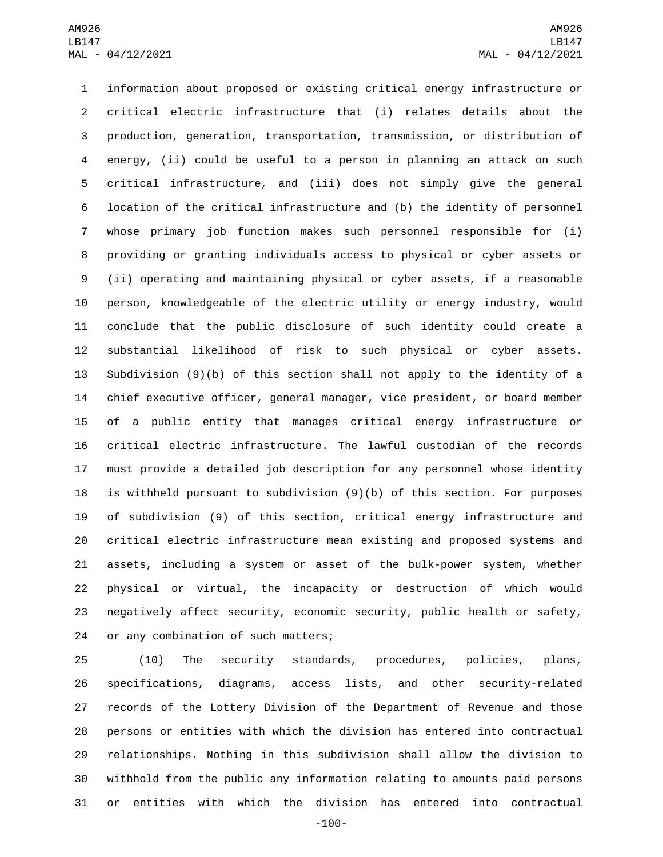information about proposed or existing critical energy infrastructure or critical electric infrastructure that (i) relates details about the production, generation, transportation, transmission, or distribution of energy, (ii) could be useful to a person in planning an attack on such critical infrastructure, and (iii) does not simply give the general location of the critical infrastructure and (b) the identity of personnel whose primary job function makes such personnel responsible for (i) providing or granting individuals access to physical or cyber assets or (ii) operating and maintaining physical or cyber assets, if a reasonable person, knowledgeable of the electric utility or energy industry, would conclude that the public disclosure of such identity could create a substantial likelihood of risk to such physical or cyber assets. Subdivision (9)(b) of this section shall not apply to the identity of a chief executive officer, general manager, vice president, or board member of a public entity that manages critical energy infrastructure or critical electric infrastructure. The lawful custodian of the records must provide a detailed job description for any personnel whose identity is withheld pursuant to subdivision (9)(b) of this section. For purposes of subdivision (9) of this section, critical energy infrastructure and critical electric infrastructure mean existing and proposed systems and assets, including a system or asset of the bulk-power system, whether physical or virtual, the incapacity or destruction of which would negatively affect security, economic security, public health or safety, 24 or any combination of such matters;

 (10) The security standards, procedures, policies, plans, specifications, diagrams, access lists, and other security-related records of the Lottery Division of the Department of Revenue and those persons or entities with which the division has entered into contractual relationships. Nothing in this subdivision shall allow the division to withhold from the public any information relating to amounts paid persons or entities with which the division has entered into contractual

-100-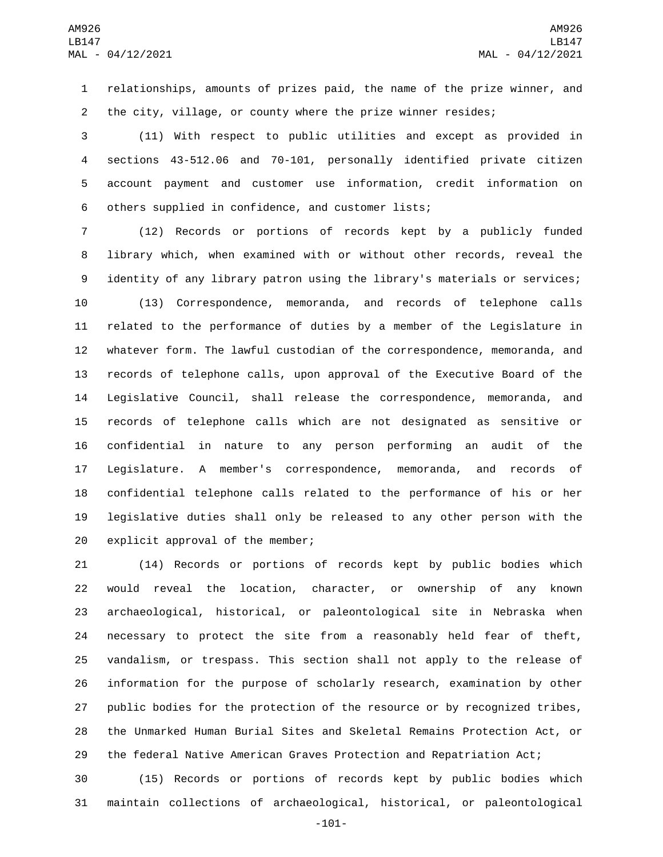relationships, amounts of prizes paid, the name of the prize winner, and the city, village, or county where the prize winner resides;

 (11) With respect to public utilities and except as provided in sections 43-512.06 and 70-101, personally identified private citizen account payment and customer use information, credit information on 6 others supplied in confidence, and customer lists;

 (12) Records or portions of records kept by a publicly funded library which, when examined with or without other records, reveal the identity of any library patron using the library's materials or services;

 (13) Correspondence, memoranda, and records of telephone calls related to the performance of duties by a member of the Legislature in whatever form. The lawful custodian of the correspondence, memoranda, and records of telephone calls, upon approval of the Executive Board of the Legislative Council, shall release the correspondence, memoranda, and records of telephone calls which are not designated as sensitive or confidential in nature to any person performing an audit of the Legislature. A member's correspondence, memoranda, and records of confidential telephone calls related to the performance of his or her legislative duties shall only be released to any other person with the 20 explicit approval of the member;

 (14) Records or portions of records kept by public bodies which would reveal the location, character, or ownership of any known archaeological, historical, or paleontological site in Nebraska when necessary to protect the site from a reasonably held fear of theft, vandalism, or trespass. This section shall not apply to the release of information for the purpose of scholarly research, examination by other public bodies for the protection of the resource or by recognized tribes, the Unmarked Human Burial Sites and Skeletal Remains Protection Act, or the federal Native American Graves Protection and Repatriation Act;

 (15) Records or portions of records kept by public bodies which maintain collections of archaeological, historical, or paleontological

-101-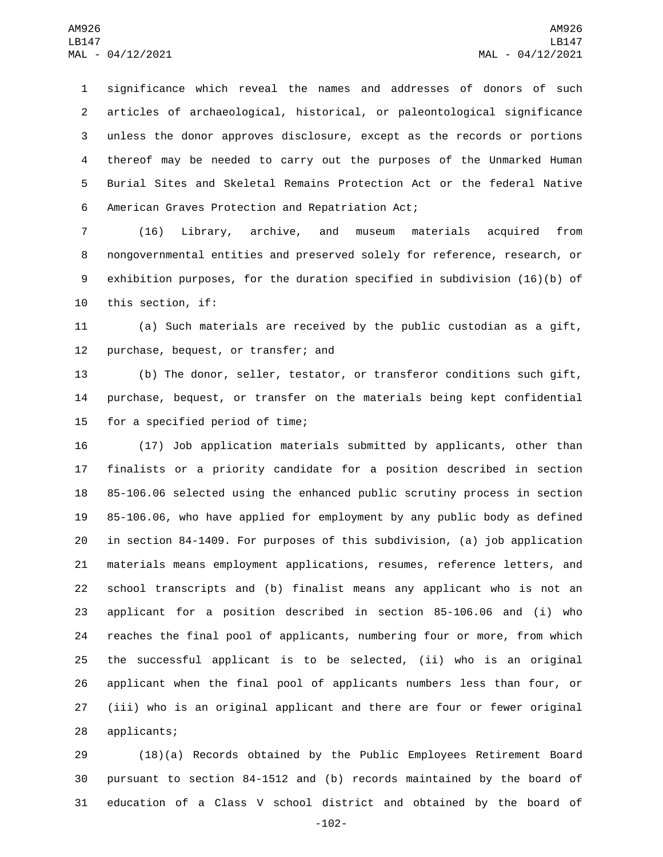significance which reveal the names and addresses of donors of such articles of archaeological, historical, or paleontological significance unless the donor approves disclosure, except as the records or portions thereof may be needed to carry out the purposes of the Unmarked Human Burial Sites and Skeletal Remains Protection Act or the federal Native 6 American Graves Protection and Repatriation Act;

 (16) Library, archive, and museum materials acquired from nongovernmental entities and preserved solely for reference, research, or exhibition purposes, for the duration specified in subdivision (16)(b) of 10 this section, if:

 (a) Such materials are received by the public custodian as a gift, 12 purchase, bequest, or transfer; and

 (b) The donor, seller, testator, or transferor conditions such gift, purchase, bequest, or transfer on the materials being kept confidential 15 for a specified period of time;

 (17) Job application materials submitted by applicants, other than finalists or a priority candidate for a position described in section 85-106.06 selected using the enhanced public scrutiny process in section 85-106.06, who have applied for employment by any public body as defined in section 84-1409. For purposes of this subdivision, (a) job application materials means employment applications, resumes, reference letters, and school transcripts and (b) finalist means any applicant who is not an applicant for a position described in section 85-106.06 and (i) who reaches the final pool of applicants, numbering four or more, from which the successful applicant is to be selected, (ii) who is an original applicant when the final pool of applicants numbers less than four, or (iii) who is an original applicant and there are four or fewer original 28 applicants;

 (18)(a) Records obtained by the Public Employees Retirement Board pursuant to section 84-1512 and (b) records maintained by the board of education of a Class V school district and obtained by the board of

-102-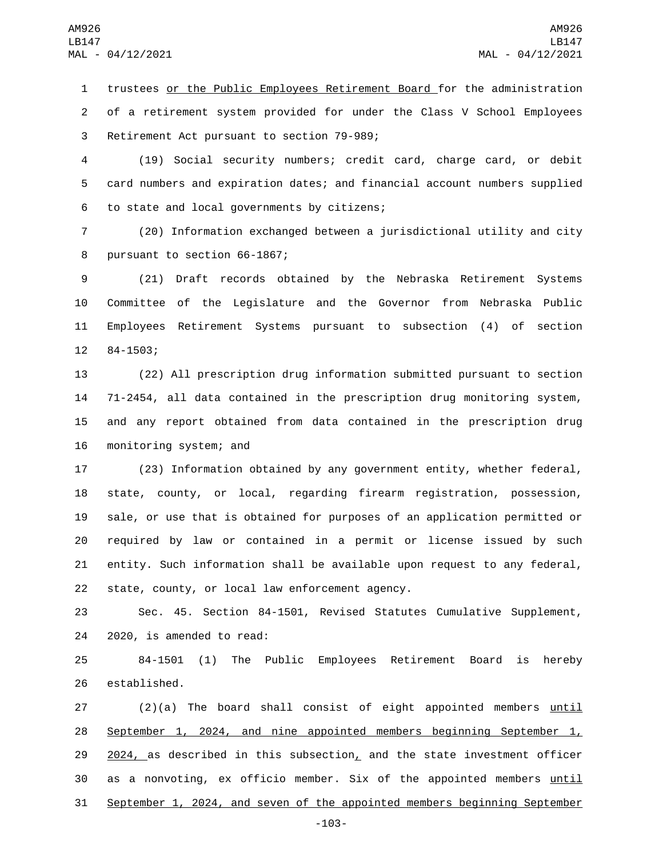1 trustees or the Public Employees Retirement Board for the administration 2 of a retirement system provided for under the Class V School Employees 3 Retirement Act pursuant to section 79-989;

4 (19) Social security numbers; credit card, charge card, or debit 5 card numbers and expiration dates; and financial account numbers supplied 6 to state and local governments by citizens;

7 (20) Information exchanged between a jurisdictional utility and city 8 pursuant to section 66-1867;

 (21) Draft records obtained by the Nebraska Retirement Systems Committee of the Legislature and the Governor from Nebraska Public Employees Retirement Systems pursuant to subsection (4) of section 12 84-1503;

 (22) All prescription drug information submitted pursuant to section 71-2454, all data contained in the prescription drug monitoring system, and any report obtained from data contained in the prescription drug 16 monitoring system; and

 (23) Information obtained by any government entity, whether federal, state, county, or local, regarding firearm registration, possession, sale, or use that is obtained for purposes of an application permitted or required by law or contained in a permit or license issued by such entity. Such information shall be available upon request to any federal, 22 state, county, or local law enforcement agency.

23 Sec. 45. Section 84-1501, Revised Statutes Cumulative Supplement, 24 2020, is amended to read:

25 84-1501 (1) The Public Employees Retirement Board is hereby 26 established.

27 (2)(a) The board shall consist of eight appointed members until 28 September 1, 2024, and nine appointed members beginning September 1, 29  $2024$ , as described in this subsection, and the state investment officer 30 as a nonvoting, ex officio member. Six of the appointed members until 31 September 1, 2024, and seven of the appointed members beginning September

-103-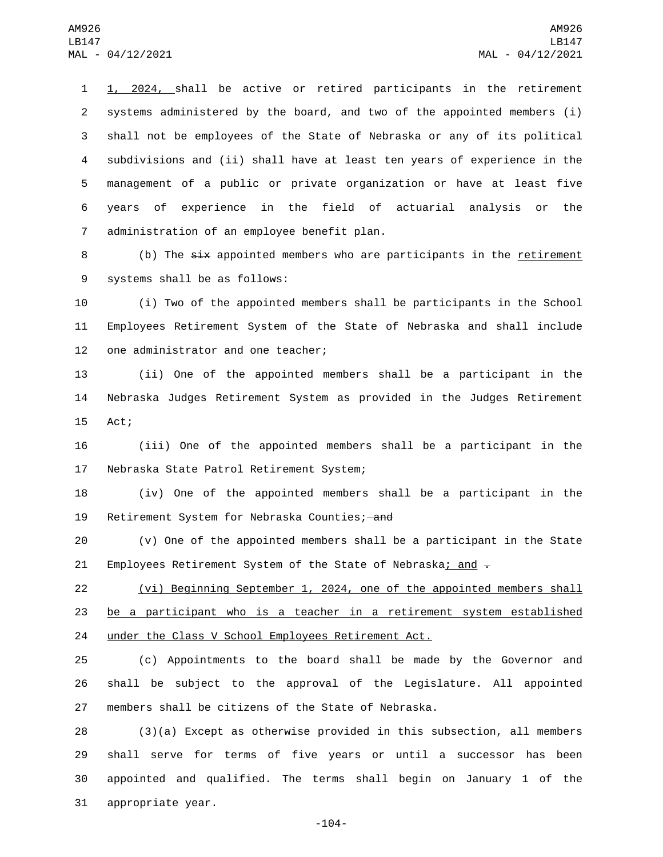1, 2024, shall be active or retired participants in the retirement systems administered by the board, and two of the appointed members (i) shall not be employees of the State of Nebraska or any of its political subdivisions and (ii) shall have at least ten years of experience in the management of a public or private organization or have at least five years of experience in the field of actuarial analysis or the 7 administration of an employee benefit plan.

8 (b) The six appointed members who are participants in the <u>retirement</u> 9 systems shall be as follows:

10 (i) Two of the appointed members shall be participants in the School 11 Employees Retirement System of the State of Nebraska and shall include 12 one administrator and one teacher;

13 (ii) One of the appointed members shall be a participant in the 14 Nebraska Judges Retirement System as provided in the Judges Retirement 15 Act;

16 (iii) One of the appointed members shall be a participant in the 17 Nebraska State Patrol Retirement System;

18 (iv) One of the appointed members shall be a participant in the 19 Retirement System for Nebraska Counties; and

20 (v) One of the appointed members shall be a participant in the State 21 Employees Retirement System of the State of Nebraska; and  $-$ 

22 (vi) Beginning September 1, 2024, one of the appointed members shall 23 be a participant who is a teacher in a retirement system established 24 under the Class V School Employees Retirement Act.

25 (c) Appointments to the board shall be made by the Governor and 26 shall be subject to the approval of the Legislature. All appointed 27 members shall be citizens of the State of Nebraska.

 (3)(a) Except as otherwise provided in this subsection, all members shall serve for terms of five years or until a successor has been appointed and qualified. The terms shall begin on January 1 of the 31 appropriate year.

-104-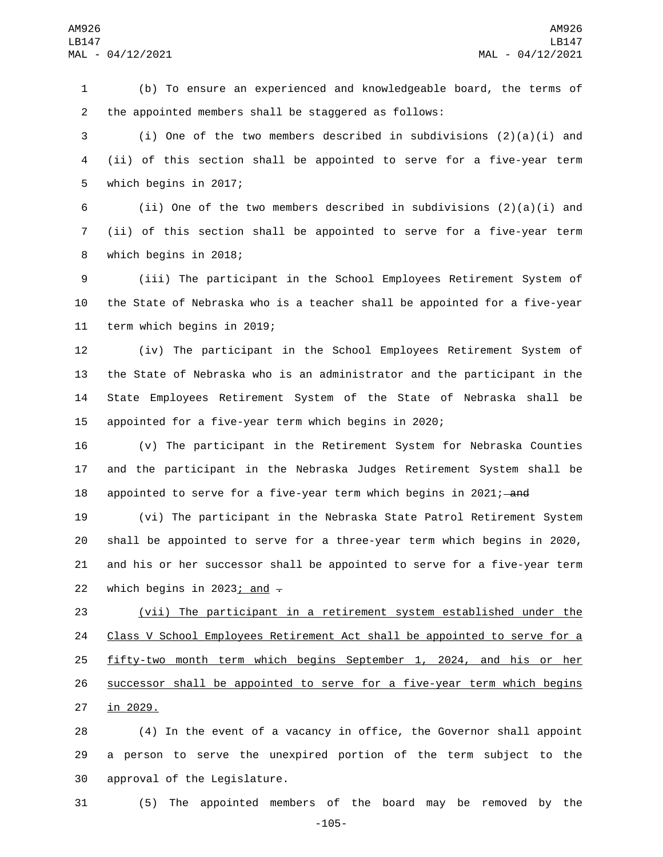1 (b) To ensure an experienced and knowledgeable board, the terms of 2 the appointed members shall be staggered as follows:

3 (i) One of the two members described in subdivisions (2)(a)(i) and 4 (ii) of this section shall be appointed to serve for a five-year term 5 which begins in 2017;

6 (ii) One of the two members described in subdivisions  $(2)(a)(i)$  and 7 (ii) of this section shall be appointed to serve for a five-year term 8 which begins in 2018;

9 (iii) The participant in the School Employees Retirement System of 10 the State of Nebraska who is a teacher shall be appointed for a five-year 11 term which begins in 2019;

 (iv) The participant in the School Employees Retirement System of the State of Nebraska who is an administrator and the participant in the State Employees Retirement System of the State of Nebraska shall be appointed for a five-year term which begins in 2020;

16 (v) The participant in the Retirement System for Nebraska Counties 17 and the participant in the Nebraska Judges Retirement System shall be 18 appointed to serve for a five-year term which begins in 2021;—and

 (vi) The participant in the Nebraska State Patrol Retirement System shall be appointed to serve for a three-year term which begins in 2020, and his or her successor shall be appointed to serve for a five-year term 22 which begins in 2023; and  $\overline{z}$ 

23 (vii) The participant in a retirement system established under the 24 Class V School Employees Retirement Act shall be appointed to serve for a 25 <u>fifty-two month term which begins September 1, 2024, and hi</u>s or her 26 successor shall be appointed to serve for a five-year term which begins 27 in 2029.

28 (4) In the event of a vacancy in office, the Governor shall appoint 29 a person to serve the unexpired portion of the term subject to the 30 approval of the Legislature.

31 (5) The appointed members of the board may be removed by the

-105-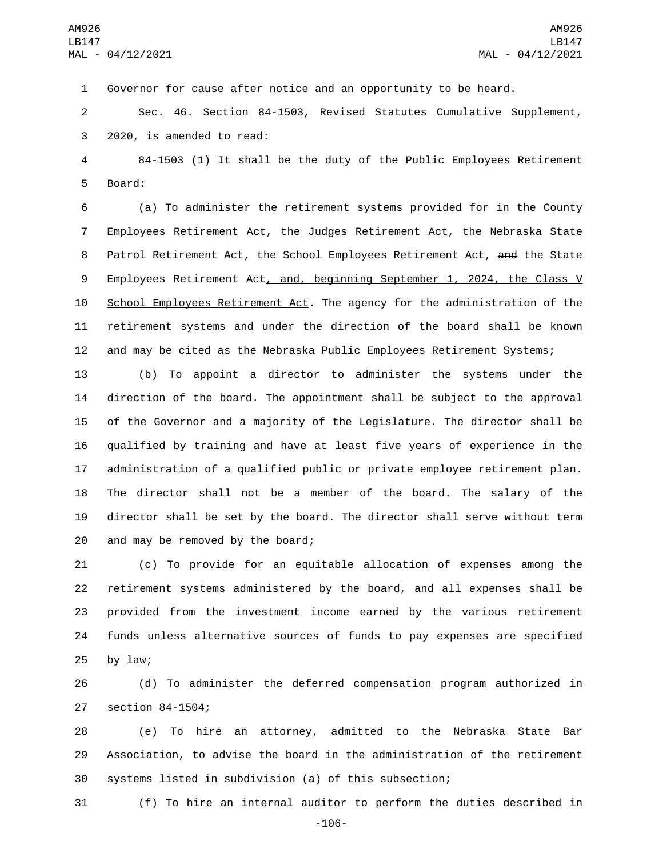Governor for cause after notice and an opportunity to be heard.

 Sec. 46. Section 84-1503, Revised Statutes Cumulative Supplement, 3 2020, is amended to read:

 84-1503 (1) It shall be the duty of the Public Employees Retirement 5 Board:

 (a) To administer the retirement systems provided for in the County Employees Retirement Act, the Judges Retirement Act, the Nebraska State 8 Patrol Retirement Act, the School Employees Retirement Act, and the State 9 Employees Retirement Act, and, beginning September 1, 2024, the Class V School Employees Retirement Act. The agency for the administration of the retirement systems and under the direction of the board shall be known and may be cited as the Nebraska Public Employees Retirement Systems;

 (b) To appoint a director to administer the systems under the direction of the board. The appointment shall be subject to the approval of the Governor and a majority of the Legislature. The director shall be qualified by training and have at least five years of experience in the administration of a qualified public or private employee retirement plan. The director shall not be a member of the board. The salary of the director shall be set by the board. The director shall serve without term 20 and may be removed by the board;

 (c) To provide for an equitable allocation of expenses among the retirement systems administered by the board, and all expenses shall be provided from the investment income earned by the various retirement funds unless alternative sources of funds to pay expenses are specified by law;

 (d) To administer the deferred compensation program authorized in 27 section 84-1504;

 (e) To hire an attorney, admitted to the Nebraska State Bar Association, to advise the board in the administration of the retirement systems listed in subdivision (a) of this subsection;

(f) To hire an internal auditor to perform the duties described in

-106-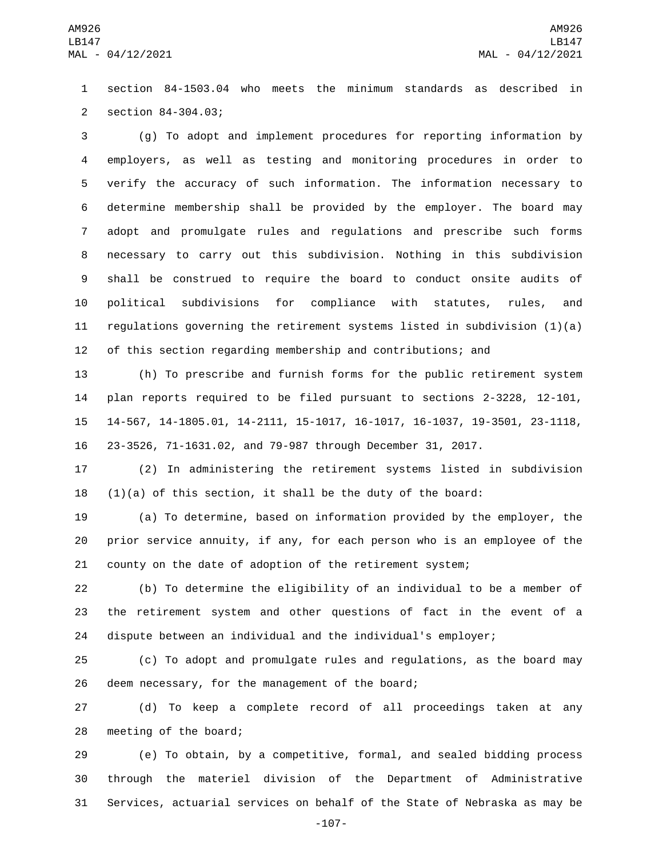section 84-1503.04 who meets the minimum standards as described in 2 section 84-304.03;

 (g) To adopt and implement procedures for reporting information by employers, as well as testing and monitoring procedures in order to verify the accuracy of such information. The information necessary to determine membership shall be provided by the employer. The board may adopt and promulgate rules and regulations and prescribe such forms necessary to carry out this subdivision. Nothing in this subdivision shall be construed to require the board to conduct onsite audits of political subdivisions for compliance with statutes, rules, and regulations governing the retirement systems listed in subdivision (1)(a) of this section regarding membership and contributions; and

 (h) To prescribe and furnish forms for the public retirement system plan reports required to be filed pursuant to sections 2-3228, 12-101, 14-567, 14-1805.01, 14-2111, 15-1017, 16-1017, 16-1037, 19-3501, 23-1118, 23-3526, 71-1631.02, and 79-987 through December 31, 2017.

 (2) In administering the retirement systems listed in subdivision 18  $(1)(a)$  of this section, it shall be the duty of the board:

 (a) To determine, based on information provided by the employer, the prior service annuity, if any, for each person who is an employee of the county on the date of adoption of the retirement system;

 (b) To determine the eligibility of an individual to be a member of the retirement system and other questions of fact in the event of a dispute between an individual and the individual's employer;

 (c) To adopt and promulgate rules and regulations, as the board may 26 deem necessary, for the management of the board;

 (d) To keep a complete record of all proceedings taken at any 28 meeting of the board;

 (e) To obtain, by a competitive, formal, and sealed bidding process through the materiel division of the Department of Administrative Services, actuarial services on behalf of the State of Nebraska as may be

-107-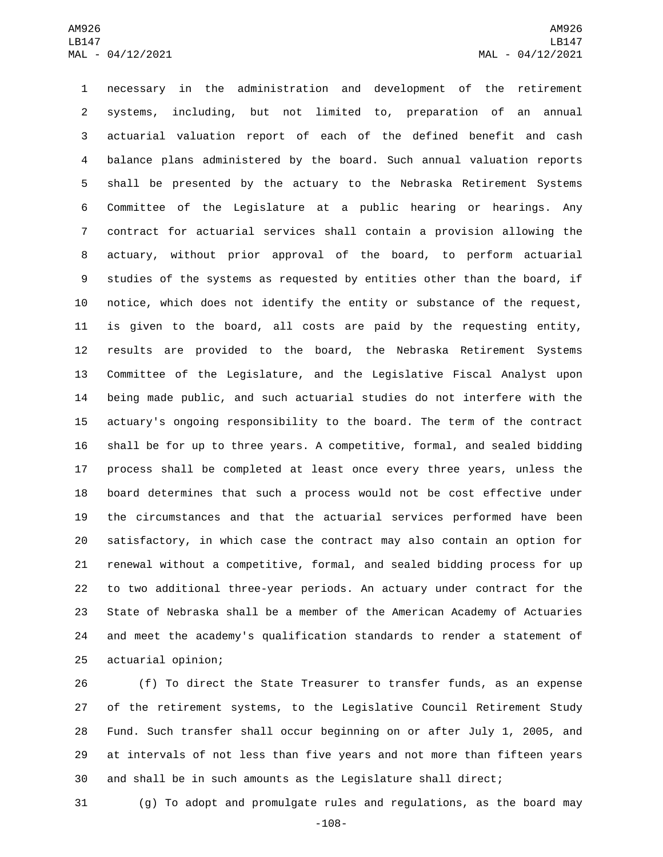necessary in the administration and development of the retirement systems, including, but not limited to, preparation of an annual actuarial valuation report of each of the defined benefit and cash balance plans administered by the board. Such annual valuation reports shall be presented by the actuary to the Nebraska Retirement Systems Committee of the Legislature at a public hearing or hearings. Any contract for actuarial services shall contain a provision allowing the actuary, without prior approval of the board, to perform actuarial studies of the systems as requested by entities other than the board, if notice, which does not identify the entity or substance of the request, is given to the board, all costs are paid by the requesting entity, results are provided to the board, the Nebraska Retirement Systems Committee of the Legislature, and the Legislative Fiscal Analyst upon being made public, and such actuarial studies do not interfere with the actuary's ongoing responsibility to the board. The term of the contract shall be for up to three years. A competitive, formal, and sealed bidding process shall be completed at least once every three years, unless the board determines that such a process would not be cost effective under the circumstances and that the actuarial services performed have been satisfactory, in which case the contract may also contain an option for renewal without a competitive, formal, and sealed bidding process for up to two additional three-year periods. An actuary under contract for the State of Nebraska shall be a member of the American Academy of Actuaries and meet the academy's qualification standards to render a statement of 25 actuarial opinion;

 (f) To direct the State Treasurer to transfer funds, as an expense of the retirement systems, to the Legislative Council Retirement Study Fund. Such transfer shall occur beginning on or after July 1, 2005, and at intervals of not less than five years and not more than fifteen years and shall be in such amounts as the Legislature shall direct;

(g) To adopt and promulgate rules and regulations, as the board may

-108-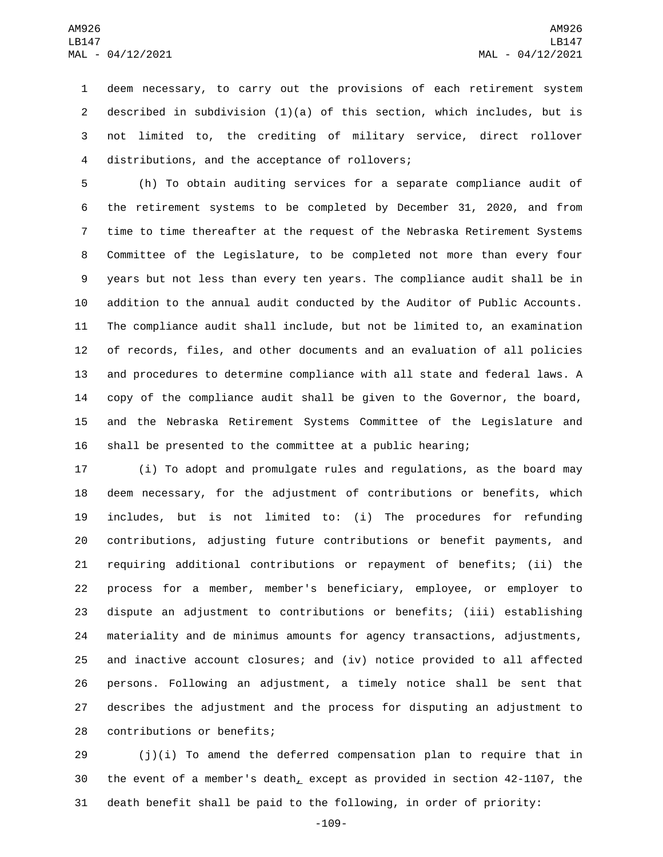deem necessary, to carry out the provisions of each retirement system described in subdivision (1)(a) of this section, which includes, but is not limited to, the crediting of military service, direct rollover 4 distributions, and the acceptance of rollovers;

 (h) To obtain auditing services for a separate compliance audit of the retirement systems to be completed by December 31, 2020, and from time to time thereafter at the request of the Nebraska Retirement Systems Committee of the Legislature, to be completed not more than every four years but not less than every ten years. The compliance audit shall be in addition to the annual audit conducted by the Auditor of Public Accounts. The compliance audit shall include, but not be limited to, an examination of records, files, and other documents and an evaluation of all policies and procedures to determine compliance with all state and federal laws. A copy of the compliance audit shall be given to the Governor, the board, and the Nebraska Retirement Systems Committee of the Legislature and shall be presented to the committee at a public hearing;

 (i) To adopt and promulgate rules and regulations, as the board may deem necessary, for the adjustment of contributions or benefits, which includes, but is not limited to: (i) The procedures for refunding contributions, adjusting future contributions or benefit payments, and requiring additional contributions or repayment of benefits; (ii) the process for a member, member's beneficiary, employee, or employer to dispute an adjustment to contributions or benefits; (iii) establishing materiality and de minimus amounts for agency transactions, adjustments, and inactive account closures; and (iv) notice provided to all affected persons. Following an adjustment, a timely notice shall be sent that describes the adjustment and the process for disputing an adjustment to 28 contributions or benefits;

 (j)(i) To amend the deferred compensation plan to require that in the event of a member's death, except as provided in section 42-1107, the death benefit shall be paid to the following, in order of priority:

-109-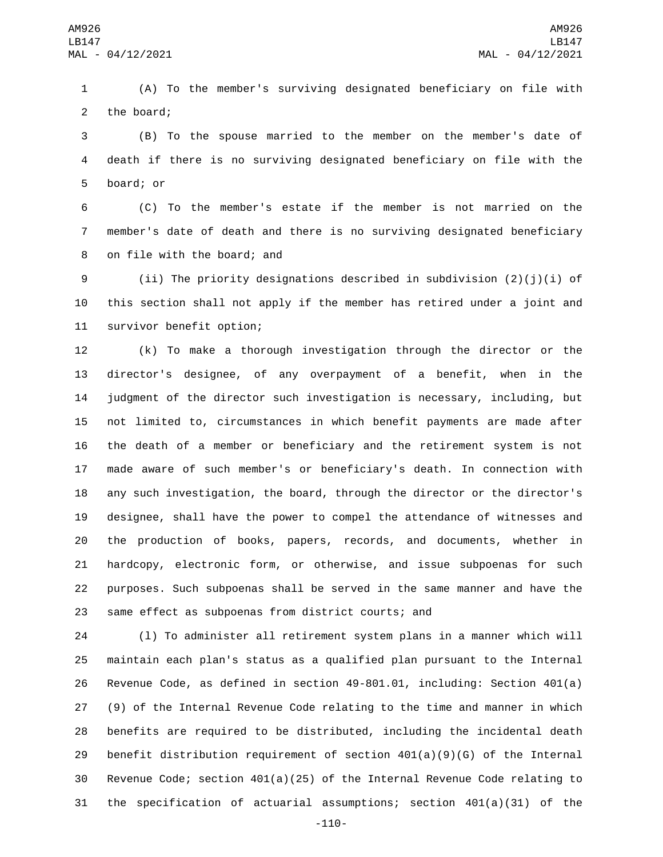(A) To the member's surviving designated beneficiary on file with 2 the board;

 (B) To the spouse married to the member on the member's date of death if there is no surviving designated beneficiary on file with the 5 board; or

 (C) To the member's estate if the member is not married on the member's date of death and there is no surviving designated beneficiary 8 on file with the board; and

 (ii) The priority designations described in subdivision (2)(j)(i) of this section shall not apply if the member has retired under a joint and 11 survivor benefit option;

 (k) To make a thorough investigation through the director or the director's designee, of any overpayment of a benefit, when in the judgment of the director such investigation is necessary, including, but not limited to, circumstances in which benefit payments are made after the death of a member or beneficiary and the retirement system is not made aware of such member's or beneficiary's death. In connection with any such investigation, the board, through the director or the director's designee, shall have the power to compel the attendance of witnesses and the production of books, papers, records, and documents, whether in hardcopy, electronic form, or otherwise, and issue subpoenas for such purposes. Such subpoenas shall be served in the same manner and have the same effect as subpoenas from district courts; and

 (l) To administer all retirement system plans in a manner which will maintain each plan's status as a qualified plan pursuant to the Internal Revenue Code, as defined in section 49-801.01, including: Section 401(a) (9) of the Internal Revenue Code relating to the time and manner in which benefits are required to be distributed, including the incidental death 29 benefit distribution requirement of section  $401(a)(9)(G)$  of the Internal Revenue Code; section 401(a)(25) of the Internal Revenue Code relating to the specification of actuarial assumptions; section 401(a)(31) of the

-110-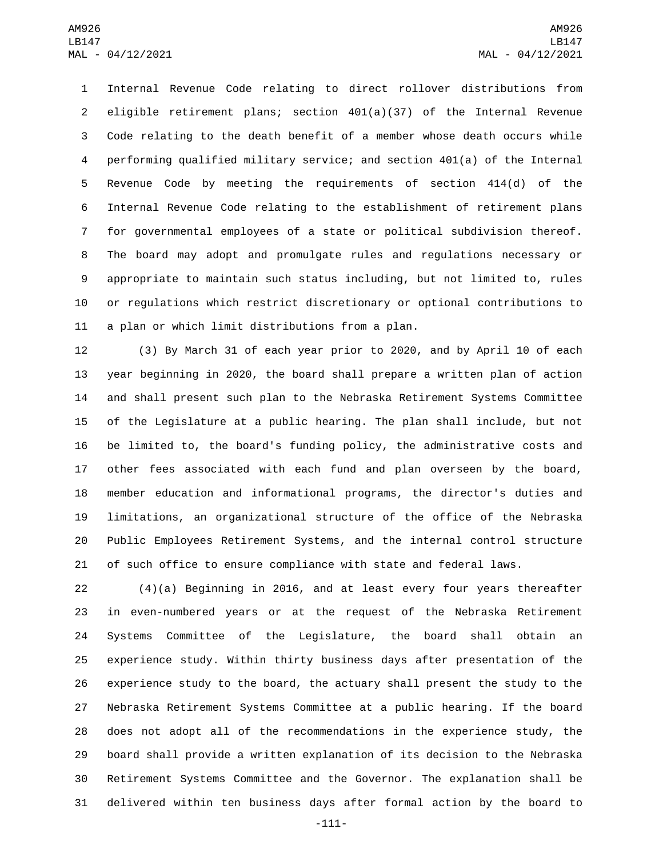Internal Revenue Code relating to direct rollover distributions from eligible retirement plans; section 401(a)(37) of the Internal Revenue Code relating to the death benefit of a member whose death occurs while performing qualified military service; and section 401(a) of the Internal Revenue Code by meeting the requirements of section 414(d) of the Internal Revenue Code relating to the establishment of retirement plans for governmental employees of a state or political subdivision thereof. The board may adopt and promulgate rules and regulations necessary or appropriate to maintain such status including, but not limited to, rules or regulations which restrict discretionary or optional contributions to 11 a plan or which limit distributions from a plan.

 (3) By March 31 of each year prior to 2020, and by April 10 of each year beginning in 2020, the board shall prepare a written plan of action and shall present such plan to the Nebraska Retirement Systems Committee of the Legislature at a public hearing. The plan shall include, but not be limited to, the board's funding policy, the administrative costs and other fees associated with each fund and plan overseen by the board, member education and informational programs, the director's duties and limitations, an organizational structure of the office of the Nebraska Public Employees Retirement Systems, and the internal control structure of such office to ensure compliance with state and federal laws.

 (4)(a) Beginning in 2016, and at least every four years thereafter in even-numbered years or at the request of the Nebraska Retirement Systems Committee of the Legislature, the board shall obtain an experience study. Within thirty business days after presentation of the experience study to the board, the actuary shall present the study to the Nebraska Retirement Systems Committee at a public hearing. If the board does not adopt all of the recommendations in the experience study, the board shall provide a written explanation of its decision to the Nebraska Retirement Systems Committee and the Governor. The explanation shall be delivered within ten business days after formal action by the board to

-111-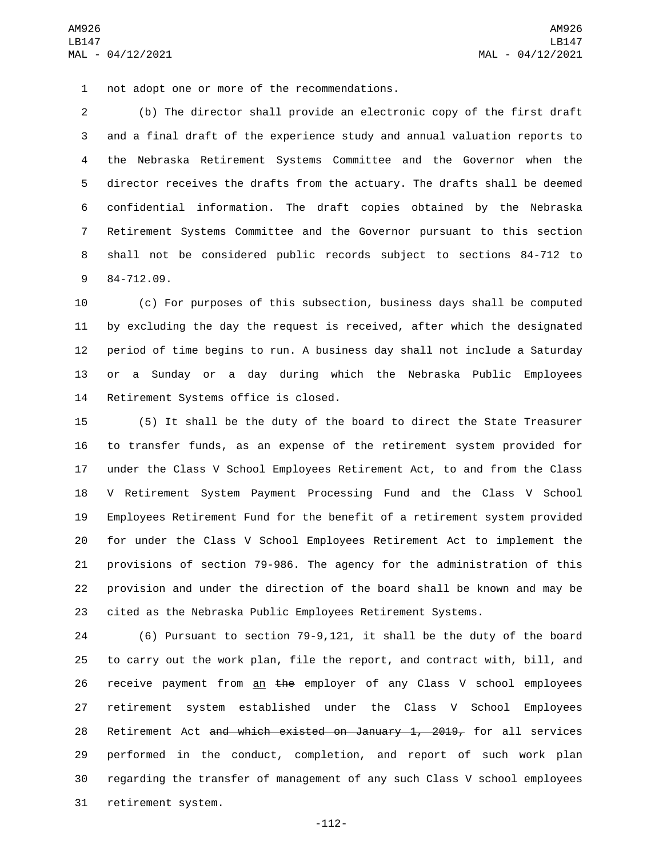1 not adopt one or more of the recommendations.

 (b) The director shall provide an electronic copy of the first draft and a final draft of the experience study and annual valuation reports to the Nebraska Retirement Systems Committee and the Governor when the director receives the drafts from the actuary. The drafts shall be deemed confidential information. The draft copies obtained by the Nebraska Retirement Systems Committee and the Governor pursuant to this section shall not be considered public records subject to sections 84-712 to 9 84-712.09.

 (c) For purposes of this subsection, business days shall be computed by excluding the day the request is received, after which the designated period of time begins to run. A business day shall not include a Saturday or a Sunday or a day during which the Nebraska Public Employees 14 Retirement Systems office is closed.

 (5) It shall be the duty of the board to direct the State Treasurer to transfer funds, as an expense of the retirement system provided for under the Class V School Employees Retirement Act, to and from the Class V Retirement System Payment Processing Fund and the Class V School Employees Retirement Fund for the benefit of a retirement system provided for under the Class V School Employees Retirement Act to implement the provisions of section 79-986. The agency for the administration of this provision and under the direction of the board shall be known and may be cited as the Nebraska Public Employees Retirement Systems.

 (6) Pursuant to section 79-9,121, it shall be the duty of the board to carry out the work plan, file the report, and contract with, bill, and 26 receive payment from an the employer of any Class V school employees retirement system established under the Class V School Employees 28 Retirement Act and which existed on January 1, 2019, for all services performed in the conduct, completion, and report of such work plan regarding the transfer of management of any such Class V school employees 31 retirement system.

-112-